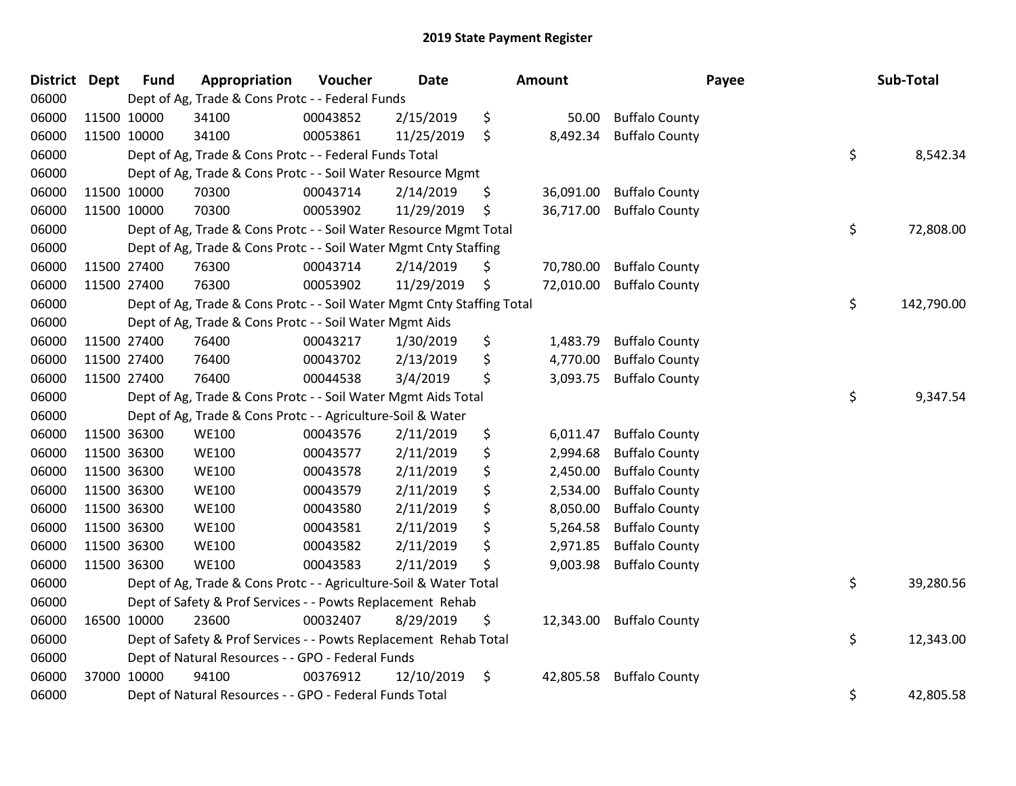| <b>District Dept</b> | <b>Fund</b> | Appropriation                                                          | Voucher  | <b>Date</b> | Amount          | Payee                 | Sub-Total        |
|----------------------|-------------|------------------------------------------------------------------------|----------|-------------|-----------------|-----------------------|------------------|
| 06000                |             | Dept of Ag, Trade & Cons Protc - - Federal Funds                       |          |             |                 |                       |                  |
| 06000                | 11500 10000 | 34100                                                                  | 00043852 | 2/15/2019   | \$<br>50.00     | <b>Buffalo County</b> |                  |
| 06000                | 11500 10000 | 34100                                                                  | 00053861 | 11/25/2019  | \$<br>8,492.34  | <b>Buffalo County</b> |                  |
| 06000                |             | Dept of Ag, Trade & Cons Protc - - Federal Funds Total                 |          |             |                 |                       | \$<br>8,542.34   |
| 06000                |             | Dept of Ag, Trade & Cons Protc - - Soil Water Resource Mgmt            |          |             |                 |                       |                  |
| 06000                | 11500 10000 | 70300                                                                  | 00043714 | 2/14/2019   | \$<br>36,091.00 | <b>Buffalo County</b> |                  |
| 06000                | 11500 10000 | 70300                                                                  | 00053902 | 11/29/2019  | \$<br>36,717.00 | <b>Buffalo County</b> |                  |
| 06000                |             | Dept of Ag, Trade & Cons Protc - - Soil Water Resource Mgmt Total      |          |             |                 |                       | \$<br>72,808.00  |
| 06000                |             | Dept of Ag, Trade & Cons Protc - - Soil Water Mgmt Cnty Staffing       |          |             |                 |                       |                  |
| 06000                | 11500 27400 | 76300                                                                  | 00043714 | 2/14/2019   | \$<br>70,780.00 | <b>Buffalo County</b> |                  |
| 06000                | 11500 27400 | 76300                                                                  | 00053902 | 11/29/2019  | \$<br>72,010.00 | <b>Buffalo County</b> |                  |
| 06000                |             | Dept of Ag, Trade & Cons Protc - - Soil Water Mgmt Cnty Staffing Total |          |             |                 |                       | \$<br>142,790.00 |
| 06000                |             | Dept of Ag, Trade & Cons Protc - - Soil Water Mgmt Aids                |          |             |                 |                       |                  |
| 06000                | 11500 27400 | 76400                                                                  | 00043217 | 1/30/2019   | \$<br>1,483.79  | <b>Buffalo County</b> |                  |
| 06000                | 11500 27400 | 76400                                                                  | 00043702 | 2/13/2019   | \$<br>4,770.00  | <b>Buffalo County</b> |                  |
| 06000                | 11500 27400 | 76400                                                                  | 00044538 | 3/4/2019    | \$<br>3,093.75  | <b>Buffalo County</b> |                  |
| 06000                |             | Dept of Ag, Trade & Cons Protc - - Soil Water Mgmt Aids Total          |          |             |                 |                       | \$<br>9,347.54   |
| 06000                |             | Dept of Ag, Trade & Cons Protc - - Agriculture-Soil & Water            |          |             |                 |                       |                  |
| 06000                | 11500 36300 | <b>WE100</b>                                                           | 00043576 | 2/11/2019   | \$<br>6,011.47  | <b>Buffalo County</b> |                  |
| 06000                | 11500 36300 | <b>WE100</b>                                                           | 00043577 | 2/11/2019   | \$<br>2,994.68  | <b>Buffalo County</b> |                  |
| 06000                | 11500 36300 | <b>WE100</b>                                                           | 00043578 | 2/11/2019   | \$<br>2,450.00  | <b>Buffalo County</b> |                  |
| 06000                | 11500 36300 | <b>WE100</b>                                                           | 00043579 | 2/11/2019   | \$<br>2,534.00  | <b>Buffalo County</b> |                  |
| 06000                | 11500 36300 | <b>WE100</b>                                                           | 00043580 | 2/11/2019   | \$<br>8,050.00  | <b>Buffalo County</b> |                  |
| 06000                | 11500 36300 | <b>WE100</b>                                                           | 00043581 | 2/11/2019   | \$<br>5,264.58  | <b>Buffalo County</b> |                  |
| 06000                | 11500 36300 | <b>WE100</b>                                                           | 00043582 | 2/11/2019   | \$<br>2,971.85  | <b>Buffalo County</b> |                  |
| 06000                | 11500 36300 | <b>WE100</b>                                                           | 00043583 | 2/11/2019   | \$<br>9,003.98  | <b>Buffalo County</b> |                  |
| 06000                |             | Dept of Ag, Trade & Cons Protc - - Agriculture-Soil & Water Total      |          |             |                 |                       | \$<br>39,280.56  |
| 06000                |             | Dept of Safety & Prof Services - - Powts Replacement Rehab             |          |             |                 |                       |                  |
| 06000                | 16500 10000 | 23600                                                                  | 00032407 | 8/29/2019   | \$<br>12,343.00 | <b>Buffalo County</b> |                  |
| 06000                |             | Dept of Safety & Prof Services - - Powts Replacement Rehab Total       |          |             |                 |                       | \$<br>12,343.00  |
| 06000                |             | Dept of Natural Resources - - GPO - Federal Funds                      |          |             |                 |                       |                  |
| 06000                | 37000 10000 | 94100                                                                  | 00376912 | 12/10/2019  | \$<br>42,805.58 | <b>Buffalo County</b> |                  |
| 06000                |             | Dept of Natural Resources - - GPO - Federal Funds Total                |          |             |                 |                       | \$<br>42,805.58  |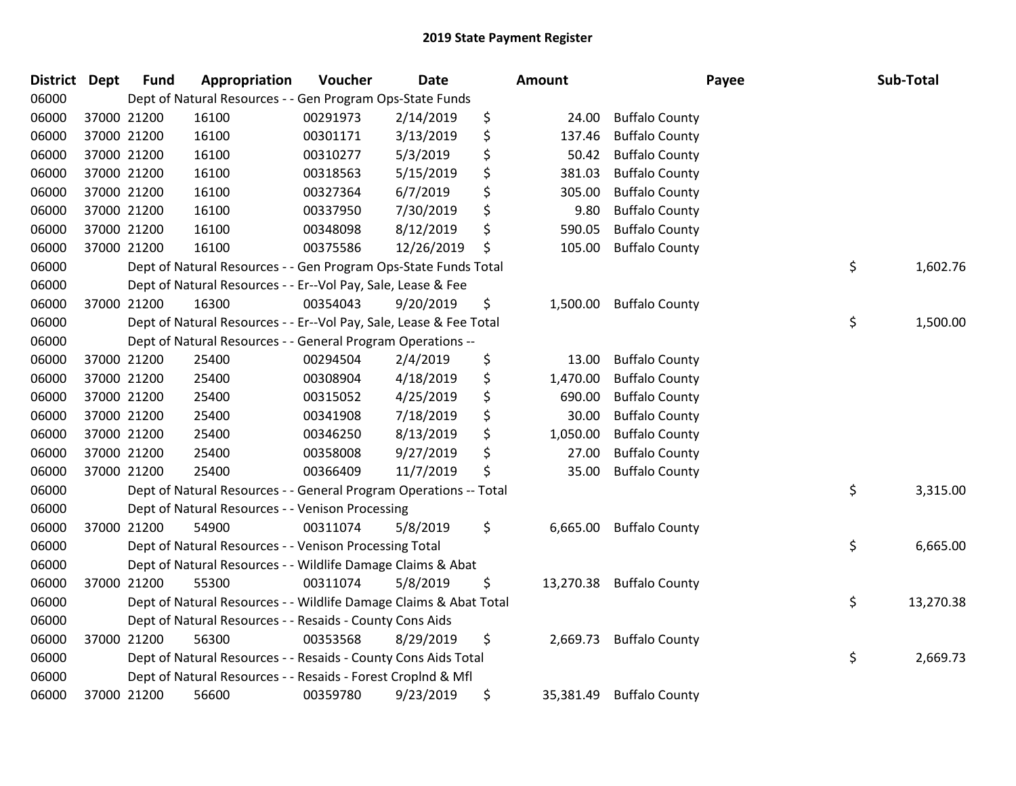| <b>District</b> | <b>Dept</b> | <b>Fund</b> | Appropriation                                                      | Voucher  | <b>Date</b> | <b>Amount</b> |           | Payee                 |    | Sub-Total |  |
|-----------------|-------------|-------------|--------------------------------------------------------------------|----------|-------------|---------------|-----------|-----------------------|----|-----------|--|
| 06000           |             |             | Dept of Natural Resources - - Gen Program Ops-State Funds          |          |             |               |           |                       |    |           |  |
| 06000           |             | 37000 21200 | 16100                                                              | 00291973 | 2/14/2019   | \$            | 24.00     | <b>Buffalo County</b> |    |           |  |
| 06000           | 37000 21200 |             | 16100                                                              | 00301171 | 3/13/2019   | \$            | 137.46    | <b>Buffalo County</b> |    |           |  |
| 06000           |             | 37000 21200 | 16100                                                              | 00310277 | 5/3/2019    | \$            | 50.42     | <b>Buffalo County</b> |    |           |  |
| 06000           |             | 37000 21200 | 16100                                                              | 00318563 | 5/15/2019   | \$            | 381.03    | <b>Buffalo County</b> |    |           |  |
| 06000           |             | 37000 21200 | 16100                                                              | 00327364 | 6/7/2019    | \$            | 305.00    | <b>Buffalo County</b> |    |           |  |
| 06000           |             | 37000 21200 | 16100                                                              | 00337950 | 7/30/2019   | \$            | 9.80      | <b>Buffalo County</b> |    |           |  |
| 06000           | 37000 21200 |             | 16100                                                              | 00348098 | 8/12/2019   | \$            | 590.05    | <b>Buffalo County</b> |    |           |  |
| 06000           |             | 37000 21200 | 16100                                                              | 00375586 | 12/26/2019  | \$            | 105.00    | <b>Buffalo County</b> |    |           |  |
| 06000           |             |             | Dept of Natural Resources - - Gen Program Ops-State Funds Total    |          |             |               |           |                       | \$ | 1,602.76  |  |
| 06000           |             |             | Dept of Natural Resources - - Er--Vol Pay, Sale, Lease & Fee       |          |             |               |           |                       |    |           |  |
| 06000           |             | 37000 21200 | 16300                                                              | 00354043 | 9/20/2019   | \$            | 1,500.00  | <b>Buffalo County</b> |    |           |  |
| 06000           |             |             | Dept of Natural Resources - - Er--Vol Pay, Sale, Lease & Fee Total |          |             |               |           |                       | \$ | 1,500.00  |  |
| 06000           |             |             | Dept of Natural Resources - - General Program Operations --        |          |             |               |           |                       |    |           |  |
| 06000           |             | 37000 21200 | 25400                                                              | 00294504 | 2/4/2019    | \$            | 13.00     | <b>Buffalo County</b> |    |           |  |
| 06000           |             | 37000 21200 | 25400                                                              | 00308904 | 4/18/2019   | \$            | 1,470.00  | <b>Buffalo County</b> |    |           |  |
| 06000           | 37000 21200 |             | 25400                                                              | 00315052 | 4/25/2019   | \$            | 690.00    | <b>Buffalo County</b> |    |           |  |
| 06000           |             | 37000 21200 | 25400                                                              | 00341908 | 7/18/2019   | \$            | 30.00     | <b>Buffalo County</b> |    |           |  |
| 06000           |             | 37000 21200 | 25400                                                              | 00346250 | 8/13/2019   | \$            | 1,050.00  | <b>Buffalo County</b> |    |           |  |
| 06000           |             | 37000 21200 | 25400                                                              | 00358008 | 9/27/2019   | \$            | 27.00     | <b>Buffalo County</b> |    |           |  |
| 06000           |             | 37000 21200 | 25400                                                              | 00366409 | 11/7/2019   | \$            | 35.00     | <b>Buffalo County</b> |    |           |  |
| 06000           |             |             | Dept of Natural Resources - - General Program Operations -- Total  |          |             |               |           |                       | \$ | 3,315.00  |  |
| 06000           |             |             | Dept of Natural Resources - - Venison Processing                   |          |             |               |           |                       |    |           |  |
| 06000           |             | 37000 21200 | 54900                                                              | 00311074 | 5/8/2019    | \$            | 6,665.00  | <b>Buffalo County</b> |    |           |  |
| 06000           |             |             | Dept of Natural Resources - - Venison Processing Total             |          |             |               |           |                       | \$ | 6,665.00  |  |
| 06000           |             |             | Dept of Natural Resources - - Wildlife Damage Claims & Abat        |          |             |               |           |                       |    |           |  |
| 06000           |             | 37000 21200 | 55300                                                              | 00311074 | 5/8/2019    | \$            | 13,270.38 | <b>Buffalo County</b> |    |           |  |
| 06000           |             |             | Dept of Natural Resources - - Wildlife Damage Claims & Abat Total  |          |             |               |           |                       | \$ | 13,270.38 |  |
| 06000           |             |             | Dept of Natural Resources - - Resaids - County Cons Aids           |          |             |               |           |                       |    |           |  |
| 06000           |             | 37000 21200 | 56300                                                              | 00353568 | 8/29/2019   | \$            | 2,669.73  | <b>Buffalo County</b> |    |           |  |
| 06000           |             |             | Dept of Natural Resources - - Resaids - County Cons Aids Total     |          |             |               |           |                       | \$ | 2,669.73  |  |
| 06000           |             |             | Dept of Natural Resources - - Resaids - Forest Croplnd & Mfl       |          |             |               |           |                       |    |           |  |
| 06000           |             | 37000 21200 | 56600                                                              | 00359780 | 9/23/2019   | \$            | 35,381.49 | <b>Buffalo County</b> |    |           |  |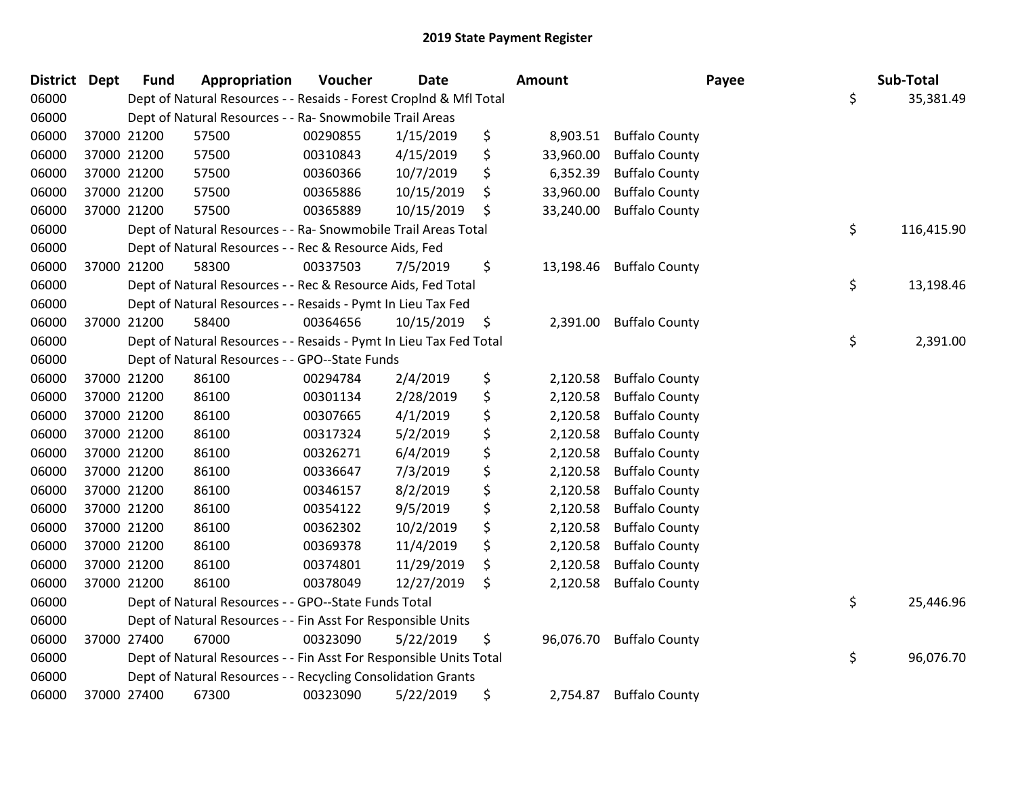| <b>District Dept</b> |             | <b>Fund</b> | Appropriation                                                      | Voucher  | Date       | Amount          |                       | Payee | Sub-Total  |
|----------------------|-------------|-------------|--------------------------------------------------------------------|----------|------------|-----------------|-----------------------|-------|------------|
| 06000                |             |             | Dept of Natural Resources - - Resaids - Forest CropInd & Mfl Total |          |            |                 |                       | \$    | 35,381.49  |
| 06000                |             |             | Dept of Natural Resources - - Ra- Snowmobile Trail Areas           |          |            |                 |                       |       |            |
| 06000                | 37000 21200 |             | 57500                                                              | 00290855 | 1/15/2019  | \$<br>8,903.51  | <b>Buffalo County</b> |       |            |
| 06000                | 37000 21200 |             | 57500                                                              | 00310843 | 4/15/2019  | \$<br>33,960.00 | <b>Buffalo County</b> |       |            |
| 06000                | 37000 21200 |             | 57500                                                              | 00360366 | 10/7/2019  | \$<br>6,352.39  | <b>Buffalo County</b> |       |            |
| 06000                | 37000 21200 |             | 57500                                                              | 00365886 | 10/15/2019 | \$<br>33,960.00 | <b>Buffalo County</b> |       |            |
| 06000                | 37000 21200 |             | 57500                                                              | 00365889 | 10/15/2019 | \$<br>33,240.00 | <b>Buffalo County</b> |       |            |
| 06000                |             |             | Dept of Natural Resources - - Ra- Snowmobile Trail Areas Total     |          |            |                 |                       | \$    | 116,415.90 |
| 06000                |             |             | Dept of Natural Resources - - Rec & Resource Aids, Fed             |          |            |                 |                       |       |            |
| 06000                | 37000 21200 |             | 58300                                                              | 00337503 | 7/5/2019   | \$<br>13,198.46 | <b>Buffalo County</b> |       |            |
| 06000                |             |             | Dept of Natural Resources - - Rec & Resource Aids, Fed Total       |          |            |                 |                       | \$    | 13,198.46  |
| 06000                |             |             | Dept of Natural Resources - - Resaids - Pymt In Lieu Tax Fed       |          |            |                 |                       |       |            |
| 06000                | 37000 21200 |             | 58400                                                              | 00364656 | 10/15/2019 | \$<br>2,391.00  | <b>Buffalo County</b> |       |            |
| 06000                |             |             | Dept of Natural Resources - - Resaids - Pymt In Lieu Tax Fed Total |          |            |                 |                       | \$    | 2,391.00   |
| 06000                |             |             | Dept of Natural Resources - - GPO--State Funds                     |          |            |                 |                       |       |            |
| 06000                | 37000 21200 |             | 86100                                                              | 00294784 | 2/4/2019   | \$<br>2,120.58  | <b>Buffalo County</b> |       |            |
| 06000                |             | 37000 21200 | 86100                                                              | 00301134 | 2/28/2019  | \$<br>2,120.58  | <b>Buffalo County</b> |       |            |
| 06000                | 37000 21200 |             | 86100                                                              | 00307665 | 4/1/2019   | \$<br>2,120.58  | <b>Buffalo County</b> |       |            |
| 06000                | 37000 21200 |             | 86100                                                              | 00317324 | 5/2/2019   | \$<br>2,120.58  | <b>Buffalo County</b> |       |            |
| 06000                | 37000 21200 |             | 86100                                                              | 00326271 | 6/4/2019   | \$<br>2,120.58  | <b>Buffalo County</b> |       |            |
| 06000                | 37000 21200 |             | 86100                                                              | 00336647 | 7/3/2019   | \$<br>2,120.58  | <b>Buffalo County</b> |       |            |
| 06000                | 37000 21200 |             | 86100                                                              | 00346157 | 8/2/2019   | \$<br>2,120.58  | <b>Buffalo County</b> |       |            |
| 06000                | 37000 21200 |             | 86100                                                              | 00354122 | 9/5/2019   | \$<br>2,120.58  | <b>Buffalo County</b> |       |            |
| 06000                | 37000 21200 |             | 86100                                                              | 00362302 | 10/2/2019  | \$<br>2,120.58  | <b>Buffalo County</b> |       |            |
| 06000                | 37000 21200 |             | 86100                                                              | 00369378 | 11/4/2019  | \$<br>2,120.58  | <b>Buffalo County</b> |       |            |
| 06000                | 37000 21200 |             | 86100                                                              | 00374801 | 11/29/2019 | \$<br>2,120.58  | <b>Buffalo County</b> |       |            |
| 06000                | 37000 21200 |             | 86100                                                              | 00378049 | 12/27/2019 | \$<br>2,120.58  | <b>Buffalo County</b> |       |            |
| 06000                |             |             | Dept of Natural Resources - - GPO--State Funds Total               |          |            |                 |                       | \$    | 25,446.96  |
| 06000                |             |             | Dept of Natural Resources - - Fin Asst For Responsible Units       |          |            |                 |                       |       |            |
| 06000                | 37000 27400 |             | 67000                                                              | 00323090 | 5/22/2019  | \$<br>96,076.70 | <b>Buffalo County</b> |       |            |
| 06000                |             |             | Dept of Natural Resources - - Fin Asst For Responsible Units Total |          |            |                 |                       | \$    | 96,076.70  |
| 06000                |             |             | Dept of Natural Resources - - Recycling Consolidation Grants       |          |            |                 |                       |       |            |
| 06000                | 37000 27400 |             | 67300                                                              | 00323090 | 5/22/2019  | \$<br>2,754.87  | <b>Buffalo County</b> |       |            |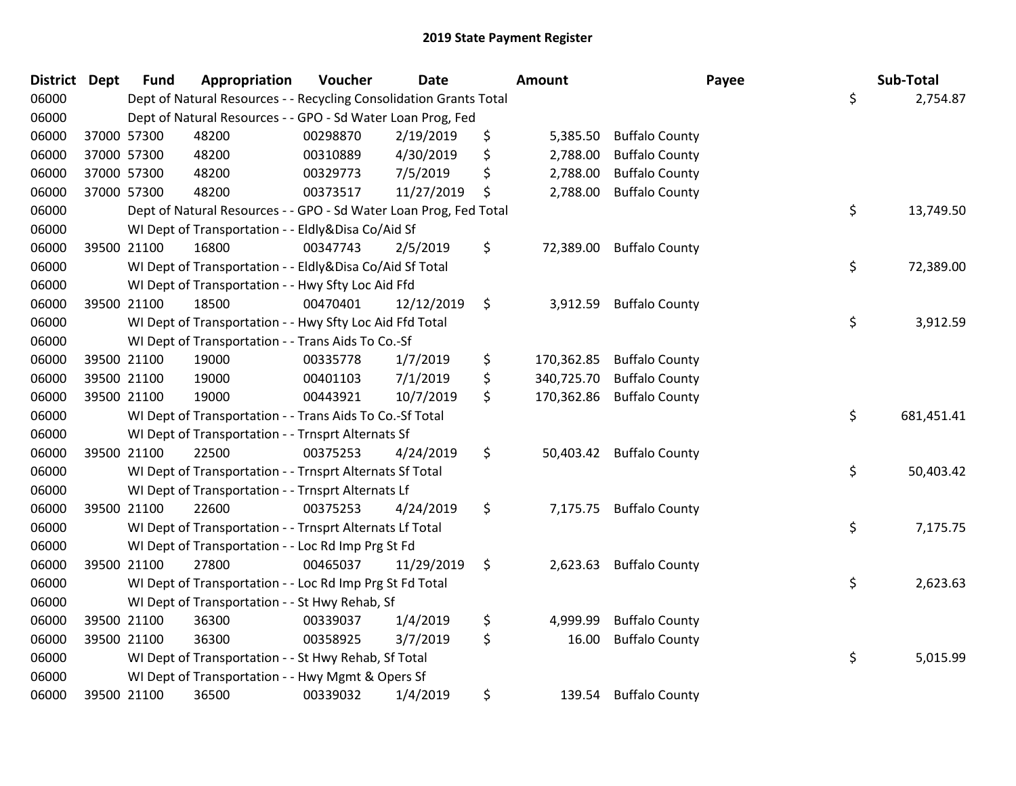| District Dept |             | <b>Fund</b> | Appropriation                                                      | Voucher  | <b>Date</b> | <b>Amount</b>    |                          | Payee | Sub-Total  |
|---------------|-------------|-------------|--------------------------------------------------------------------|----------|-------------|------------------|--------------------------|-------|------------|
| 06000         |             |             | Dept of Natural Resources - - Recycling Consolidation Grants Total |          |             |                  |                          | \$    | 2,754.87   |
| 06000         |             |             | Dept of Natural Resources - - GPO - Sd Water Loan Prog, Fed        |          |             |                  |                          |       |            |
| 06000         |             | 37000 57300 | 48200                                                              | 00298870 | 2/19/2019   | \$<br>5,385.50   | <b>Buffalo County</b>    |       |            |
| 06000         | 37000 57300 |             | 48200                                                              | 00310889 | 4/30/2019   | \$<br>2,788.00   | <b>Buffalo County</b>    |       |            |
| 06000         |             | 37000 57300 | 48200                                                              | 00329773 | 7/5/2019    | \$<br>2,788.00   | <b>Buffalo County</b>    |       |            |
| 06000         | 37000 57300 |             | 48200                                                              | 00373517 | 11/27/2019  | \$<br>2,788.00   | <b>Buffalo County</b>    |       |            |
| 06000         |             |             | Dept of Natural Resources - - GPO - Sd Water Loan Prog, Fed Total  |          |             |                  |                          | \$    | 13,749.50  |
| 06000         |             |             | WI Dept of Transportation - - Eldly&Disa Co/Aid Sf                 |          |             |                  |                          |       |            |
| 06000         | 39500 21100 |             | 16800                                                              | 00347743 | 2/5/2019    | \$<br>72,389.00  | <b>Buffalo County</b>    |       |            |
| 06000         |             |             | WI Dept of Transportation - - Eldly&Disa Co/Aid Sf Total           |          |             |                  |                          | \$    | 72,389.00  |
| 06000         |             |             | WI Dept of Transportation - - Hwy Sfty Loc Aid Ffd                 |          |             |                  |                          |       |            |
| 06000         |             | 39500 21100 | 18500                                                              | 00470401 | 12/12/2019  | \$               | 3,912.59 Buffalo County  |       |            |
| 06000         |             |             | WI Dept of Transportation - - Hwy Sfty Loc Aid Ffd Total           |          |             |                  |                          | \$    | 3,912.59   |
| 06000         |             |             | WI Dept of Transportation - - Trans Aids To Co.-Sf                 |          |             |                  |                          |       |            |
| 06000         |             | 39500 21100 | 19000                                                              | 00335778 | 1/7/2019    | \$<br>170,362.85 | <b>Buffalo County</b>    |       |            |
| 06000         |             | 39500 21100 | 19000                                                              | 00401103 | 7/1/2019    | \$<br>340,725.70 | <b>Buffalo County</b>    |       |            |
| 06000         |             | 39500 21100 | 19000                                                              | 00443921 | 10/7/2019   | \$<br>170,362.86 | <b>Buffalo County</b>    |       |            |
| 06000         |             |             | WI Dept of Transportation - - Trans Aids To Co.-Sf Total           |          |             |                  |                          | \$    | 681,451.41 |
| 06000         |             |             | WI Dept of Transportation - - Trnsprt Alternats Sf                 |          |             |                  |                          |       |            |
| 06000         | 39500 21100 |             | 22500                                                              | 00375253 | 4/24/2019   | \$               | 50,403.42 Buffalo County |       |            |
| 06000         |             |             | WI Dept of Transportation - - Trnsprt Alternats Sf Total           |          |             |                  |                          | \$    | 50,403.42  |
| 06000         |             |             | WI Dept of Transportation - - Trnsprt Alternats Lf                 |          |             |                  |                          |       |            |
| 06000         |             | 39500 21100 | 22600                                                              | 00375253 | 4/24/2019   | \$               | 7,175.75 Buffalo County  |       |            |
| 06000         |             |             | WI Dept of Transportation - - Trnsprt Alternats Lf Total           |          |             |                  |                          | \$    | 7,175.75   |
| 06000         |             |             | WI Dept of Transportation - - Loc Rd Imp Prg St Fd                 |          |             |                  |                          |       |            |
| 06000         |             | 39500 21100 | 27800                                                              | 00465037 | 11/29/2019  | \$<br>2,623.63   | <b>Buffalo County</b>    |       |            |
| 06000         |             |             | WI Dept of Transportation - - Loc Rd Imp Prg St Fd Total           |          |             |                  |                          | \$    | 2,623.63   |
| 06000         |             |             | WI Dept of Transportation - - St Hwy Rehab, Sf                     |          |             |                  |                          |       |            |
| 06000         |             | 39500 21100 | 36300                                                              | 00339037 | 1/4/2019    | \$<br>4,999.99   | <b>Buffalo County</b>    |       |            |
| 06000         | 39500 21100 |             | 36300                                                              | 00358925 | 3/7/2019    | \$<br>16.00      | <b>Buffalo County</b>    |       |            |
| 06000         |             |             | WI Dept of Transportation - - St Hwy Rehab, Sf Total               |          |             |                  |                          | \$    | 5,015.99   |
| 06000         |             |             | WI Dept of Transportation - - Hwy Mgmt & Opers Sf                  |          |             |                  |                          |       |            |
| 06000         |             | 39500 21100 | 36500                                                              | 00339032 | 1/4/2019    | \$<br>139.54     | <b>Buffalo County</b>    |       |            |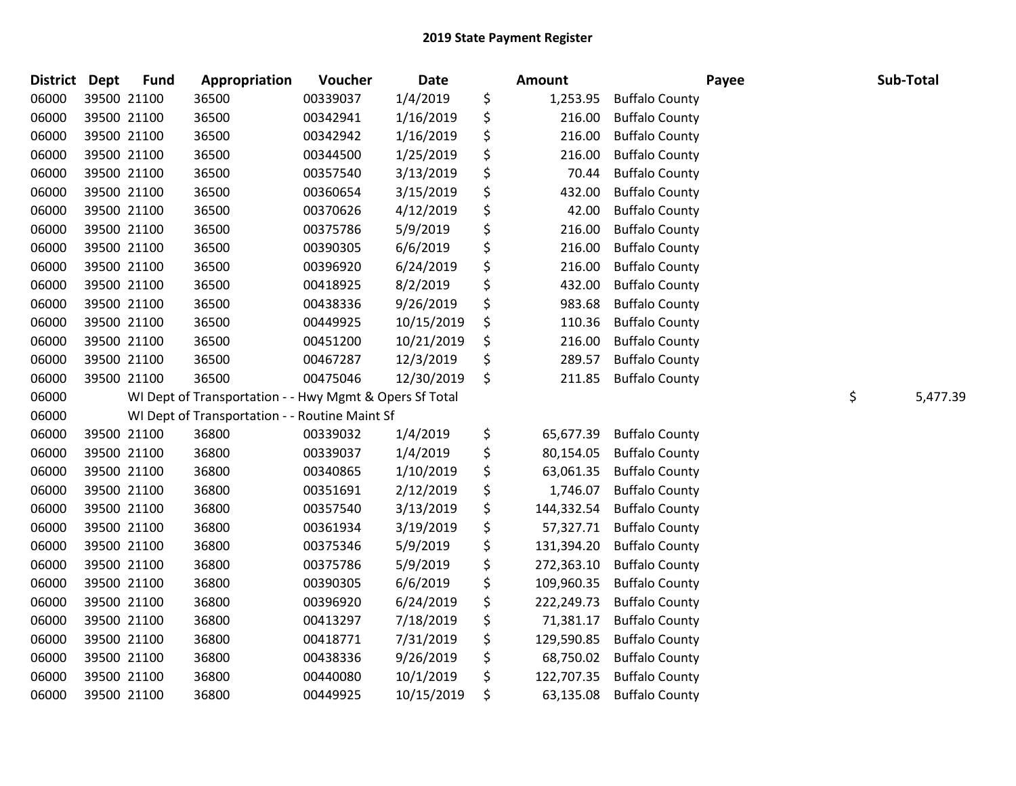| <b>District Dept</b> | <b>Fund</b> | Appropriation                                           | Voucher  | Date       | Amount           | Payee                 | Sub-Total      |
|----------------------|-------------|---------------------------------------------------------|----------|------------|------------------|-----------------------|----------------|
| 06000                | 39500 21100 | 36500                                                   | 00339037 | 1/4/2019   | \$<br>1,253.95   | <b>Buffalo County</b> |                |
| 06000                | 39500 21100 | 36500                                                   | 00342941 | 1/16/2019  | \$<br>216.00     | <b>Buffalo County</b> |                |
| 06000                | 39500 21100 | 36500                                                   | 00342942 | 1/16/2019  | \$<br>216.00     | <b>Buffalo County</b> |                |
| 06000                | 39500 21100 | 36500                                                   | 00344500 | 1/25/2019  | \$<br>216.00     | <b>Buffalo County</b> |                |
| 06000                | 39500 21100 | 36500                                                   | 00357540 | 3/13/2019  | \$<br>70.44      | <b>Buffalo County</b> |                |
| 06000                | 39500 21100 | 36500                                                   | 00360654 | 3/15/2019  | \$<br>432.00     | <b>Buffalo County</b> |                |
| 06000                | 39500 21100 | 36500                                                   | 00370626 | 4/12/2019  | \$<br>42.00      | <b>Buffalo County</b> |                |
| 06000                | 39500 21100 | 36500                                                   | 00375786 | 5/9/2019   | \$<br>216.00     | <b>Buffalo County</b> |                |
| 06000                | 39500 21100 | 36500                                                   | 00390305 | 6/6/2019   | \$<br>216.00     | <b>Buffalo County</b> |                |
| 06000                | 39500 21100 | 36500                                                   | 00396920 | 6/24/2019  | \$<br>216.00     | <b>Buffalo County</b> |                |
| 06000                | 39500 21100 | 36500                                                   | 00418925 | 8/2/2019   | \$<br>432.00     | <b>Buffalo County</b> |                |
| 06000                | 39500 21100 | 36500                                                   | 00438336 | 9/26/2019  | \$<br>983.68     | <b>Buffalo County</b> |                |
| 06000                | 39500 21100 | 36500                                                   | 00449925 | 10/15/2019 | \$<br>110.36     | <b>Buffalo County</b> |                |
| 06000                | 39500 21100 | 36500                                                   | 00451200 | 10/21/2019 | \$<br>216.00     | <b>Buffalo County</b> |                |
| 06000                | 39500 21100 | 36500                                                   | 00467287 | 12/3/2019  | \$<br>289.57     | <b>Buffalo County</b> |                |
| 06000                | 39500 21100 | 36500                                                   | 00475046 | 12/30/2019 | \$<br>211.85     | <b>Buffalo County</b> |                |
| 06000                |             | WI Dept of Transportation - - Hwy Mgmt & Opers Sf Total |          |            |                  |                       | \$<br>5,477.39 |
| 06000                |             | WI Dept of Transportation - - Routine Maint Sf          |          |            |                  |                       |                |
| 06000                | 39500 21100 | 36800                                                   | 00339032 | 1/4/2019   | \$<br>65,677.39  | <b>Buffalo County</b> |                |
| 06000                | 39500 21100 | 36800                                                   | 00339037 | 1/4/2019   | \$<br>80,154.05  | <b>Buffalo County</b> |                |
| 06000                | 39500 21100 | 36800                                                   | 00340865 | 1/10/2019  | \$<br>63,061.35  | <b>Buffalo County</b> |                |
| 06000                | 39500 21100 | 36800                                                   | 00351691 | 2/12/2019  | \$<br>1,746.07   | <b>Buffalo County</b> |                |
| 06000                | 39500 21100 | 36800                                                   | 00357540 | 3/13/2019  | \$<br>144,332.54 | <b>Buffalo County</b> |                |
| 06000                | 39500 21100 | 36800                                                   | 00361934 | 3/19/2019  | \$<br>57,327.71  | <b>Buffalo County</b> |                |
| 06000                | 39500 21100 | 36800                                                   | 00375346 | 5/9/2019   | \$<br>131,394.20 | <b>Buffalo County</b> |                |
| 06000                | 39500 21100 | 36800                                                   | 00375786 | 5/9/2019   | \$<br>272,363.10 | <b>Buffalo County</b> |                |
| 06000                | 39500 21100 | 36800                                                   | 00390305 | 6/6/2019   | \$<br>109,960.35 | <b>Buffalo County</b> |                |
| 06000                | 39500 21100 | 36800                                                   | 00396920 | 6/24/2019  | \$<br>222,249.73 | <b>Buffalo County</b> |                |
| 06000                | 39500 21100 | 36800                                                   | 00413297 | 7/18/2019  | \$<br>71,381.17  | <b>Buffalo County</b> |                |
| 06000                | 39500 21100 | 36800                                                   | 00418771 | 7/31/2019  | \$<br>129,590.85 | <b>Buffalo County</b> |                |
| 06000                | 39500 21100 | 36800                                                   | 00438336 | 9/26/2019  | \$<br>68,750.02  | <b>Buffalo County</b> |                |
| 06000                | 39500 21100 | 36800                                                   | 00440080 | 10/1/2019  | \$<br>122,707.35 | <b>Buffalo County</b> |                |
| 06000                | 39500 21100 | 36800                                                   | 00449925 | 10/15/2019 | \$<br>63,135.08  | <b>Buffalo County</b> |                |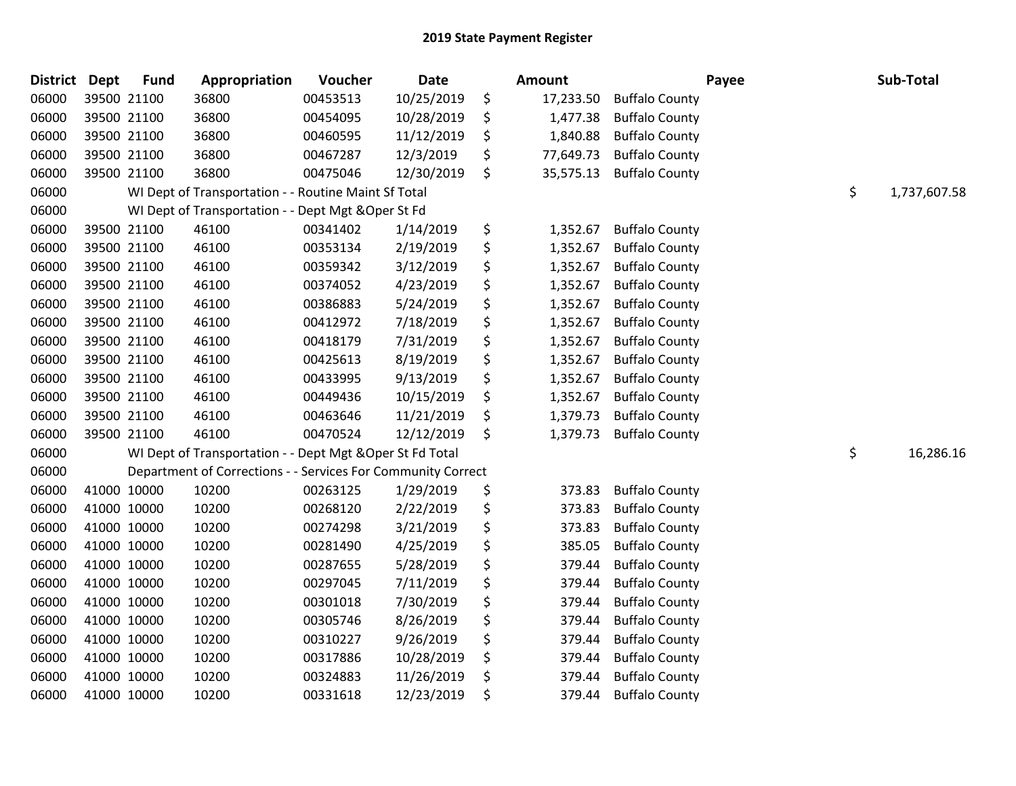| <b>District</b> | <b>Dept</b> | <b>Fund</b> | Appropriation                                                | Voucher  | Date       | Amount          |                       | Payee | Sub-Total    |
|-----------------|-------------|-------------|--------------------------------------------------------------|----------|------------|-----------------|-----------------------|-------|--------------|
| 06000           |             | 39500 21100 | 36800                                                        | 00453513 | 10/25/2019 | \$<br>17,233.50 | <b>Buffalo County</b> |       |              |
| 06000           |             | 39500 21100 | 36800                                                        | 00454095 | 10/28/2019 | \$<br>1,477.38  | <b>Buffalo County</b> |       |              |
| 06000           | 39500 21100 |             | 36800                                                        | 00460595 | 11/12/2019 | \$<br>1,840.88  | <b>Buffalo County</b> |       |              |
| 06000           | 39500 21100 |             | 36800                                                        | 00467287 | 12/3/2019  | \$<br>77,649.73 | <b>Buffalo County</b> |       |              |
| 06000           | 39500 21100 |             | 36800                                                        | 00475046 | 12/30/2019 | \$<br>35,575.13 | <b>Buffalo County</b> |       |              |
| 06000           |             |             | WI Dept of Transportation - - Routine Maint Sf Total         |          |            |                 |                       | \$    | 1,737,607.58 |
| 06000           |             |             | WI Dept of Transportation - - Dept Mgt & Oper St Fd          |          |            |                 |                       |       |              |
| 06000           |             | 39500 21100 | 46100                                                        | 00341402 | 1/14/2019  | \$<br>1,352.67  | <b>Buffalo County</b> |       |              |
| 06000           |             | 39500 21100 | 46100                                                        | 00353134 | 2/19/2019  | \$<br>1,352.67  | <b>Buffalo County</b> |       |              |
| 06000           | 39500 21100 |             | 46100                                                        | 00359342 | 3/12/2019  | \$<br>1,352.67  | <b>Buffalo County</b> |       |              |
| 06000           |             | 39500 21100 | 46100                                                        | 00374052 | 4/23/2019  | \$<br>1,352.67  | <b>Buffalo County</b> |       |              |
| 06000           | 39500 21100 |             | 46100                                                        | 00386883 | 5/24/2019  | \$<br>1,352.67  | <b>Buffalo County</b> |       |              |
| 06000           | 39500 21100 |             | 46100                                                        | 00412972 | 7/18/2019  | \$<br>1,352.67  | <b>Buffalo County</b> |       |              |
| 06000           | 39500 21100 |             | 46100                                                        | 00418179 | 7/31/2019  | \$<br>1,352.67  | <b>Buffalo County</b> |       |              |
| 06000           | 39500 21100 |             | 46100                                                        | 00425613 | 8/19/2019  | \$<br>1,352.67  | <b>Buffalo County</b> |       |              |
| 06000           | 39500 21100 |             | 46100                                                        | 00433995 | 9/13/2019  | \$<br>1,352.67  | <b>Buffalo County</b> |       |              |
| 06000           | 39500 21100 |             | 46100                                                        | 00449436 | 10/15/2019 | \$<br>1,352.67  | <b>Buffalo County</b> |       |              |
| 06000           | 39500 21100 |             | 46100                                                        | 00463646 | 11/21/2019 | \$<br>1,379.73  | <b>Buffalo County</b> |       |              |
| 06000           | 39500 21100 |             | 46100                                                        | 00470524 | 12/12/2019 | \$<br>1,379.73  | <b>Buffalo County</b> |       |              |
| 06000           |             |             | WI Dept of Transportation - - Dept Mgt & Oper St Fd Total    |          |            |                 |                       | \$    | 16,286.16    |
| 06000           |             |             | Department of Corrections - - Services For Community Correct |          |            |                 |                       |       |              |
| 06000           |             | 41000 10000 | 10200                                                        | 00263125 | 1/29/2019  | \$<br>373.83    | <b>Buffalo County</b> |       |              |
| 06000           | 41000 10000 |             | 10200                                                        | 00268120 | 2/22/2019  | \$<br>373.83    | <b>Buffalo County</b> |       |              |
| 06000           | 41000 10000 |             | 10200                                                        | 00274298 | 3/21/2019  | \$<br>373.83    | <b>Buffalo County</b> |       |              |
| 06000           | 41000 10000 |             | 10200                                                        | 00281490 | 4/25/2019  | \$<br>385.05    | <b>Buffalo County</b> |       |              |
| 06000           | 41000 10000 |             | 10200                                                        | 00287655 | 5/28/2019  | \$<br>379.44    | <b>Buffalo County</b> |       |              |
| 06000           | 41000 10000 |             | 10200                                                        | 00297045 | 7/11/2019  | \$<br>379.44    | <b>Buffalo County</b> |       |              |
| 06000           | 41000 10000 |             | 10200                                                        | 00301018 | 7/30/2019  | \$<br>379.44    | <b>Buffalo County</b> |       |              |
| 06000           | 41000 10000 |             | 10200                                                        | 00305746 | 8/26/2019  | \$<br>379.44    | <b>Buffalo County</b> |       |              |
| 06000           | 41000 10000 |             | 10200                                                        | 00310227 | 9/26/2019  | \$<br>379.44    | <b>Buffalo County</b> |       |              |
| 06000           | 41000 10000 |             | 10200                                                        | 00317886 | 10/28/2019 | \$<br>379.44    | <b>Buffalo County</b> |       |              |
| 06000           | 41000 10000 |             | 10200                                                        | 00324883 | 11/26/2019 | \$<br>379.44    | <b>Buffalo County</b> |       |              |
| 06000           | 41000 10000 |             | 10200                                                        | 00331618 | 12/23/2019 | \$<br>379.44    | <b>Buffalo County</b> |       |              |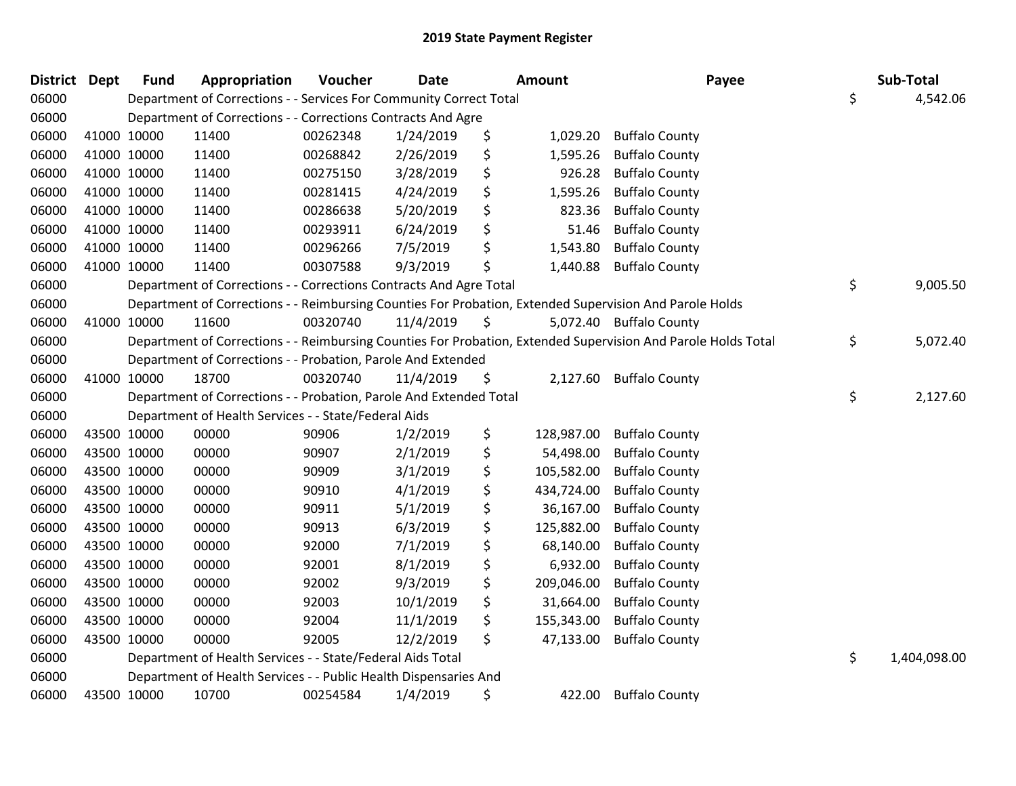| District Dept |             | <b>Fund</b> | Appropriation                                                      | Voucher  | <b>Date</b> | <b>Amount</b>    | Payee                                                                                                         | Sub-Total          |
|---------------|-------------|-------------|--------------------------------------------------------------------|----------|-------------|------------------|---------------------------------------------------------------------------------------------------------------|--------------------|
| 06000         |             |             | Department of Corrections - - Services For Community Correct Total |          |             |                  |                                                                                                               | \$<br>4,542.06     |
| 06000         |             |             | Department of Corrections - - Corrections Contracts And Agre       |          |             |                  |                                                                                                               |                    |
| 06000         | 41000 10000 |             | 11400                                                              | 00262348 | 1/24/2019   | \$<br>1,029.20   | <b>Buffalo County</b>                                                                                         |                    |
| 06000         | 41000 10000 |             | 11400                                                              | 00268842 | 2/26/2019   | \$<br>1,595.26   | <b>Buffalo County</b>                                                                                         |                    |
| 06000         | 41000 10000 |             | 11400                                                              | 00275150 | 3/28/2019   | \$<br>926.28     | <b>Buffalo County</b>                                                                                         |                    |
| 06000         | 41000 10000 |             | 11400                                                              | 00281415 | 4/24/2019   | \$<br>1,595.26   | <b>Buffalo County</b>                                                                                         |                    |
| 06000         | 41000 10000 |             | 11400                                                              | 00286638 | 5/20/2019   | \$<br>823.36     | <b>Buffalo County</b>                                                                                         |                    |
| 06000         | 41000 10000 |             | 11400                                                              | 00293911 | 6/24/2019   | \$<br>51.46      | <b>Buffalo County</b>                                                                                         |                    |
| 06000         | 41000 10000 |             | 11400                                                              | 00296266 | 7/5/2019    | \$<br>1,543.80   | <b>Buffalo County</b>                                                                                         |                    |
| 06000         | 41000 10000 |             | 11400                                                              | 00307588 | 9/3/2019    | \$<br>1,440.88   | <b>Buffalo County</b>                                                                                         |                    |
| 06000         |             |             | Department of Corrections - - Corrections Contracts And Agre Total |          |             |                  |                                                                                                               | \$<br>9,005.50     |
| 06000         |             |             |                                                                    |          |             |                  | Department of Corrections - - Reimbursing Counties For Probation, Extended Supervision And Parole Holds       |                    |
| 06000         | 41000 10000 |             | 11600                                                              | 00320740 | 11/4/2019   | \$               | 5,072.40 Buffalo County                                                                                       |                    |
| 06000         |             |             |                                                                    |          |             |                  | Department of Corrections - - Reimbursing Counties For Probation, Extended Supervision And Parole Holds Total | \$<br>5,072.40     |
| 06000         |             |             | Department of Corrections - - Probation, Parole And Extended       |          |             |                  |                                                                                                               |                    |
| 06000         | 41000 10000 |             | 18700                                                              | 00320740 | 11/4/2019   | \$               | 2,127.60 Buffalo County                                                                                       |                    |
| 06000         |             |             | Department of Corrections - - Probation, Parole And Extended Total |          |             |                  |                                                                                                               | \$<br>2,127.60     |
| 06000         |             |             | Department of Health Services - - State/Federal Aids               |          |             |                  |                                                                                                               |                    |
| 06000         | 43500 10000 |             | 00000                                                              | 90906    | 1/2/2019    | \$<br>128,987.00 | <b>Buffalo County</b>                                                                                         |                    |
| 06000         | 43500 10000 |             | 00000                                                              | 90907    | 2/1/2019    | \$<br>54,498.00  | <b>Buffalo County</b>                                                                                         |                    |
| 06000         | 43500 10000 |             | 00000                                                              | 90909    | 3/1/2019    | \$<br>105,582.00 | <b>Buffalo County</b>                                                                                         |                    |
| 06000         | 43500 10000 |             | 00000                                                              | 90910    | 4/1/2019    | \$<br>434,724.00 | <b>Buffalo County</b>                                                                                         |                    |
| 06000         | 43500 10000 |             | 00000                                                              | 90911    | 5/1/2019    | \$<br>36,167.00  | <b>Buffalo County</b>                                                                                         |                    |
| 06000         | 43500 10000 |             | 00000                                                              | 90913    | 6/3/2019    | \$<br>125,882.00 | <b>Buffalo County</b>                                                                                         |                    |
| 06000         | 43500 10000 |             | 00000                                                              | 92000    | 7/1/2019    | \$<br>68,140.00  | <b>Buffalo County</b>                                                                                         |                    |
| 06000         | 43500 10000 |             | 00000                                                              | 92001    | 8/1/2019    | \$<br>6,932.00   | <b>Buffalo County</b>                                                                                         |                    |
| 06000         | 43500 10000 |             | 00000                                                              | 92002    | 9/3/2019    | \$<br>209,046.00 | <b>Buffalo County</b>                                                                                         |                    |
| 06000         | 43500 10000 |             | 00000                                                              | 92003    | 10/1/2019   | \$<br>31,664.00  | <b>Buffalo County</b>                                                                                         |                    |
| 06000         | 43500 10000 |             | 00000                                                              | 92004    | 11/1/2019   | \$<br>155,343.00 | <b>Buffalo County</b>                                                                                         |                    |
| 06000         | 43500 10000 |             | 00000                                                              | 92005    | 12/2/2019   | \$<br>47,133.00  | <b>Buffalo County</b>                                                                                         |                    |
| 06000         |             |             | Department of Health Services - - State/Federal Aids Total         |          |             |                  |                                                                                                               | \$<br>1,404,098.00 |
| 06000         |             |             | Department of Health Services - - Public Health Dispensaries And   |          |             |                  |                                                                                                               |                    |
| 06000         | 43500 10000 |             | 10700                                                              | 00254584 | 1/4/2019    | \$<br>422.00     | <b>Buffalo County</b>                                                                                         |                    |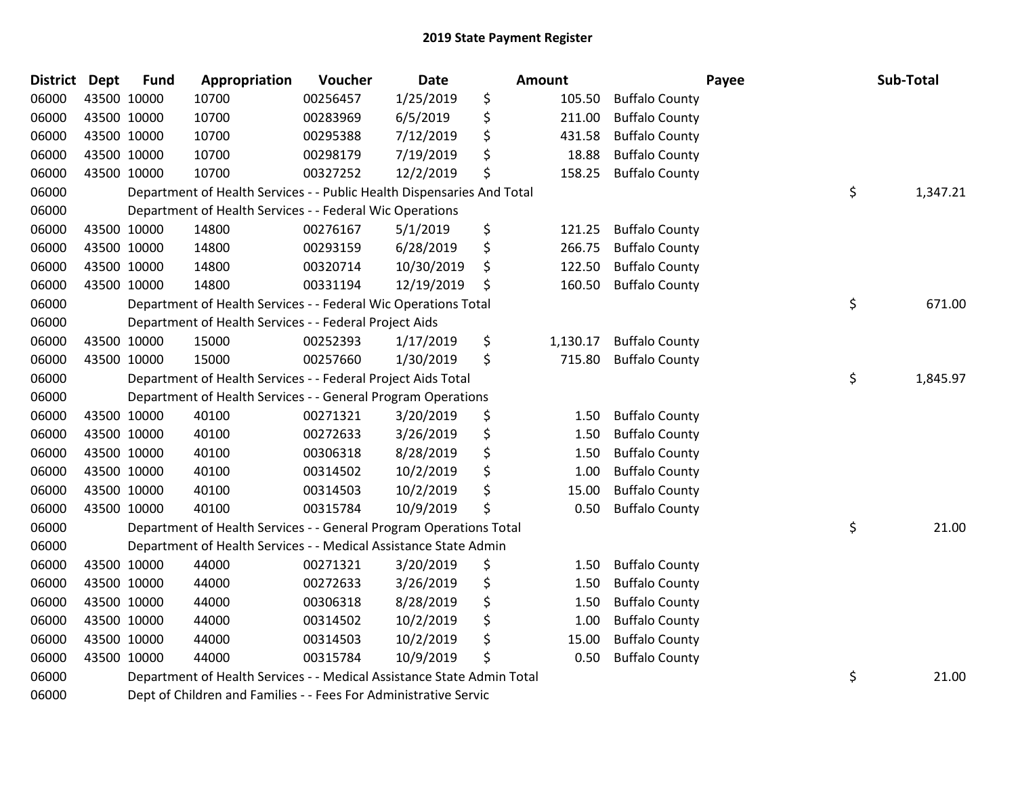| <b>District Dept</b> | <b>Fund</b> | Appropriation                                                          | Voucher  | <b>Date</b> | <b>Amount</b>  |                       | Payee | Sub-Total |
|----------------------|-------------|------------------------------------------------------------------------|----------|-------------|----------------|-----------------------|-------|-----------|
| 06000                | 43500 10000 | 10700                                                                  | 00256457 | 1/25/2019   | \$<br>105.50   | <b>Buffalo County</b> |       |           |
| 06000                | 43500 10000 | 10700                                                                  | 00283969 | 6/5/2019    | \$<br>211.00   | <b>Buffalo County</b> |       |           |
| 06000                | 43500 10000 | 10700                                                                  | 00295388 | 7/12/2019   | \$<br>431.58   | <b>Buffalo County</b> |       |           |
| 06000                | 43500 10000 | 10700                                                                  | 00298179 | 7/19/2019   | \$<br>18.88    | <b>Buffalo County</b> |       |           |
| 06000                | 43500 10000 | 10700                                                                  | 00327252 | 12/2/2019   | \$<br>158.25   | <b>Buffalo County</b> |       |           |
| 06000                |             | Department of Health Services - - Public Health Dispensaries And Total |          |             |                |                       | \$    | 1,347.21  |
| 06000                |             | Department of Health Services - - Federal Wic Operations               |          |             |                |                       |       |           |
| 06000                | 43500 10000 | 14800                                                                  | 00276167 | 5/1/2019    | \$<br>121.25   | <b>Buffalo County</b> |       |           |
| 06000                | 43500 10000 | 14800                                                                  | 00293159 | 6/28/2019   | \$<br>266.75   | <b>Buffalo County</b> |       |           |
| 06000                | 43500 10000 | 14800                                                                  | 00320714 | 10/30/2019  | \$<br>122.50   | <b>Buffalo County</b> |       |           |
| 06000                | 43500 10000 | 14800                                                                  | 00331194 | 12/19/2019  | \$<br>160.50   | <b>Buffalo County</b> |       |           |
| 06000                |             | Department of Health Services - - Federal Wic Operations Total         |          |             |                |                       | \$    | 671.00    |
| 06000                |             | Department of Health Services - - Federal Project Aids                 |          |             |                |                       |       |           |
| 06000                | 43500 10000 | 15000                                                                  | 00252393 | 1/17/2019   | \$<br>1,130.17 | <b>Buffalo County</b> |       |           |
| 06000                | 43500 10000 | 15000                                                                  | 00257660 | 1/30/2019   | \$<br>715.80   | <b>Buffalo County</b> |       |           |
| 06000                |             | Department of Health Services - - Federal Project Aids Total           |          |             |                |                       | \$    | 1,845.97  |
| 06000                |             | Department of Health Services - - General Program Operations           |          |             |                |                       |       |           |
| 06000                | 43500 10000 | 40100                                                                  | 00271321 | 3/20/2019   | \$<br>1.50     | <b>Buffalo County</b> |       |           |
| 06000                | 43500 10000 | 40100                                                                  | 00272633 | 3/26/2019   | \$<br>1.50     | <b>Buffalo County</b> |       |           |
| 06000                | 43500 10000 | 40100                                                                  | 00306318 | 8/28/2019   | \$<br>1.50     | <b>Buffalo County</b> |       |           |
| 06000                | 43500 10000 | 40100                                                                  | 00314502 | 10/2/2019   | \$<br>1.00     | <b>Buffalo County</b> |       |           |
| 06000                | 43500 10000 | 40100                                                                  | 00314503 | 10/2/2019   | \$<br>15.00    | <b>Buffalo County</b> |       |           |
| 06000                | 43500 10000 | 40100                                                                  | 00315784 | 10/9/2019   | \$<br>0.50     | <b>Buffalo County</b> |       |           |
| 06000                |             | Department of Health Services - - General Program Operations Total     |          |             |                |                       | \$    | 21.00     |
| 06000                |             | Department of Health Services - - Medical Assistance State Admin       |          |             |                |                       |       |           |
| 06000                | 43500 10000 | 44000                                                                  | 00271321 | 3/20/2019   | \$<br>1.50     | <b>Buffalo County</b> |       |           |
| 06000                | 43500 10000 | 44000                                                                  | 00272633 | 3/26/2019   | \$<br>1.50     | <b>Buffalo County</b> |       |           |
| 06000                | 43500 10000 | 44000                                                                  | 00306318 | 8/28/2019   | \$<br>1.50     | <b>Buffalo County</b> |       |           |
| 06000                | 43500 10000 | 44000                                                                  | 00314502 | 10/2/2019   | \$<br>1.00     | <b>Buffalo County</b> |       |           |
| 06000                | 43500 10000 | 44000                                                                  | 00314503 | 10/2/2019   | \$<br>15.00    | <b>Buffalo County</b> |       |           |
| 06000                | 43500 10000 | 44000                                                                  | 00315784 | 10/9/2019   | \$<br>0.50     | <b>Buffalo County</b> |       |           |
| 06000                |             | Department of Health Services - - Medical Assistance State Admin Total |          |             |                |                       | \$    | 21.00     |
| 06000                |             | Dept of Children and Families - - Fees For Administrative Servic       |          |             |                |                       |       |           |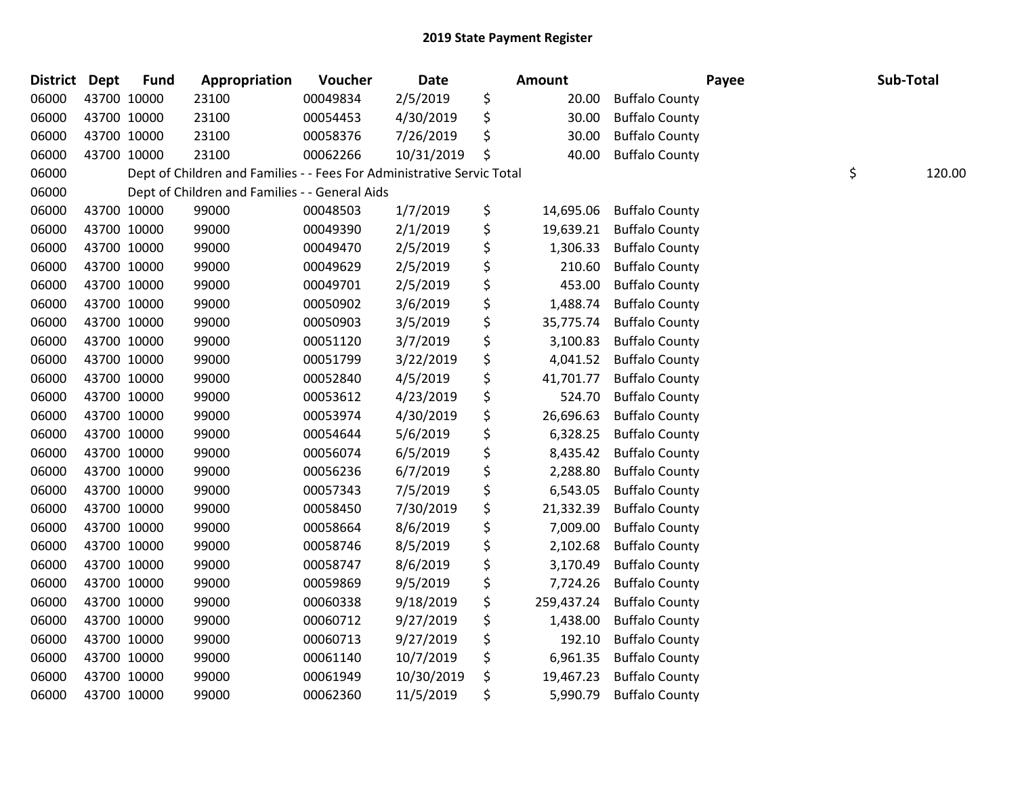| <b>District Dept</b> |             | <b>Fund</b> | Appropriation                                                          | Voucher  | Date       | Amount           |                       | Payee | Sub-Total |
|----------------------|-------------|-------------|------------------------------------------------------------------------|----------|------------|------------------|-----------------------|-------|-----------|
| 06000                | 43700 10000 |             | 23100                                                                  | 00049834 | 2/5/2019   | \$<br>20.00      | <b>Buffalo County</b> |       |           |
| 06000                | 43700 10000 |             | 23100                                                                  | 00054453 | 4/30/2019  | \$<br>30.00      | <b>Buffalo County</b> |       |           |
| 06000                | 43700 10000 |             | 23100                                                                  | 00058376 | 7/26/2019  | \$<br>30.00      | <b>Buffalo County</b> |       |           |
| 06000                | 43700 10000 |             | 23100                                                                  | 00062266 | 10/31/2019 | \$<br>40.00      | <b>Buffalo County</b> |       |           |
| 06000                |             |             | Dept of Children and Families - - Fees For Administrative Servic Total |          |            |                  |                       | \$    | 120.00    |
| 06000                |             |             | Dept of Children and Families - - General Aids                         |          |            |                  |                       |       |           |
| 06000                |             | 43700 10000 | 99000                                                                  | 00048503 | 1/7/2019   | \$<br>14,695.06  | <b>Buffalo County</b> |       |           |
| 06000                | 43700 10000 |             | 99000                                                                  | 00049390 | 2/1/2019   | \$<br>19,639.21  | <b>Buffalo County</b> |       |           |
| 06000                | 43700 10000 |             | 99000                                                                  | 00049470 | 2/5/2019   | \$<br>1,306.33   | <b>Buffalo County</b> |       |           |
| 06000                |             | 43700 10000 | 99000                                                                  | 00049629 | 2/5/2019   | \$<br>210.60     | <b>Buffalo County</b> |       |           |
| 06000                |             | 43700 10000 | 99000                                                                  | 00049701 | 2/5/2019   | \$<br>453.00     | <b>Buffalo County</b> |       |           |
| 06000                | 43700 10000 |             | 99000                                                                  | 00050902 | 3/6/2019   | \$<br>1,488.74   | <b>Buffalo County</b> |       |           |
| 06000                | 43700 10000 |             | 99000                                                                  | 00050903 | 3/5/2019   | \$<br>35,775.74  | <b>Buffalo County</b> |       |           |
| 06000                | 43700 10000 |             | 99000                                                                  | 00051120 | 3/7/2019   | \$<br>3,100.83   | <b>Buffalo County</b> |       |           |
| 06000                |             | 43700 10000 | 99000                                                                  | 00051799 | 3/22/2019  | \$<br>4,041.52   | <b>Buffalo County</b> |       |           |
| 06000                |             | 43700 10000 | 99000                                                                  | 00052840 | 4/5/2019   | \$<br>41,701.77  | <b>Buffalo County</b> |       |           |
| 06000                | 43700 10000 |             | 99000                                                                  | 00053612 | 4/23/2019  | \$<br>524.70     | <b>Buffalo County</b> |       |           |
| 06000                | 43700 10000 |             | 99000                                                                  | 00053974 | 4/30/2019  | \$<br>26,696.63  | <b>Buffalo County</b> |       |           |
| 06000                | 43700 10000 |             | 99000                                                                  | 00054644 | 5/6/2019   | \$<br>6,328.25   | <b>Buffalo County</b> |       |           |
| 06000                | 43700 10000 |             | 99000                                                                  | 00056074 | 6/5/2019   | \$<br>8,435.42   | <b>Buffalo County</b> |       |           |
| 06000                |             | 43700 10000 | 99000                                                                  | 00056236 | 6/7/2019   | \$<br>2,288.80   | <b>Buffalo County</b> |       |           |
| 06000                | 43700 10000 |             | 99000                                                                  | 00057343 | 7/5/2019   | \$<br>6,543.05   | <b>Buffalo County</b> |       |           |
| 06000                | 43700 10000 |             | 99000                                                                  | 00058450 | 7/30/2019  | \$<br>21,332.39  | <b>Buffalo County</b> |       |           |
| 06000                | 43700 10000 |             | 99000                                                                  | 00058664 | 8/6/2019   | \$<br>7,009.00   | <b>Buffalo County</b> |       |           |
| 06000                |             | 43700 10000 | 99000                                                                  | 00058746 | 8/5/2019   | \$<br>2,102.68   | <b>Buffalo County</b> |       |           |
| 06000                |             | 43700 10000 | 99000                                                                  | 00058747 | 8/6/2019   | \$<br>3,170.49   | <b>Buffalo County</b> |       |           |
| 06000                | 43700 10000 |             | 99000                                                                  | 00059869 | 9/5/2019   | \$<br>7,724.26   | <b>Buffalo County</b> |       |           |
| 06000                | 43700 10000 |             | 99000                                                                  | 00060338 | 9/18/2019  | \$<br>259,437.24 | <b>Buffalo County</b> |       |           |
| 06000                | 43700 10000 |             | 99000                                                                  | 00060712 | 9/27/2019  | \$<br>1,438.00   | <b>Buffalo County</b> |       |           |
| 06000                |             | 43700 10000 | 99000                                                                  | 00060713 | 9/27/2019  | \$<br>192.10     | <b>Buffalo County</b> |       |           |
| 06000                |             | 43700 10000 | 99000                                                                  | 00061140 | 10/7/2019  | \$<br>6,961.35   | <b>Buffalo County</b> |       |           |
| 06000                | 43700 10000 |             | 99000                                                                  | 00061949 | 10/30/2019 | \$<br>19,467.23  | <b>Buffalo County</b> |       |           |
| 06000                | 43700 10000 |             | 99000                                                                  | 00062360 | 11/5/2019  | \$<br>5,990.79   | <b>Buffalo County</b> |       |           |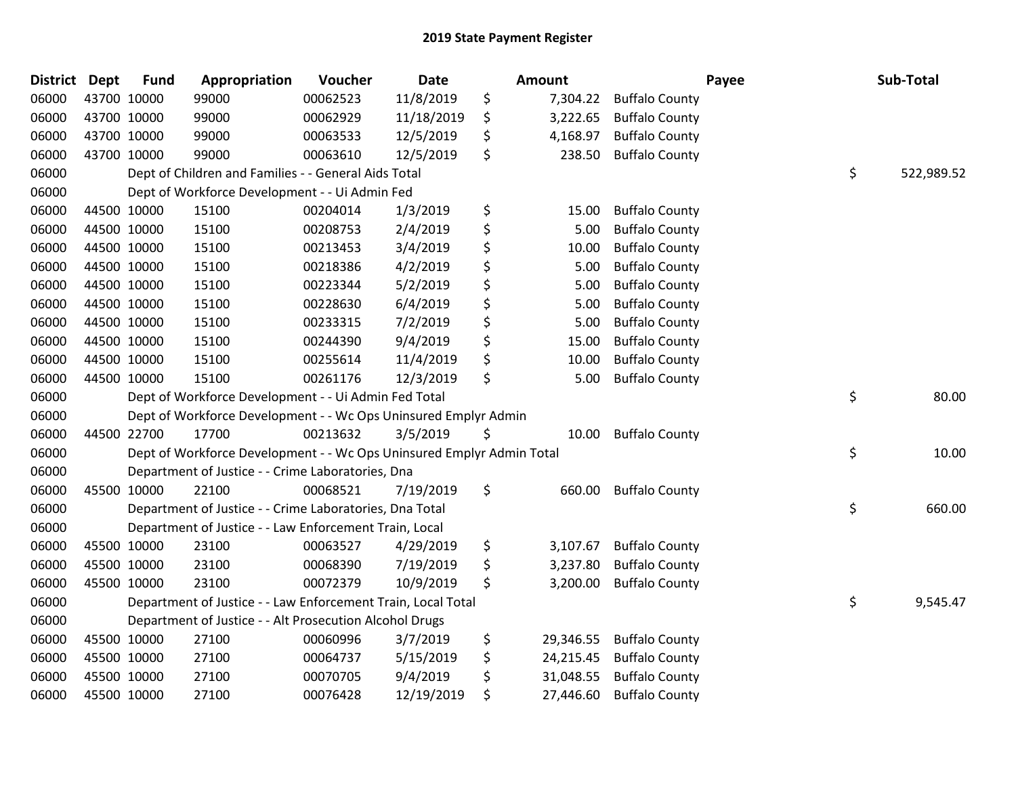| <b>District Dept</b> |             | <b>Fund</b> | Appropriation                                                         | Voucher  | <b>Date</b> | <b>Amount</b>   |                       | Payee | Sub-Total  |
|----------------------|-------------|-------------|-----------------------------------------------------------------------|----------|-------------|-----------------|-----------------------|-------|------------|
| 06000                | 43700 10000 |             | 99000                                                                 | 00062523 | 11/8/2019   | \$<br>7,304.22  | <b>Buffalo County</b> |       |            |
| 06000                | 43700 10000 |             | 99000                                                                 | 00062929 | 11/18/2019  | \$<br>3,222.65  | <b>Buffalo County</b> |       |            |
| 06000                | 43700 10000 |             | 99000                                                                 | 00063533 | 12/5/2019   | \$<br>4,168.97  | <b>Buffalo County</b> |       |            |
| 06000                | 43700 10000 |             | 99000                                                                 | 00063610 | 12/5/2019   | \$<br>238.50    | <b>Buffalo County</b> |       |            |
| 06000                |             |             | Dept of Children and Families - - General Aids Total                  |          |             |                 |                       | \$    | 522,989.52 |
| 06000                |             |             | Dept of Workforce Development - - Ui Admin Fed                        |          |             |                 |                       |       |            |
| 06000                | 44500 10000 |             | 15100                                                                 | 00204014 | 1/3/2019    | \$<br>15.00     | <b>Buffalo County</b> |       |            |
| 06000                | 44500 10000 |             | 15100                                                                 | 00208753 | 2/4/2019    | \$<br>5.00      | <b>Buffalo County</b> |       |            |
| 06000                | 44500 10000 |             | 15100                                                                 | 00213453 | 3/4/2019    | \$<br>10.00     | <b>Buffalo County</b> |       |            |
| 06000                | 44500 10000 |             | 15100                                                                 | 00218386 | 4/2/2019    | \$<br>5.00      | <b>Buffalo County</b> |       |            |
| 06000                | 44500 10000 |             | 15100                                                                 | 00223344 | 5/2/2019    | \$<br>5.00      | <b>Buffalo County</b> |       |            |
| 06000                | 44500 10000 |             | 15100                                                                 | 00228630 | 6/4/2019    | \$<br>5.00      | <b>Buffalo County</b> |       |            |
| 06000                | 44500 10000 |             | 15100                                                                 | 00233315 | 7/2/2019    | \$<br>5.00      | <b>Buffalo County</b> |       |            |
| 06000                | 44500 10000 |             | 15100                                                                 | 00244390 | 9/4/2019    | \$<br>15.00     | <b>Buffalo County</b> |       |            |
| 06000                | 44500 10000 |             | 15100                                                                 | 00255614 | 11/4/2019   | \$<br>10.00     | <b>Buffalo County</b> |       |            |
| 06000                | 44500 10000 |             | 15100                                                                 | 00261176 | 12/3/2019   | \$<br>5.00      | <b>Buffalo County</b> |       |            |
| 06000                |             |             | Dept of Workforce Development - - Ui Admin Fed Total                  |          |             |                 |                       | \$    | 80.00      |
| 06000                |             |             | Dept of Workforce Development - - Wc Ops Uninsured Emplyr Admin       |          |             |                 |                       |       |            |
| 06000                | 44500 22700 |             | 17700                                                                 | 00213632 | 3/5/2019    | \$<br>10.00     | <b>Buffalo County</b> |       |            |
| 06000                |             |             | Dept of Workforce Development - - Wc Ops Uninsured Emplyr Admin Total |          |             |                 |                       | \$    | 10.00      |
| 06000                |             |             | Department of Justice - - Crime Laboratories, Dna                     |          |             |                 |                       |       |            |
| 06000                | 45500 10000 |             | 22100                                                                 | 00068521 | 7/19/2019   | \$<br>660.00    | <b>Buffalo County</b> |       |            |
| 06000                |             |             | Department of Justice - - Crime Laboratories, Dna Total               |          |             |                 |                       | \$    | 660.00     |
| 06000                |             |             | Department of Justice - - Law Enforcement Train, Local                |          |             |                 |                       |       |            |
| 06000                | 45500 10000 |             | 23100                                                                 | 00063527 | 4/29/2019   | \$<br>3,107.67  | <b>Buffalo County</b> |       |            |
| 06000                |             | 45500 10000 | 23100                                                                 | 00068390 | 7/19/2019   | \$<br>3,237.80  | <b>Buffalo County</b> |       |            |
| 06000                | 45500 10000 |             | 23100                                                                 | 00072379 | 10/9/2019   | \$<br>3,200.00  | <b>Buffalo County</b> |       |            |
| 06000                |             |             | Department of Justice - - Law Enforcement Train, Local Total          |          |             |                 |                       | \$    | 9,545.47   |
| 06000                |             |             | Department of Justice - - Alt Prosecution Alcohol Drugs               |          |             |                 |                       |       |            |
| 06000                | 45500 10000 |             | 27100                                                                 | 00060996 | 3/7/2019    | \$<br>29,346.55 | <b>Buffalo County</b> |       |            |
| 06000                | 45500 10000 |             | 27100                                                                 | 00064737 | 5/15/2019   | \$<br>24,215.45 | <b>Buffalo County</b> |       |            |
| 06000                | 45500 10000 |             | 27100                                                                 | 00070705 | 9/4/2019    | \$<br>31,048.55 | <b>Buffalo County</b> |       |            |
| 06000                | 45500 10000 |             | 27100                                                                 | 00076428 | 12/19/2019  | \$<br>27,446.60 | <b>Buffalo County</b> |       |            |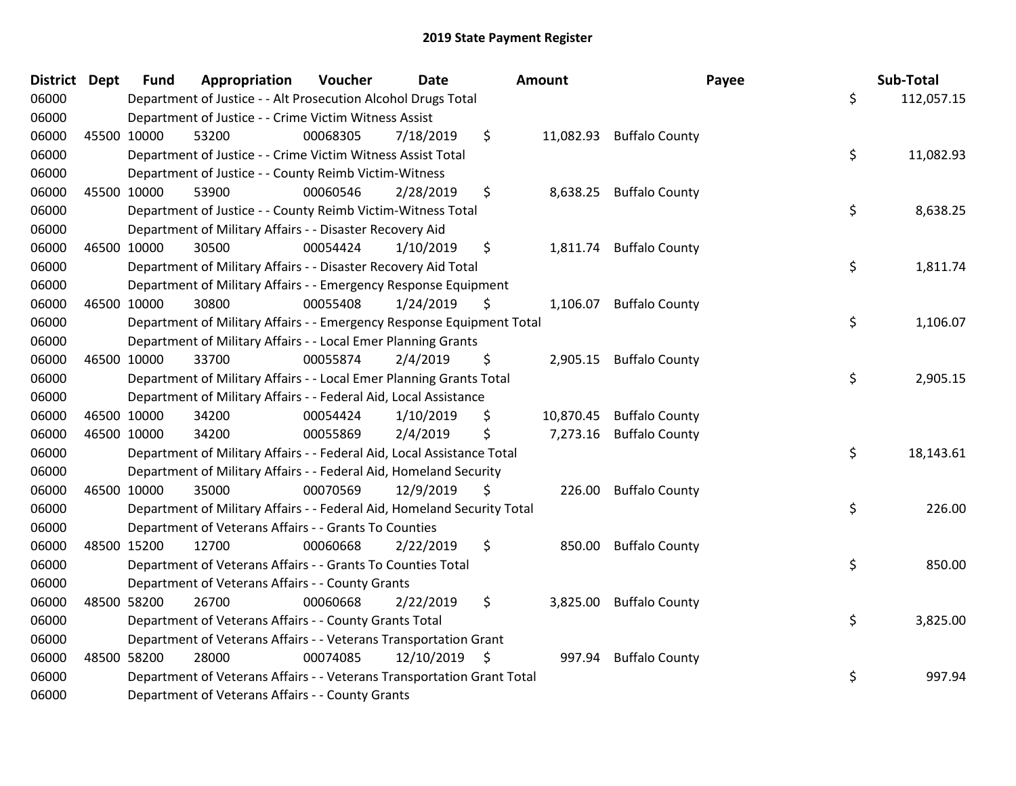| <b>District Dept</b> |             | <b>Fund</b> | Appropriation                                                           | Voucher  | <b>Date</b>   | <b>Amount</b> |           | Payee                    | Sub-Total        |
|----------------------|-------------|-------------|-------------------------------------------------------------------------|----------|---------------|---------------|-----------|--------------------------|------------------|
| 06000                |             |             | Department of Justice - - Alt Prosecution Alcohol Drugs Total           |          |               |               |           |                          | \$<br>112,057.15 |
| 06000                |             |             | Department of Justice - - Crime Victim Witness Assist                   |          |               |               |           |                          |                  |
| 06000                |             | 45500 10000 | 53200                                                                   | 00068305 | 7/18/2019     | \$            |           | 11,082.93 Buffalo County |                  |
| 06000                |             |             | Department of Justice - - Crime Victim Witness Assist Total             |          |               |               |           |                          | \$<br>11,082.93  |
| 06000                |             |             | Department of Justice - - County Reimb Victim-Witness                   |          |               |               |           |                          |                  |
| 06000                | 45500 10000 |             | 53900                                                                   | 00060546 | 2/28/2019     | \$            |           | 8,638.25 Buffalo County  |                  |
| 06000                |             |             | Department of Justice - - County Reimb Victim-Witness Total             |          |               |               |           |                          | \$<br>8,638.25   |
| 06000                |             |             | Department of Military Affairs - - Disaster Recovery Aid                |          |               |               |           |                          |                  |
| 06000                | 46500 10000 |             | 30500                                                                   | 00054424 | 1/10/2019     | \$            |           | 1,811.74 Buffalo County  |                  |
| 06000                |             |             | Department of Military Affairs - - Disaster Recovery Aid Total          |          |               |               |           |                          | \$<br>1,811.74   |
| 06000                |             |             | Department of Military Affairs - - Emergency Response Equipment         |          |               |               |           |                          |                  |
| 06000                | 46500 10000 |             | 30800                                                                   | 00055408 | 1/24/2019     | \$            | 1,106.07  | <b>Buffalo County</b>    |                  |
| 06000                |             |             | Department of Military Affairs - - Emergency Response Equipment Total   |          |               |               |           |                          | \$<br>1,106.07   |
| 06000                |             |             | Department of Military Affairs - - Local Emer Planning Grants           |          |               |               |           |                          |                  |
| 06000                | 46500 10000 |             | 33700                                                                   | 00055874 | 2/4/2019      | \$            | 2,905.15  | <b>Buffalo County</b>    |                  |
| 06000                |             |             | Department of Military Affairs - - Local Emer Planning Grants Total     |          |               |               |           |                          | \$<br>2,905.15   |
| 06000                |             |             | Department of Military Affairs - - Federal Aid, Local Assistance        |          |               |               |           |                          |                  |
| 06000                | 46500 10000 |             | 34200                                                                   | 00054424 | 1/10/2019     | \$            | 10,870.45 | <b>Buffalo County</b>    |                  |
| 06000                | 46500 10000 |             | 34200                                                                   | 00055869 | 2/4/2019      | Ś             | 7,273.16  | <b>Buffalo County</b>    |                  |
| 06000                |             |             | Department of Military Affairs - - Federal Aid, Local Assistance Total  |          |               |               |           |                          | \$<br>18,143.61  |
| 06000                |             |             | Department of Military Affairs - - Federal Aid, Homeland Security       |          |               |               |           |                          |                  |
| 06000                | 46500 10000 |             | 35000                                                                   | 00070569 | 12/9/2019     | \$            |           | 226.00 Buffalo County    |                  |
| 06000                |             |             | Department of Military Affairs - - Federal Aid, Homeland Security Total |          |               |               |           |                          | \$<br>226.00     |
| 06000                |             |             | Department of Veterans Affairs - - Grants To Counties                   |          |               |               |           |                          |                  |
| 06000                | 48500 15200 |             | 12700                                                                   | 00060668 | 2/22/2019     | \$            | 850.00    | <b>Buffalo County</b>    |                  |
| 06000                |             |             | Department of Veterans Affairs - - Grants To Counties Total             |          |               |               |           |                          | \$<br>850.00     |
| 06000                |             |             | Department of Veterans Affairs - - County Grants                        |          |               |               |           |                          |                  |
| 06000                | 48500 58200 |             | 26700                                                                   | 00060668 | 2/22/2019     | \$            |           | 3,825.00 Buffalo County  |                  |
| 06000                |             |             | Department of Veterans Affairs - - County Grants Total                  |          |               |               |           |                          | \$<br>3,825.00   |
| 06000                |             |             | Department of Veterans Affairs - - Veterans Transportation Grant        |          |               |               |           |                          |                  |
| 06000                | 48500 58200 |             | 28000                                                                   | 00074085 | 12/10/2019 \$ |               | 997.94    | <b>Buffalo County</b>    |                  |
| 06000                |             |             | Department of Veterans Affairs - - Veterans Transportation Grant Total  |          |               |               |           |                          | \$<br>997.94     |
| 06000                |             |             | Department of Veterans Affairs - - County Grants                        |          |               |               |           |                          |                  |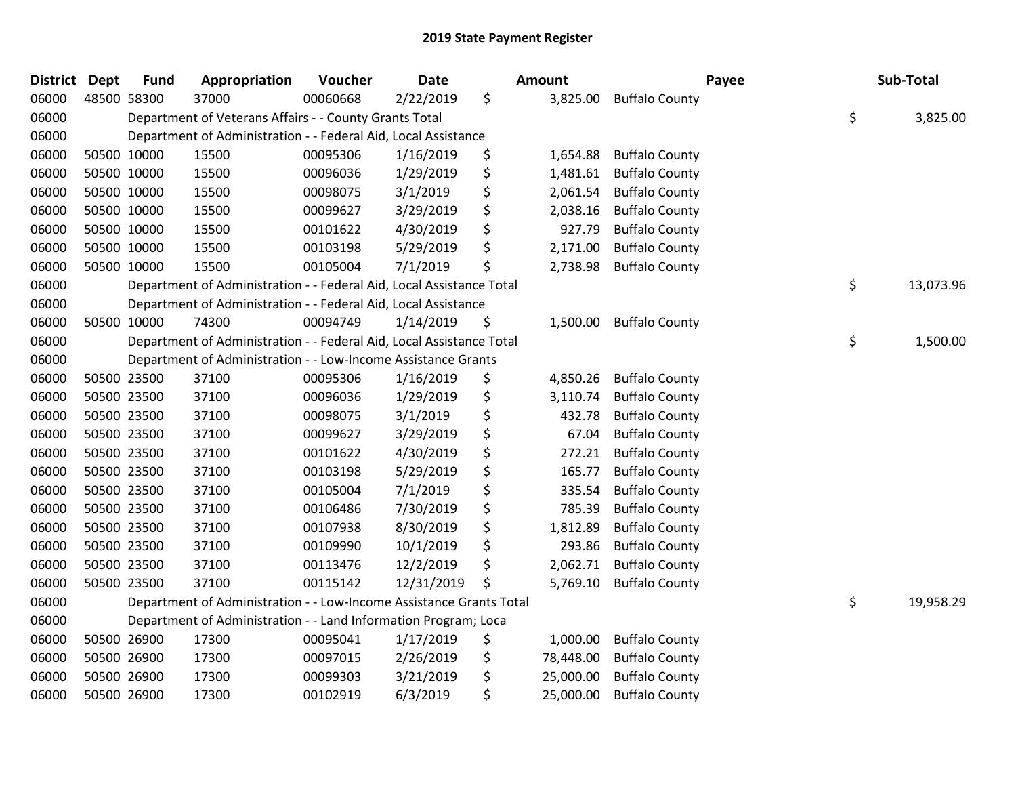| <b>District</b> | <b>Dept</b> | <b>Fund</b> | Appropriation                                                        | Voucher  | <b>Date</b> | Amount          | Payee                 | Sub-Total       |
|-----------------|-------------|-------------|----------------------------------------------------------------------|----------|-------------|-----------------|-----------------------|-----------------|
| 06000           | 48500 58300 |             | 37000                                                                | 00060668 | 2/22/2019   | \$<br>3,825.00  | <b>Buffalo County</b> |                 |
| 06000           |             |             | Department of Veterans Affairs - - County Grants Total               |          |             |                 |                       | \$<br>3,825.00  |
| 06000           |             |             | Department of Administration - - Federal Aid, Local Assistance       |          |             |                 |                       |                 |
| 06000           | 50500 10000 |             | 15500                                                                | 00095306 | 1/16/2019   | \$<br>1,654.88  | <b>Buffalo County</b> |                 |
| 06000           | 50500 10000 |             | 15500                                                                | 00096036 | 1/29/2019   | \$<br>1,481.61  | <b>Buffalo County</b> |                 |
| 06000           | 50500 10000 |             | 15500                                                                | 00098075 | 3/1/2019    | \$<br>2,061.54  | <b>Buffalo County</b> |                 |
| 06000           | 50500 10000 |             | 15500                                                                | 00099627 | 3/29/2019   | \$<br>2,038.16  | <b>Buffalo County</b> |                 |
| 06000           | 50500 10000 |             | 15500                                                                | 00101622 | 4/30/2019   | \$<br>927.79    | <b>Buffalo County</b> |                 |
| 06000           | 50500 10000 |             | 15500                                                                | 00103198 | 5/29/2019   | \$<br>2,171.00  | <b>Buffalo County</b> |                 |
| 06000           | 50500 10000 |             | 15500                                                                | 00105004 | 7/1/2019    | \$<br>2,738.98  | <b>Buffalo County</b> |                 |
| 06000           |             |             | Department of Administration - - Federal Aid, Local Assistance Total |          |             |                 |                       | \$<br>13,073.96 |
| 06000           |             |             | Department of Administration - - Federal Aid, Local Assistance       |          |             |                 |                       |                 |
| 06000           | 50500 10000 |             | 74300                                                                | 00094749 | 1/14/2019   | \$<br>1,500.00  | <b>Buffalo County</b> |                 |
| 06000           |             |             | Department of Administration - - Federal Aid, Local Assistance Total |          |             |                 |                       | \$<br>1,500.00  |
| 06000           |             |             | Department of Administration - - Low-Income Assistance Grants        |          |             |                 |                       |                 |
| 06000           | 50500 23500 |             | 37100                                                                | 00095306 | 1/16/2019   | \$<br>4,850.26  | <b>Buffalo County</b> |                 |
| 06000           | 50500 23500 |             | 37100                                                                | 00096036 | 1/29/2019   | \$<br>3,110.74  | <b>Buffalo County</b> |                 |
| 06000           | 50500 23500 |             | 37100                                                                | 00098075 | 3/1/2019    | \$<br>432.78    | <b>Buffalo County</b> |                 |
| 06000           | 50500 23500 |             | 37100                                                                | 00099627 | 3/29/2019   | \$<br>67.04     | <b>Buffalo County</b> |                 |
| 06000           | 50500 23500 |             | 37100                                                                | 00101622 | 4/30/2019   | \$<br>272.21    | <b>Buffalo County</b> |                 |
| 06000           | 50500 23500 |             | 37100                                                                | 00103198 | 5/29/2019   | \$<br>165.77    | <b>Buffalo County</b> |                 |
| 06000           | 50500 23500 |             | 37100                                                                | 00105004 | 7/1/2019    | \$<br>335.54    | <b>Buffalo County</b> |                 |
| 06000           | 50500 23500 |             | 37100                                                                | 00106486 | 7/30/2019   | \$<br>785.39    | <b>Buffalo County</b> |                 |
| 06000           | 50500 23500 |             | 37100                                                                | 00107938 | 8/30/2019   | \$<br>1,812.89  | <b>Buffalo County</b> |                 |
| 06000           | 50500 23500 |             | 37100                                                                | 00109990 | 10/1/2019   | \$<br>293.86    | <b>Buffalo County</b> |                 |
| 06000           | 50500 23500 |             | 37100                                                                | 00113476 | 12/2/2019   | \$<br>2,062.71  | <b>Buffalo County</b> |                 |
| 06000           | 50500 23500 |             | 37100                                                                | 00115142 | 12/31/2019  | \$<br>5,769.10  | <b>Buffalo County</b> |                 |
| 06000           |             |             | Department of Administration - - Low-Income Assistance Grants Total  |          |             |                 |                       | \$<br>19,958.29 |
| 06000           |             |             | Department of Administration - - Land Information Program; Loca      |          |             |                 |                       |                 |
| 06000           | 50500 26900 |             | 17300                                                                | 00095041 | 1/17/2019   | \$<br>1,000.00  | <b>Buffalo County</b> |                 |
| 06000           | 50500 26900 |             | 17300                                                                | 00097015 | 2/26/2019   | \$<br>78,448.00 | <b>Buffalo County</b> |                 |
| 06000           | 50500 26900 |             | 17300                                                                | 00099303 | 3/21/2019   | \$<br>25,000.00 | <b>Buffalo County</b> |                 |
| 06000           | 50500 26900 |             | 17300                                                                | 00102919 | 6/3/2019    | \$<br>25,000.00 | <b>Buffalo County</b> |                 |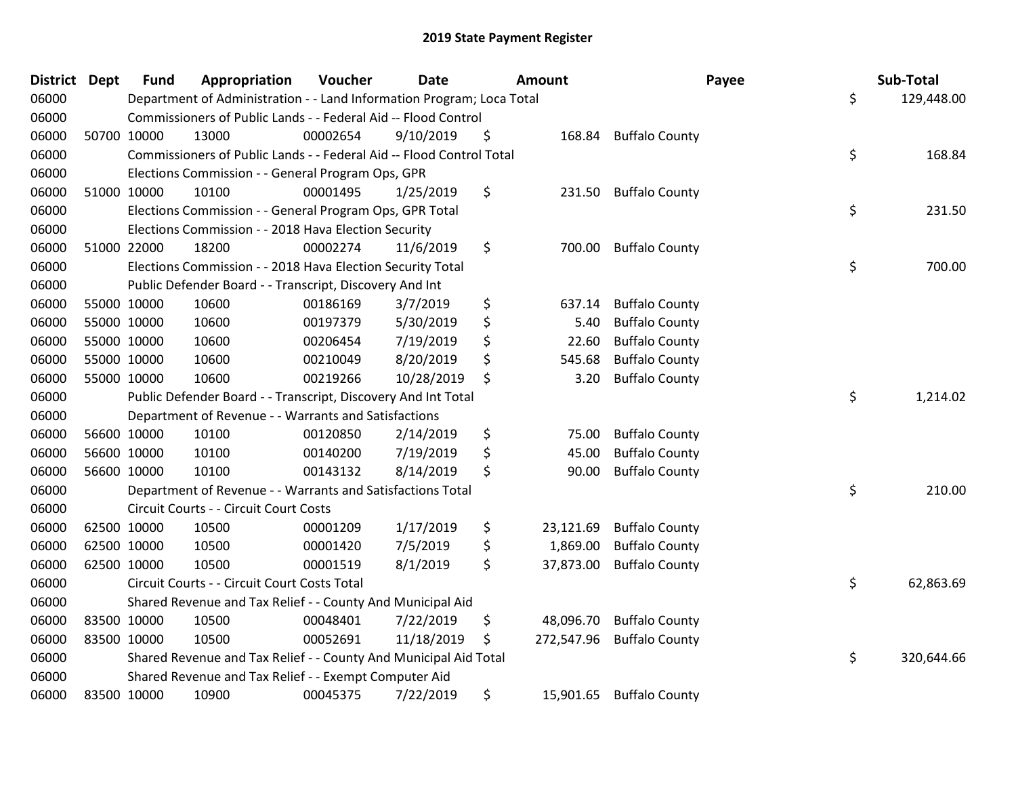| <b>District</b> | Dept        | <b>Fund</b> | Appropriation                                                         | Voucher  | Date       | <b>Amount</b>    |                       | Payee | Sub-Total  |
|-----------------|-------------|-------------|-----------------------------------------------------------------------|----------|------------|------------------|-----------------------|-------|------------|
| 06000           |             |             | Department of Administration - - Land Information Program; Loca Total |          |            |                  |                       | \$    | 129,448.00 |
| 06000           |             |             | Commissioners of Public Lands - - Federal Aid -- Flood Control        |          |            |                  |                       |       |            |
| 06000           |             | 50700 10000 | 13000                                                                 | 00002654 | 9/10/2019  | \$<br>168.84     | <b>Buffalo County</b> |       |            |
| 06000           |             |             | Commissioners of Public Lands - - Federal Aid -- Flood Control Total  |          |            |                  |                       | \$    | 168.84     |
| 06000           |             |             | Elections Commission - - General Program Ops, GPR                     |          |            |                  |                       |       |            |
| 06000           | 51000 10000 |             | 10100                                                                 | 00001495 | 1/25/2019  | \$<br>231.50     | <b>Buffalo County</b> |       |            |
| 06000           |             |             | Elections Commission - - General Program Ops, GPR Total               |          |            |                  |                       | \$    | 231.50     |
| 06000           |             |             | Elections Commission - - 2018 Hava Election Security                  |          |            |                  |                       |       |            |
| 06000           |             | 51000 22000 | 18200                                                                 | 00002274 | 11/6/2019  | \$<br>700.00     | <b>Buffalo County</b> |       |            |
| 06000           |             |             | Elections Commission - - 2018 Hava Election Security Total            |          |            |                  |                       | \$    | 700.00     |
| 06000           |             |             | Public Defender Board - - Transcript, Discovery And Int               |          |            |                  |                       |       |            |
| 06000           | 55000 10000 |             | 10600                                                                 | 00186169 | 3/7/2019   | \$<br>637.14     | <b>Buffalo County</b> |       |            |
| 06000           | 55000 10000 |             | 10600                                                                 | 00197379 | 5/30/2019  | \$<br>5.40       | <b>Buffalo County</b> |       |            |
| 06000           | 55000 10000 |             | 10600                                                                 | 00206454 | 7/19/2019  | \$<br>22.60      | <b>Buffalo County</b> |       |            |
| 06000           | 55000 10000 |             | 10600                                                                 | 00210049 | 8/20/2019  | \$<br>545.68     | <b>Buffalo County</b> |       |            |
| 06000           | 55000 10000 |             | 10600                                                                 | 00219266 | 10/28/2019 | \$<br>3.20       | <b>Buffalo County</b> |       |            |
| 06000           |             |             | Public Defender Board - - Transcript, Discovery And Int Total         |          |            |                  |                       | \$    | 1,214.02   |
| 06000           |             |             | Department of Revenue - - Warrants and Satisfactions                  |          |            |                  |                       |       |            |
| 06000           |             | 56600 10000 | 10100                                                                 | 00120850 | 2/14/2019  | \$<br>75.00      | <b>Buffalo County</b> |       |            |
| 06000           | 56600 10000 |             | 10100                                                                 | 00140200 | 7/19/2019  | \$<br>45.00      | <b>Buffalo County</b> |       |            |
| 06000           |             | 56600 10000 | 10100                                                                 | 00143132 | 8/14/2019  | \$<br>90.00      | <b>Buffalo County</b> |       |            |
| 06000           |             |             | Department of Revenue - - Warrants and Satisfactions Total            |          |            |                  |                       | \$    | 210.00     |
| 06000           |             |             | Circuit Courts - - Circuit Court Costs                                |          |            |                  |                       |       |            |
| 06000           | 62500 10000 |             | 10500                                                                 | 00001209 | 1/17/2019  | \$<br>23,121.69  | <b>Buffalo County</b> |       |            |
| 06000           | 62500 10000 |             | 10500                                                                 | 00001420 | 7/5/2019   | \$<br>1,869.00   | <b>Buffalo County</b> |       |            |
| 06000           | 62500 10000 |             | 10500                                                                 | 00001519 | 8/1/2019   | \$<br>37,873.00  | <b>Buffalo County</b> |       |            |
| 06000           |             |             | Circuit Courts - - Circuit Court Costs Total                          |          |            |                  |                       | \$    | 62,863.69  |
| 06000           |             |             | Shared Revenue and Tax Relief - - County And Municipal Aid            |          |            |                  |                       |       |            |
| 06000           | 83500 10000 |             | 10500                                                                 | 00048401 | 7/22/2019  | \$<br>48,096.70  | <b>Buffalo County</b> |       |            |
| 06000           | 83500 10000 |             | 10500                                                                 | 00052691 | 11/18/2019 | \$<br>272,547.96 | <b>Buffalo County</b> |       |            |
| 06000           |             |             | Shared Revenue and Tax Relief - - County And Municipal Aid Total      |          |            |                  |                       | \$    | 320,644.66 |
| 06000           |             |             | Shared Revenue and Tax Relief - - Exempt Computer Aid                 |          |            |                  |                       |       |            |
| 06000           | 83500 10000 |             | 10900                                                                 | 00045375 | 7/22/2019  | \$<br>15,901.65  | <b>Buffalo County</b> |       |            |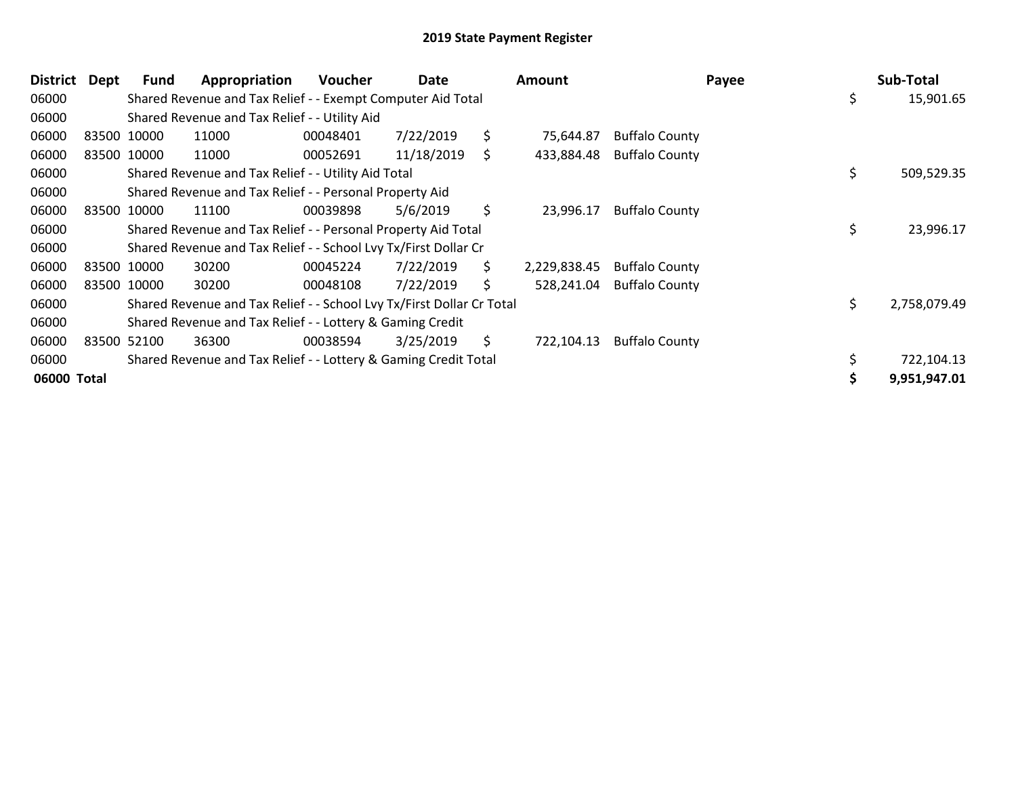| <b>District</b> | Dept | Fund        | Appropriation                                                         | <b>Voucher</b> | Date       |     | <b>Amount</b> |                       | Payee | Sub-Total    |
|-----------------|------|-------------|-----------------------------------------------------------------------|----------------|------------|-----|---------------|-----------------------|-------|--------------|
| 06000           |      |             | Shared Revenue and Tax Relief - - Exempt Computer Aid Total           |                |            |     |               |                       | \$    | 15,901.65    |
| 06000           |      |             | Shared Revenue and Tax Relief - - Utility Aid                         |                |            |     |               |                       |       |              |
| 06000           |      | 83500 10000 | 11000                                                                 | 00048401       | 7/22/2019  | \$  | 75,644.87     | <b>Buffalo County</b> |       |              |
| 06000           |      | 83500 10000 | 11000                                                                 | 00052691       | 11/18/2019 | \$. | 433,884.48    | <b>Buffalo County</b> |       |              |
| 06000           |      |             | Shared Revenue and Tax Relief - - Utility Aid Total                   |                |            |     |               |                       | \$    | 509,529.35   |
| 06000           |      |             | Shared Revenue and Tax Relief - - Personal Property Aid               |                |            |     |               |                       |       |              |
| 06000           |      | 83500 10000 | 11100                                                                 | 00039898       | 5/6/2019   | \$  | 23,996.17     | <b>Buffalo County</b> |       |              |
| 06000           |      |             | Shared Revenue and Tax Relief - - Personal Property Aid Total         |                |            |     |               |                       | \$    | 23,996.17    |
| 06000           |      |             | Shared Revenue and Tax Relief - - School Lvy Tx/First Dollar Cr       |                |            |     |               |                       |       |              |
| 06000           |      | 83500 10000 | 30200                                                                 | 00045224       | 7/22/2019  | \$. | 2,229,838.45  | <b>Buffalo County</b> |       |              |
| 06000           |      | 83500 10000 | 30200                                                                 | 00048108       | 7/22/2019  | \$  | 528,241.04    | <b>Buffalo County</b> |       |              |
| 06000           |      |             | Shared Revenue and Tax Relief - - School Lvy Tx/First Dollar Cr Total |                |            |     |               |                       | \$    | 2,758,079.49 |
| 06000           |      |             | Shared Revenue and Tax Relief - - Lottery & Gaming Credit             |                |            |     |               |                       |       |              |
| 06000           |      | 83500 52100 | 36300                                                                 | 00038594       | 3/25/2019  | \$. | 722,104.13    | <b>Buffalo County</b> |       |              |
| 06000           |      |             | Shared Revenue and Tax Relief - - Lottery & Gaming Credit Total       |                |            |     |               |                       | Ś.    | 722,104.13   |
| 06000 Total     |      |             |                                                                       |                |            |     |               |                       |       | 9,951,947.01 |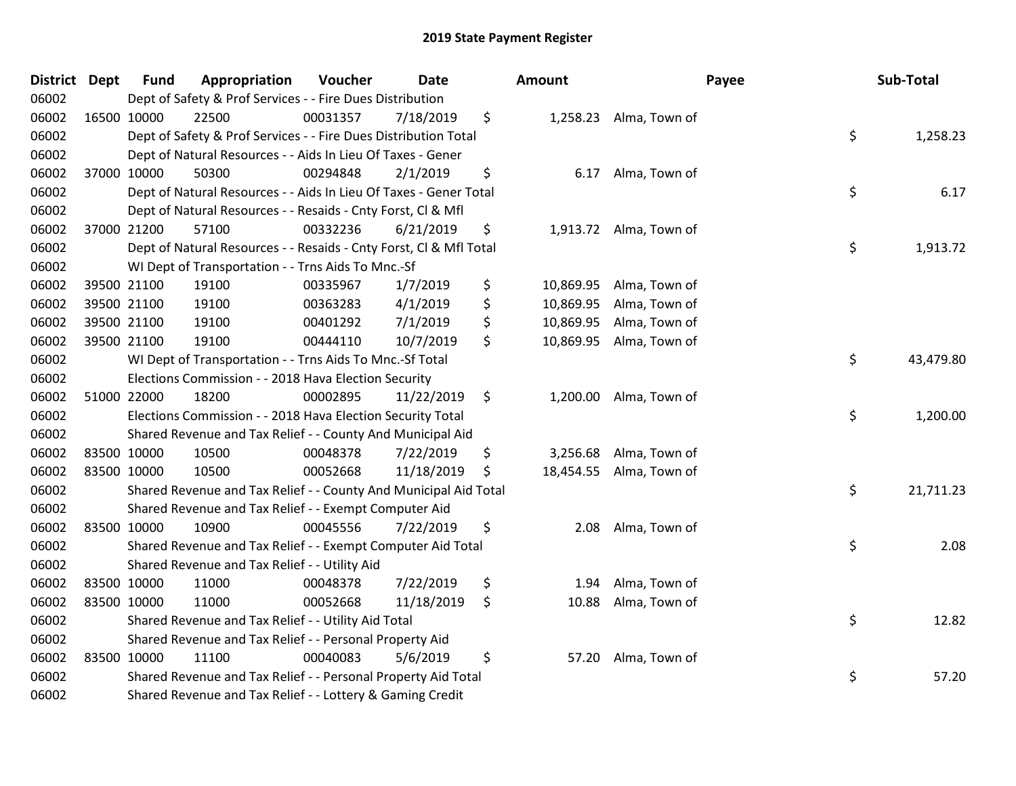| <b>District Dept</b> | <b>Fund</b> | Appropriation                                                      | Voucher  | Date       | <b>Amount</b>   |                         | Payee | Sub-Total |
|----------------------|-------------|--------------------------------------------------------------------|----------|------------|-----------------|-------------------------|-------|-----------|
| 06002                |             | Dept of Safety & Prof Services - - Fire Dues Distribution          |          |            |                 |                         |       |           |
| 06002                | 16500 10000 | 22500                                                              | 00031357 | 7/18/2019  | \$              | 1,258.23 Alma, Town of  |       |           |
| 06002                |             | Dept of Safety & Prof Services - - Fire Dues Distribution Total    |          |            |                 |                         | \$    | 1,258.23  |
| 06002                |             | Dept of Natural Resources - - Aids In Lieu Of Taxes - Gener        |          |            |                 |                         |       |           |
| 06002                | 37000 10000 | 50300                                                              | 00294848 | 2/1/2019   | \$<br>6.17      | Alma, Town of           |       |           |
| 06002                |             | Dept of Natural Resources - - Aids In Lieu Of Taxes - Gener Total  |          |            |                 |                         | \$    | 6.17      |
| 06002                |             | Dept of Natural Resources - - Resaids - Cnty Forst, Cl & Mfl       |          |            |                 |                         |       |           |
| 06002                | 37000 21200 | 57100                                                              | 00332236 | 6/21/2019  | \$<br>1,913.72  | Alma, Town of           |       |           |
| 06002                |             | Dept of Natural Resources - - Resaids - Cnty Forst, CI & Mfl Total |          |            |                 |                         | \$    | 1,913.72  |
| 06002                |             | WI Dept of Transportation - - Trns Aids To Mnc.-Sf                 |          |            |                 |                         |       |           |
| 06002                | 39500 21100 | 19100                                                              | 00335967 | 1/7/2019   | \$<br>10,869.95 | Alma, Town of           |       |           |
| 06002                | 39500 21100 | 19100                                                              | 00363283 | 4/1/2019   | \$<br>10,869.95 | Alma, Town of           |       |           |
| 06002                | 39500 21100 | 19100                                                              | 00401292 | 7/1/2019   | \$<br>10,869.95 | Alma, Town of           |       |           |
| 06002                | 39500 21100 | 19100                                                              | 00444110 | 10/7/2019  | \$<br>10,869.95 | Alma, Town of           |       |           |
| 06002                |             | WI Dept of Transportation - - Trns Aids To Mnc.-Sf Total           |          |            |                 |                         | \$    | 43,479.80 |
| 06002                |             | Elections Commission - - 2018 Hava Election Security               |          |            |                 |                         |       |           |
| 06002                | 51000 22000 | 18200                                                              | 00002895 | 11/22/2019 | \$<br>1,200.00  | Alma, Town of           |       |           |
| 06002                |             | Elections Commission - - 2018 Hava Election Security Total         |          |            |                 |                         | \$    | 1,200.00  |
| 06002                |             | Shared Revenue and Tax Relief - - County And Municipal Aid         |          |            |                 |                         |       |           |
| 06002                | 83500 10000 | 10500                                                              | 00048378 | 7/22/2019  | \$<br>3,256.68  | Alma, Town of           |       |           |
| 06002                | 83500 10000 | 10500                                                              | 00052668 | 11/18/2019 | \$              | 18,454.55 Alma, Town of |       |           |
| 06002                |             | Shared Revenue and Tax Relief - - County And Municipal Aid Total   |          |            |                 |                         | \$    | 21,711.23 |
| 06002                |             | Shared Revenue and Tax Relief - - Exempt Computer Aid              |          |            |                 |                         |       |           |
| 06002                | 83500 10000 | 10900                                                              | 00045556 | 7/22/2019  | \$<br>2.08      | Alma, Town of           |       |           |
| 06002                |             | Shared Revenue and Tax Relief - - Exempt Computer Aid Total        |          |            |                 |                         | \$    | 2.08      |
| 06002                |             | Shared Revenue and Tax Relief - - Utility Aid                      |          |            |                 |                         |       |           |
| 06002                | 83500 10000 | 11000                                                              | 00048378 | 7/22/2019  | \$<br>1.94      | Alma, Town of           |       |           |
| 06002                | 83500 10000 | 11000                                                              | 00052668 | 11/18/2019 | \$<br>10.88     | Alma, Town of           |       |           |
| 06002                |             | Shared Revenue and Tax Relief - - Utility Aid Total                |          |            |                 |                         | \$    | 12.82     |
| 06002                |             | Shared Revenue and Tax Relief - - Personal Property Aid            |          |            |                 |                         |       |           |
| 06002                | 83500 10000 | 11100                                                              | 00040083 | 5/6/2019   | \$<br>57.20     | Alma, Town of           |       |           |
| 06002                |             | Shared Revenue and Tax Relief - - Personal Property Aid Total      |          |            |                 |                         | \$    | 57.20     |
| 06002                |             | Shared Revenue and Tax Relief - - Lottery & Gaming Credit          |          |            |                 |                         |       |           |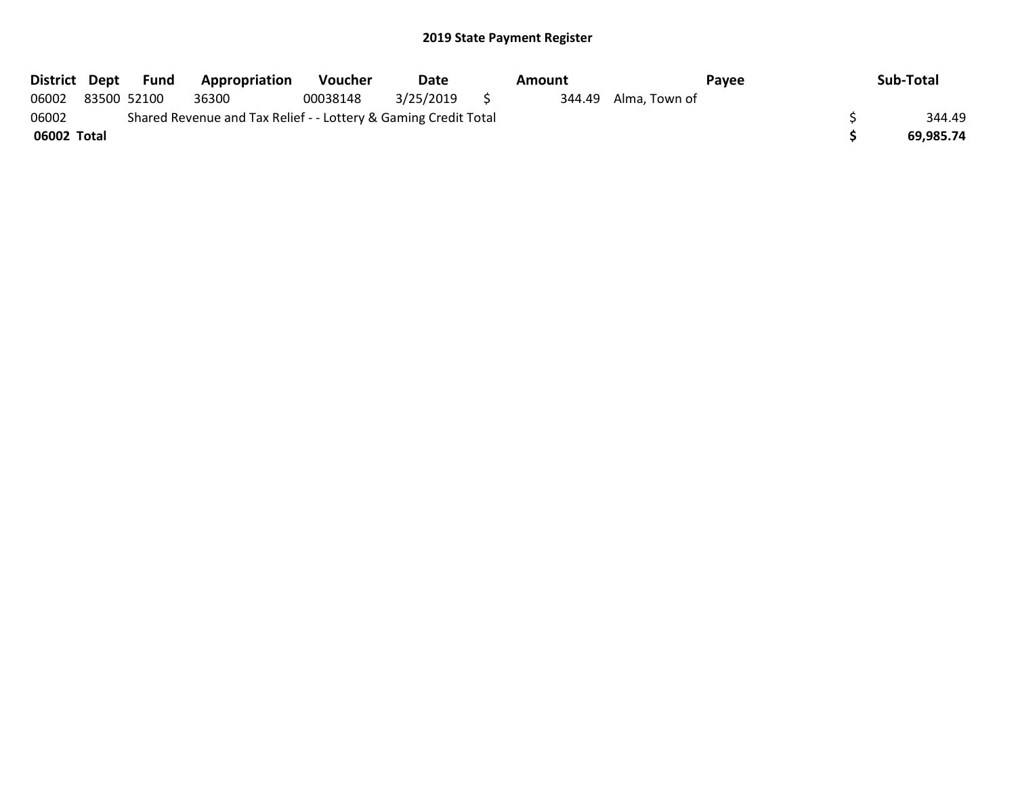| District Dept | Fund        | <b>Appropriation</b>                                            | <b>Voucher</b> | Date      |     | Amount |                      | Payee | Sub-Total |
|---------------|-------------|-----------------------------------------------------------------|----------------|-----------|-----|--------|----------------------|-------|-----------|
| 06002         | 83500 52100 | 36300                                                           | 00038148       | 3/25/2019 | - 5 |        | 344.49 Alma, Town of |       |           |
| 06002         |             | Shared Revenue and Tax Relief - - Lottery & Gaming Credit Total |                |           |     |        |                      |       | 344.49    |
| 06002 Total   |             |                                                                 |                |           |     |        |                      |       | 69.985.74 |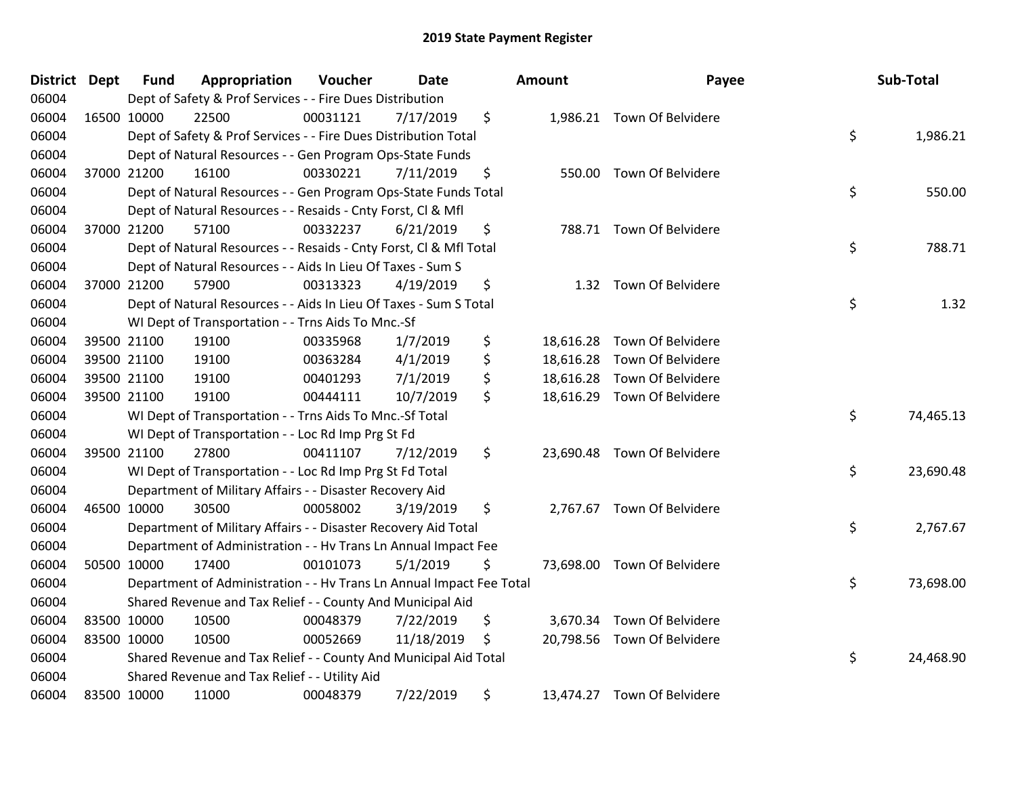| <b>District</b> | <b>Dept</b> | <b>Fund</b> | Appropriation                                                        | Voucher  | Date       | <b>Amount</b>   | Payee                       | Sub-Total       |
|-----------------|-------------|-------------|----------------------------------------------------------------------|----------|------------|-----------------|-----------------------------|-----------------|
| 06004           |             |             | Dept of Safety & Prof Services - - Fire Dues Distribution            |          |            |                 |                             |                 |
| 06004           |             | 16500 10000 | 22500                                                                | 00031121 | 7/17/2019  | \$              | 1,986.21 Town Of Belvidere  |                 |
| 06004           |             |             | Dept of Safety & Prof Services - - Fire Dues Distribution Total      |          |            |                 |                             | \$<br>1,986.21  |
| 06004           |             |             | Dept of Natural Resources - - Gen Program Ops-State Funds            |          |            |                 |                             |                 |
| 06004           |             | 37000 21200 | 16100                                                                | 00330221 | 7/11/2019  | \$              | 550.00 Town Of Belvidere    |                 |
| 06004           |             |             | Dept of Natural Resources - - Gen Program Ops-State Funds Total      |          |            |                 |                             | \$<br>550.00    |
| 06004           |             |             | Dept of Natural Resources - - Resaids - Cnty Forst, Cl & Mfl         |          |            |                 |                             |                 |
| 06004           |             | 37000 21200 | 57100                                                                | 00332237 | 6/21/2019  | \$              | 788.71 Town Of Belvidere    |                 |
| 06004           |             |             | Dept of Natural Resources - - Resaids - Cnty Forst, Cl & Mfl Total   |          |            |                 |                             | \$<br>788.71    |
| 06004           |             |             | Dept of Natural Resources - - Aids In Lieu Of Taxes - Sum S          |          |            |                 |                             |                 |
| 06004           |             | 37000 21200 | 57900                                                                | 00313323 | 4/19/2019  | \$              | 1.32 Town Of Belvidere      |                 |
| 06004           |             |             | Dept of Natural Resources - - Aids In Lieu Of Taxes - Sum S Total    |          |            |                 |                             | \$<br>1.32      |
| 06004           |             |             | WI Dept of Transportation - - Trns Aids To Mnc.-Sf                   |          |            |                 |                             |                 |
| 06004           |             | 39500 21100 | 19100                                                                | 00335968 | 1/7/2019   | \$<br>18,616.28 | Town Of Belvidere           |                 |
| 06004           |             | 39500 21100 | 19100                                                                | 00363284 | 4/1/2019   | \$              | 18,616.28 Town Of Belvidere |                 |
| 06004           |             | 39500 21100 | 19100                                                                | 00401293 | 7/1/2019   | \$              | 18,616.28 Town Of Belvidere |                 |
| 06004           |             | 39500 21100 | 19100                                                                | 00444111 | 10/7/2019  | \$              | 18,616.29 Town Of Belvidere |                 |
| 06004           |             |             | WI Dept of Transportation - - Trns Aids To Mnc.-Sf Total             |          |            |                 |                             | \$<br>74,465.13 |
| 06004           |             |             | WI Dept of Transportation - - Loc Rd Imp Prg St Fd                   |          |            |                 |                             |                 |
| 06004           |             | 39500 21100 | 27800                                                                | 00411107 | 7/12/2019  | \$              | 23,690.48 Town Of Belvidere |                 |
| 06004           |             |             | WI Dept of Transportation - - Loc Rd Imp Prg St Fd Total             |          |            |                 |                             | \$<br>23,690.48 |
| 06004           |             |             | Department of Military Affairs - - Disaster Recovery Aid             |          |            |                 |                             |                 |
| 06004           |             | 46500 10000 | 30500                                                                | 00058002 | 3/19/2019  | \$              | 2,767.67 Town Of Belvidere  |                 |
| 06004           |             |             | Department of Military Affairs - - Disaster Recovery Aid Total       |          |            |                 |                             | \$<br>2,767.67  |
| 06004           |             |             | Department of Administration - - Hv Trans Ln Annual Impact Fee       |          |            |                 |                             |                 |
| 06004           |             | 50500 10000 | 17400                                                                | 00101073 | 5/1/2019   | \$              | 73,698.00 Town Of Belvidere |                 |
| 06004           |             |             | Department of Administration - - Hv Trans Ln Annual Impact Fee Total |          |            |                 |                             | \$<br>73,698.00 |
| 06004           |             |             | Shared Revenue and Tax Relief - - County And Municipal Aid           |          |            |                 |                             |                 |
| 06004           |             | 83500 10000 | 10500                                                                | 00048379 | 7/22/2019  | \$              | 3,670.34 Town Of Belvidere  |                 |
| 06004           |             | 83500 10000 | 10500                                                                | 00052669 | 11/18/2019 | \$              | 20,798.56 Town Of Belvidere |                 |
| 06004           |             |             | Shared Revenue and Tax Relief - - County And Municipal Aid Total     |          |            |                 |                             | \$<br>24,468.90 |
| 06004           |             |             | Shared Revenue and Tax Relief - - Utility Aid                        |          |            |                 |                             |                 |
| 06004           |             | 83500 10000 | 11000                                                                | 00048379 | 7/22/2019  | \$              | 13,474.27 Town Of Belvidere |                 |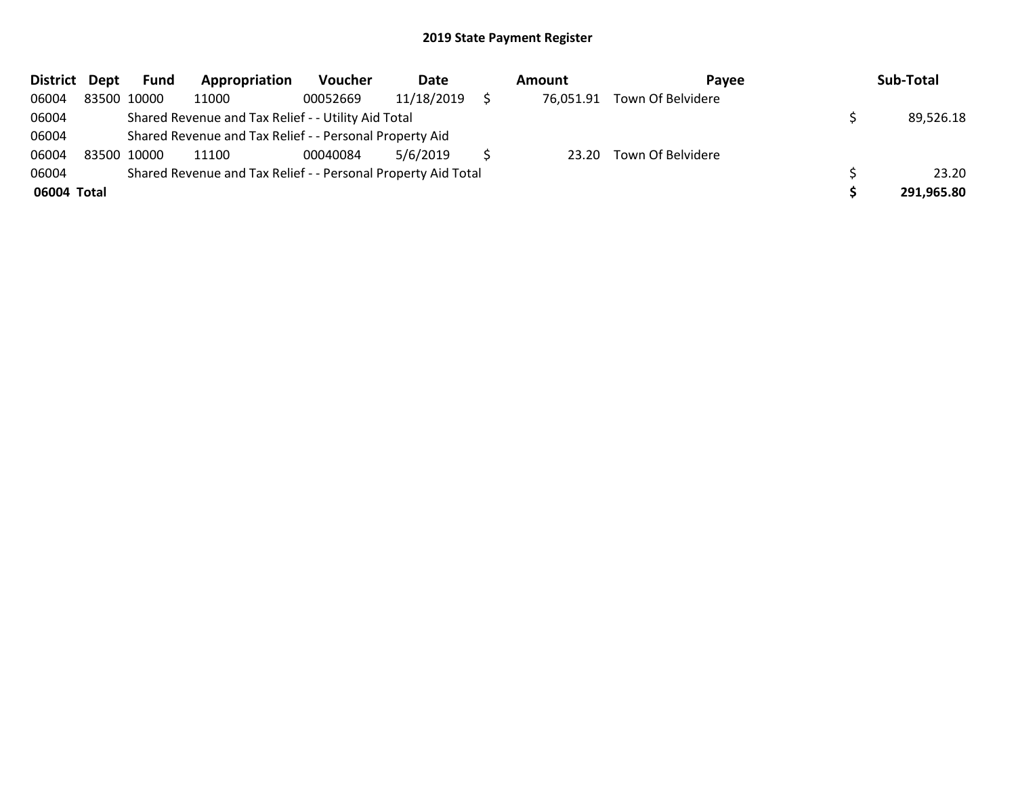| <b>District</b> | Dept | Fund        | Appropriation                                                 | Voucher  | Date       | Amount    | <b>Pavee</b>      | Sub-Total  |
|-----------------|------|-------------|---------------------------------------------------------------|----------|------------|-----------|-------------------|------------|
| 06004           |      | 83500 10000 | 11000                                                         | 00052669 | 11/18/2019 | 76,051.91 | Town Of Belvidere |            |
| 06004           |      |             | Shared Revenue and Tax Relief - - Utility Aid Total           |          |            |           |                   | 89,526.18  |
| 06004           |      |             | Shared Revenue and Tax Relief - - Personal Property Aid       |          |            |           |                   |            |
| 06004           |      | 83500 10000 | 11100                                                         | 00040084 | 5/6/2019   | 23.20     | Town Of Belvidere |            |
| 06004           |      |             | Shared Revenue and Tax Relief - - Personal Property Aid Total |          |            |           |                   | 23.20      |
| 06004 Total     |      |             |                                                               |          |            |           |                   | 291,965.80 |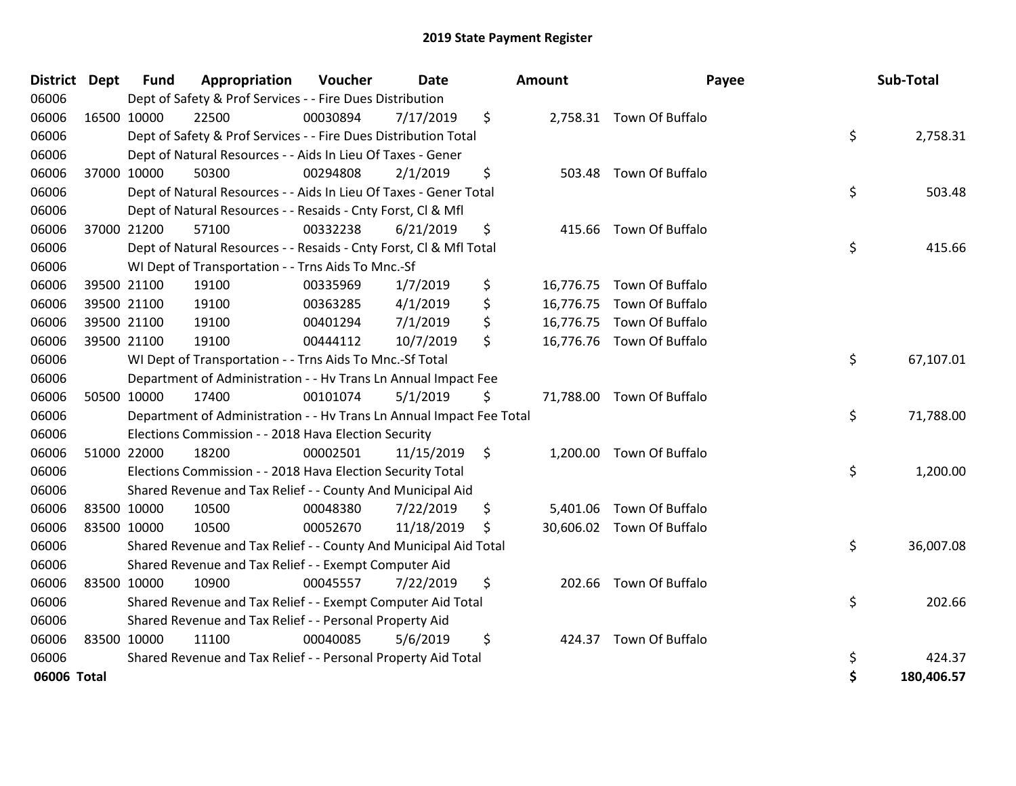| <b>District</b> | <b>Dept</b> | <b>Fund</b> | Appropriation                                                        | <b>Voucher</b> | <b>Date</b> |    | <b>Amount</b> | Payee                     | Sub-Total        |
|-----------------|-------------|-------------|----------------------------------------------------------------------|----------------|-------------|----|---------------|---------------------------|------------------|
| 06006           |             |             | Dept of Safety & Prof Services - - Fire Dues Distribution            |                |             |    |               |                           |                  |
| 06006           | 16500 10000 |             | 22500                                                                | 00030894       | 7/17/2019   | \$ |               | 2,758.31 Town Of Buffalo  |                  |
| 06006           |             |             | Dept of Safety & Prof Services - - Fire Dues Distribution Total      |                |             |    |               |                           | \$<br>2,758.31   |
| 06006           |             |             | Dept of Natural Resources - - Aids In Lieu Of Taxes - Gener          |                |             |    |               |                           |                  |
| 06006           |             | 37000 10000 | 50300                                                                | 00294808       | 2/1/2019    | \$ | 503.48        | Town Of Buffalo           |                  |
| 06006           |             |             | Dept of Natural Resources - - Aids In Lieu Of Taxes - Gener Total    |                |             |    |               |                           | \$<br>503.48     |
| 06006           |             |             | Dept of Natural Resources - - Resaids - Cnty Forst, Cl & Mfl         |                |             |    |               |                           |                  |
| 06006           |             | 37000 21200 | 57100                                                                | 00332238       | 6/21/2019   | \$ | 415.66        | Town Of Buffalo           |                  |
| 06006           |             |             | Dept of Natural Resources - - Resaids - Cnty Forst, Cl & Mfl Total   |                |             |    |               |                           | \$<br>415.66     |
| 06006           |             |             | WI Dept of Transportation - - Trns Aids To Mnc.-Sf                   |                |             |    |               |                           |                  |
| 06006           |             | 39500 21100 | 19100                                                                | 00335969       | 1/7/2019    | \$ | 16,776.75     | Town Of Buffalo           |                  |
| 06006           |             | 39500 21100 | 19100                                                                | 00363285       | 4/1/2019    | \$ | 16,776.75     | Town Of Buffalo           |                  |
| 06006           |             | 39500 21100 | 19100                                                                | 00401294       | 7/1/2019    | \$ |               | 16,776.75 Town Of Buffalo |                  |
| 06006           | 39500 21100 |             | 19100                                                                | 00444112       | 10/7/2019   | \$ |               | 16,776.76 Town Of Buffalo |                  |
| 06006           |             |             | WI Dept of Transportation - - Trns Aids To Mnc.-Sf Total             |                |             |    |               |                           | \$<br>67,107.01  |
| 06006           |             |             | Department of Administration - - Hv Trans Ln Annual Impact Fee       |                |             |    |               |                           |                  |
| 06006           |             | 50500 10000 | 17400                                                                | 00101074       | 5/1/2019    | \$ |               | 71,788.00 Town Of Buffalo |                  |
| 06006           |             |             | Department of Administration - - Hv Trans Ln Annual Impact Fee Total |                |             |    |               |                           | \$<br>71,788.00  |
| 06006           |             |             | Elections Commission - - 2018 Hava Election Security                 |                |             |    |               |                           |                  |
| 06006           |             | 51000 22000 | 18200                                                                | 00002501       | 11/15/2019  | \$ |               | 1,200.00 Town Of Buffalo  |                  |
| 06006           |             |             | Elections Commission - - 2018 Hava Election Security Total           |                |             |    |               |                           | \$<br>1,200.00   |
| 06006           |             |             | Shared Revenue and Tax Relief - - County And Municipal Aid           |                |             |    |               |                           |                  |
| 06006           | 83500 10000 |             | 10500                                                                | 00048380       | 7/22/2019   | \$ | 5,401.06      | Town Of Buffalo           |                  |
| 06006           | 83500 10000 |             | 10500                                                                | 00052670       | 11/18/2019  | S  |               | 30,606.02 Town Of Buffalo |                  |
| 06006           |             |             | Shared Revenue and Tax Relief - - County And Municipal Aid Total     |                |             |    |               |                           | \$<br>36,007.08  |
| 06006           |             |             | Shared Revenue and Tax Relief - - Exempt Computer Aid                |                |             |    |               |                           |                  |
| 06006           | 83500 10000 |             | 10900                                                                | 00045557       | 7/22/2019   | \$ | 202.66        | Town Of Buffalo           |                  |
| 06006           |             |             | Shared Revenue and Tax Relief - - Exempt Computer Aid Total          |                |             |    |               |                           | \$<br>202.66     |
| 06006           |             |             | Shared Revenue and Tax Relief - - Personal Property Aid              |                |             |    |               |                           |                  |
| 06006           | 83500 10000 |             | 11100                                                                | 00040085       | 5/6/2019    | \$ |               | 424.37 Town Of Buffalo    |                  |
| 06006           |             |             | Shared Revenue and Tax Relief - - Personal Property Aid Total        |                |             |    |               |                           | \$<br>424.37     |
| 06006 Total     |             |             |                                                                      |                |             |    |               |                           | \$<br>180,406.57 |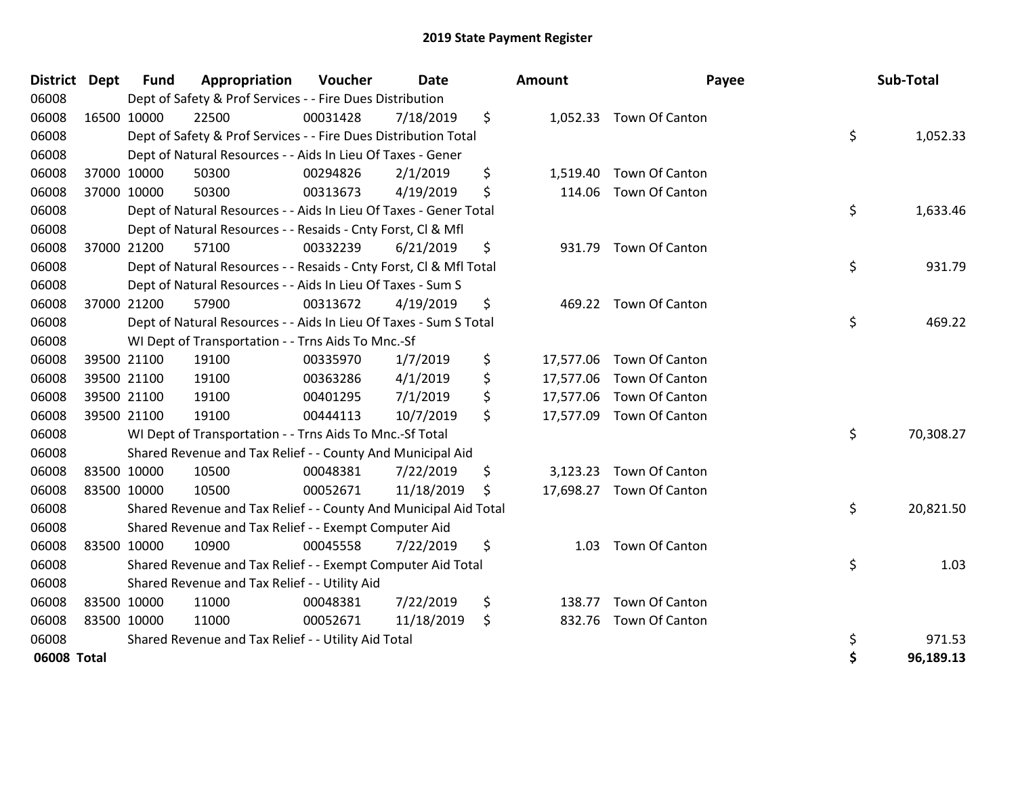| District Dept | <b>Fund</b> | Appropriation                                                      | Voucher  | <b>Date</b> | Amount          | Payee                    | Sub-Total       |
|---------------|-------------|--------------------------------------------------------------------|----------|-------------|-----------------|--------------------------|-----------------|
| 06008         |             | Dept of Safety & Prof Services - - Fire Dues Distribution          |          |             |                 |                          |                 |
| 06008         | 16500 10000 | 22500                                                              | 00031428 | 7/18/2019   | \$              | 1,052.33 Town Of Canton  |                 |
| 06008         |             | Dept of Safety & Prof Services - - Fire Dues Distribution Total    |          |             |                 |                          | \$<br>1,052.33  |
| 06008         |             | Dept of Natural Resources - - Aids In Lieu Of Taxes - Gener        |          |             |                 |                          |                 |
| 06008         | 37000 10000 | 50300                                                              | 00294826 | 2/1/2019    | \$<br>1,519.40  | Town Of Canton           |                 |
| 06008         | 37000 10000 | 50300                                                              | 00313673 | 4/19/2019   | \$              | 114.06 Town Of Canton    |                 |
| 06008         |             | Dept of Natural Resources - - Aids In Lieu Of Taxes - Gener Total  |          |             |                 |                          | \$<br>1,633.46  |
| 06008         |             | Dept of Natural Resources - - Resaids - Cnty Forst, Cl & Mfl       |          |             |                 |                          |                 |
| 06008         | 37000 21200 | 57100                                                              | 00332239 | 6/21/2019   | \$<br>931.79    | Town Of Canton           |                 |
| 06008         |             | Dept of Natural Resources - - Resaids - Cnty Forst, Cl & Mfl Total |          |             |                 |                          | \$<br>931.79    |
| 06008         |             | Dept of Natural Resources - - Aids In Lieu Of Taxes - Sum S        |          |             |                 |                          |                 |
| 06008         | 37000 21200 | 57900                                                              | 00313672 | 4/19/2019   | \$              | 469.22 Town Of Canton    |                 |
| 06008         |             | Dept of Natural Resources - - Aids In Lieu Of Taxes - Sum S Total  |          |             |                 |                          | \$<br>469.22    |
| 06008         |             | WI Dept of Transportation - - Trns Aids To Mnc.-Sf                 |          |             |                 |                          |                 |
| 06008         | 39500 21100 | 19100                                                              | 00335970 | 1/7/2019    | \$<br>17,577.06 | Town Of Canton           |                 |
| 06008         | 39500 21100 | 19100                                                              | 00363286 | 4/1/2019    | \$              | 17,577.06 Town Of Canton |                 |
| 06008         | 39500 21100 | 19100                                                              | 00401295 | 7/1/2019    | \$<br>17,577.06 | Town Of Canton           |                 |
| 06008         | 39500 21100 | 19100                                                              | 00444113 | 10/7/2019   | \$              | 17,577.09 Town Of Canton |                 |
| 06008         |             | WI Dept of Transportation - - Trns Aids To Mnc.-Sf Total           |          |             |                 |                          | \$<br>70,308.27 |
| 06008         |             | Shared Revenue and Tax Relief - - County And Municipal Aid         |          |             |                 |                          |                 |
| 06008         | 83500 10000 | 10500                                                              | 00048381 | 7/22/2019   | \$<br>3,123.23  | Town Of Canton           |                 |
| 06008         | 83500 10000 | 10500                                                              | 00052671 | 11/18/2019  | \$              | 17,698.27 Town Of Canton |                 |
| 06008         |             | Shared Revenue and Tax Relief - - County And Municipal Aid Total   |          |             |                 |                          | \$<br>20,821.50 |
| 06008         |             | Shared Revenue and Tax Relief - - Exempt Computer Aid              |          |             |                 |                          |                 |
| 06008         | 83500 10000 | 10900                                                              | 00045558 | 7/22/2019   | \$<br>1.03      | Town Of Canton           |                 |
| 06008         |             | Shared Revenue and Tax Relief - - Exempt Computer Aid Total        |          |             |                 |                          | \$<br>1.03      |
| 06008         |             | Shared Revenue and Tax Relief - - Utility Aid                      |          |             |                 |                          |                 |
| 06008         | 83500 10000 | 11000                                                              | 00048381 | 7/22/2019   | \$<br>138.77    | Town Of Canton           |                 |
| 06008         | 83500 10000 | 11000                                                              | 00052671 | 11/18/2019  | \$<br>832.76    | Town Of Canton           |                 |
| 06008         |             | Shared Revenue and Tax Relief - - Utility Aid Total                |          |             |                 |                          | \$<br>971.53    |
| 06008 Total   |             |                                                                    |          |             |                 |                          | \$<br>96,189.13 |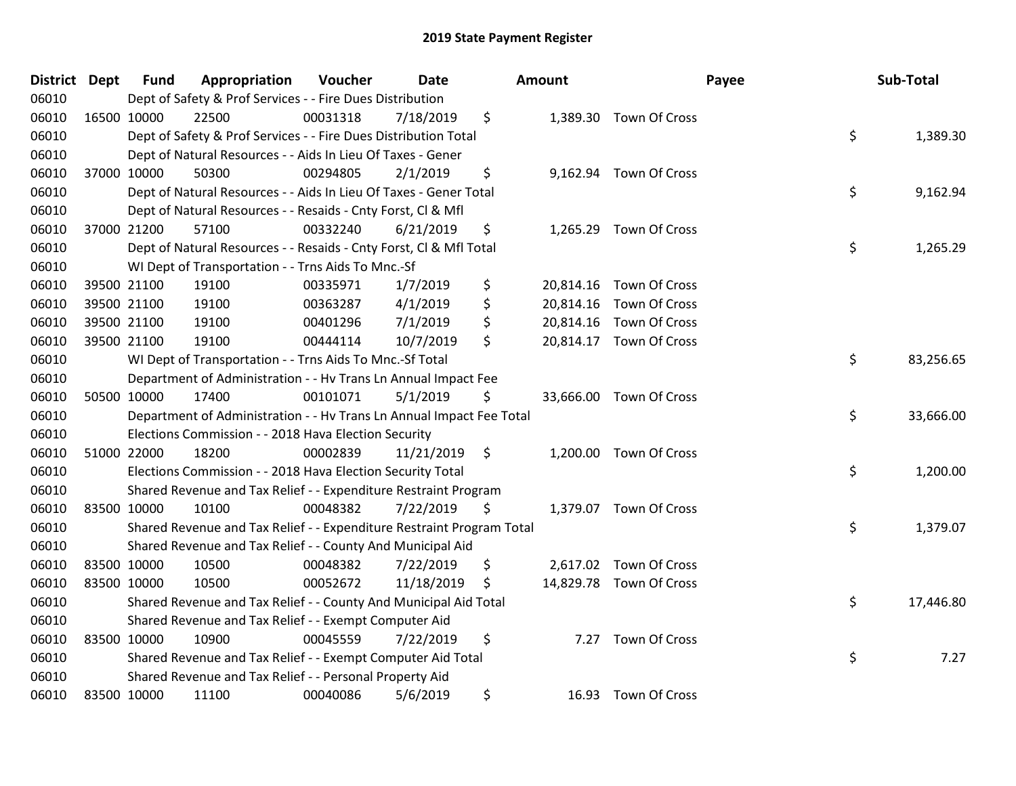| District Dept |             | <b>Fund</b> | Appropriation                                                         | Voucher  | <b>Date</b> | Amount         |                         | Payee | Sub-Total |
|---------------|-------------|-------------|-----------------------------------------------------------------------|----------|-------------|----------------|-------------------------|-------|-----------|
| 06010         |             |             | Dept of Safety & Prof Services - - Fire Dues Distribution             |          |             |                |                         |       |           |
| 06010         | 16500 10000 |             | 22500                                                                 | 00031318 | 7/18/2019   | \$             | 1,389.30 Town Of Cross  |       |           |
| 06010         |             |             | Dept of Safety & Prof Services - - Fire Dues Distribution Total       |          |             |                |                         | \$    | 1,389.30  |
| 06010         |             |             | Dept of Natural Resources - - Aids In Lieu Of Taxes - Gener           |          |             |                |                         |       |           |
| 06010         |             | 37000 10000 | 50300                                                                 | 00294805 | 2/1/2019    | \$<br>9,162.94 | Town Of Cross           |       |           |
| 06010         |             |             | Dept of Natural Resources - - Aids In Lieu Of Taxes - Gener Total     |          |             |                |                         | \$    | 9,162.94  |
| 06010         |             |             | Dept of Natural Resources - - Resaids - Cnty Forst, Cl & Mfl          |          |             |                |                         |       |           |
| 06010         |             | 37000 21200 | 57100                                                                 | 00332240 | 6/21/2019   | \$             | 1,265.29 Town Of Cross  |       |           |
| 06010         |             |             | Dept of Natural Resources - - Resaids - Cnty Forst, Cl & Mfl Total    |          |             |                |                         | \$    | 1,265.29  |
| 06010         |             |             | WI Dept of Transportation - - Trns Aids To Mnc.-Sf                    |          |             |                |                         |       |           |
| 06010         |             | 39500 21100 | 19100                                                                 | 00335971 | 1/7/2019    | \$             | 20,814.16 Town Of Cross |       |           |
| 06010         | 39500 21100 |             | 19100                                                                 | 00363287 | 4/1/2019    | \$             | 20,814.16 Town Of Cross |       |           |
| 06010         |             | 39500 21100 | 19100                                                                 | 00401296 | 7/1/2019    | \$             | 20,814.16 Town Of Cross |       |           |
| 06010         |             | 39500 21100 | 19100                                                                 | 00444114 | 10/7/2019   | \$             | 20,814.17 Town Of Cross |       |           |
| 06010         |             |             | WI Dept of Transportation - - Trns Aids To Mnc.-Sf Total              |          |             |                |                         | \$    | 83,256.65 |
| 06010         |             |             | Department of Administration - - Hv Trans Ln Annual Impact Fee        |          |             |                |                         |       |           |
| 06010         |             | 50500 10000 | 17400                                                                 | 00101071 | 5/1/2019    | \$             | 33,666.00 Town Of Cross |       |           |
| 06010         |             |             | Department of Administration - - Hv Trans Ln Annual Impact Fee Total  |          |             |                |                         | \$    | 33,666.00 |
| 06010         |             |             | Elections Commission - - 2018 Hava Election Security                  |          |             |                |                         |       |           |
| 06010         |             | 51000 22000 | 18200                                                                 | 00002839 | 11/21/2019  | \$             | 1,200.00 Town Of Cross  |       |           |
| 06010         |             |             | Elections Commission - - 2018 Hava Election Security Total            |          |             |                |                         | \$    | 1,200.00  |
| 06010         |             |             | Shared Revenue and Tax Relief - - Expenditure Restraint Program       |          |             |                |                         |       |           |
| 06010         | 83500 10000 |             | 10100                                                                 | 00048382 | 7/22/2019   | \$             | 1,379.07 Town Of Cross  |       |           |
| 06010         |             |             | Shared Revenue and Tax Relief - - Expenditure Restraint Program Total |          |             |                |                         | \$    | 1,379.07  |
| 06010         |             |             | Shared Revenue and Tax Relief - - County And Municipal Aid            |          |             |                |                         |       |           |
| 06010         | 83500 10000 |             | 10500                                                                 | 00048382 | 7/22/2019   | \$             | 2,617.02 Town Of Cross  |       |           |
| 06010         | 83500 10000 |             | 10500                                                                 | 00052672 | 11/18/2019  | \$             | 14,829.78 Town Of Cross |       |           |
| 06010         |             |             | Shared Revenue and Tax Relief - - County And Municipal Aid Total      |          |             |                |                         | \$    | 17,446.80 |
| 06010         |             |             | Shared Revenue and Tax Relief - - Exempt Computer Aid                 |          |             |                |                         |       |           |
| 06010         | 83500 10000 |             | 10900                                                                 | 00045559 | 7/22/2019   | \$<br>7.27     | Town Of Cross           |       |           |
| 06010         |             |             | Shared Revenue and Tax Relief - - Exempt Computer Aid Total           |          |             |                |                         | \$    | 7.27      |
| 06010         |             |             | Shared Revenue and Tax Relief - - Personal Property Aid               |          |             |                |                         |       |           |
| 06010         |             | 83500 10000 | 11100                                                                 | 00040086 | 5/6/2019    | \$<br>16.93    | <b>Town Of Cross</b>    |       |           |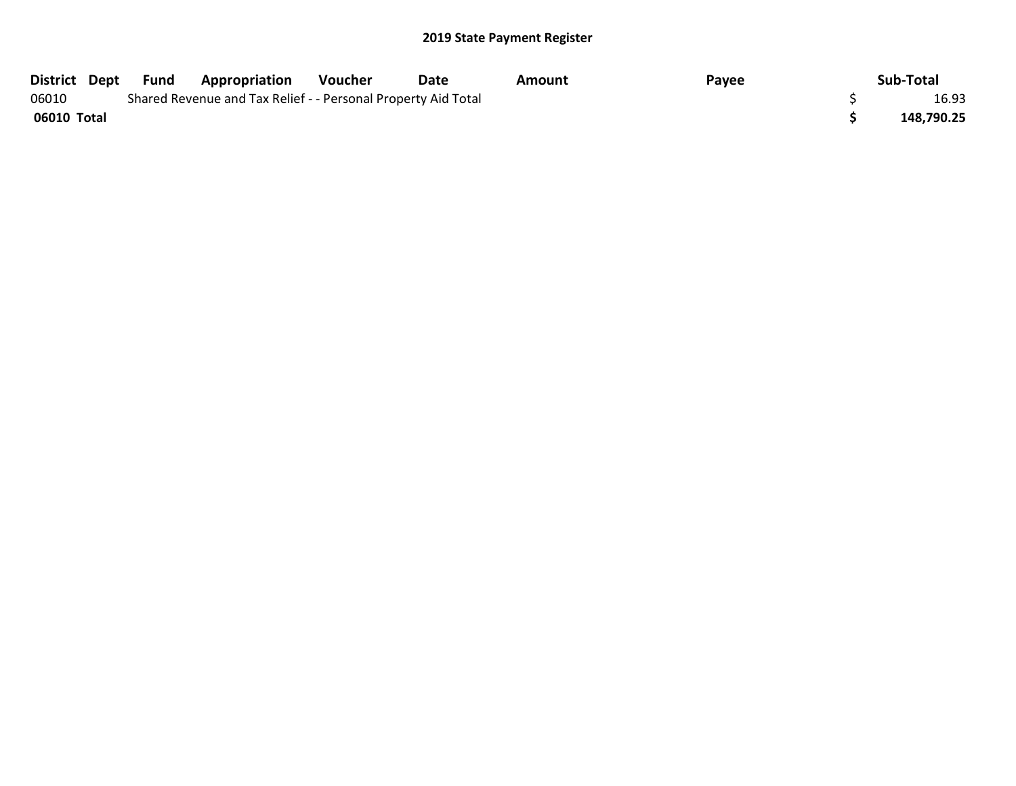| District Dept | Fund | <b>Appropriation</b>                                          | Voucher | Date | Amount | Payee | Sub-Total  |
|---------------|------|---------------------------------------------------------------|---------|------|--------|-------|------------|
| 06010         |      | Shared Revenue and Tax Relief - - Personal Property Aid Total |         |      |        |       | 16.93      |
| 06010 Total   |      |                                                               |         |      |        |       | 148,790.25 |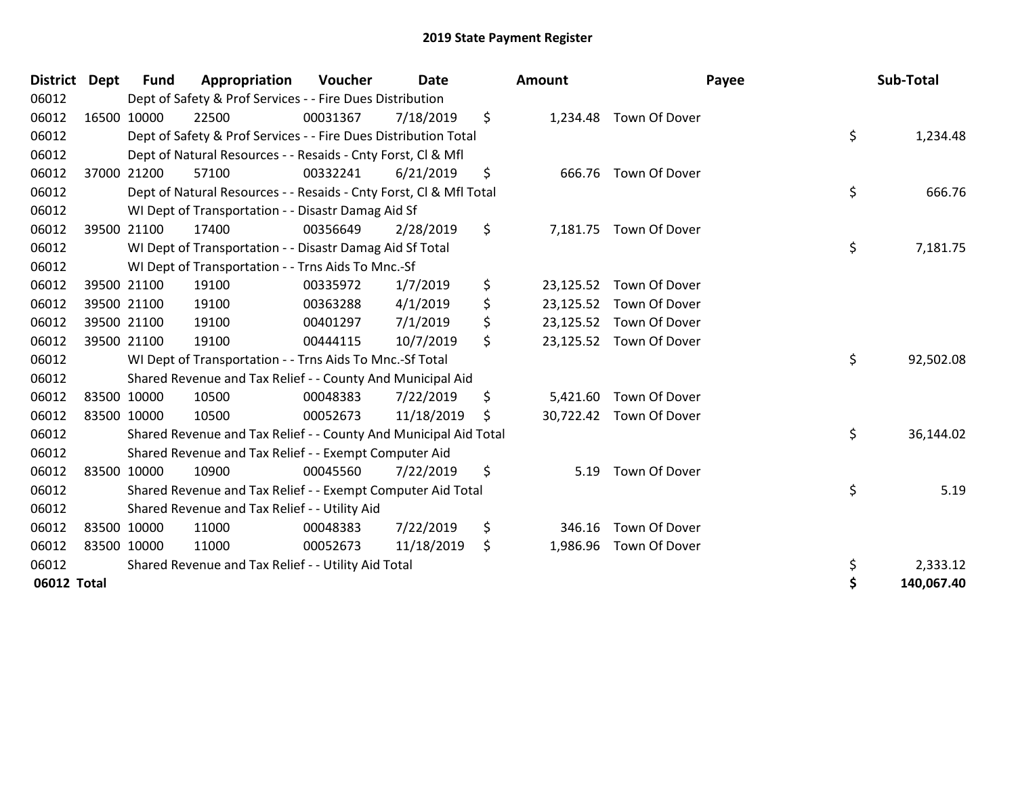| <b>District Dept</b> |             | <b>Fund</b> | Appropriation                                                      | Voucher  | <b>Date</b> |     | <b>Amount</b> |                         | Payee | Sub-Total  |
|----------------------|-------------|-------------|--------------------------------------------------------------------|----------|-------------|-----|---------------|-------------------------|-------|------------|
| 06012                |             |             | Dept of Safety & Prof Services - - Fire Dues Distribution          |          |             |     |               |                         |       |            |
| 06012                |             | 16500 10000 | 22500                                                              | 00031367 | 7/18/2019   | \$  |               | 1,234.48 Town Of Dover  |       |            |
| 06012                |             |             | Dept of Safety & Prof Services - - Fire Dues Distribution Total    |          |             |     |               |                         | \$    | 1,234.48   |
| 06012                |             |             | Dept of Natural Resources - - Resaids - Cnty Forst, CI & Mfl       |          |             |     |               |                         |       |            |
| 06012                |             | 37000 21200 | 57100                                                              | 00332241 | 6/21/2019   | \$  |               | 666.76 Town Of Dover    |       |            |
| 06012                |             |             | Dept of Natural Resources - - Resaids - Cnty Forst, Cl & Mfl Total |          |             |     |               |                         | \$    | 666.76     |
| 06012                |             |             | WI Dept of Transportation - - Disastr Damag Aid Sf                 |          |             |     |               |                         |       |            |
| 06012                |             | 39500 21100 | 17400                                                              | 00356649 | 2/28/2019   | \$  |               | 7,181.75 Town Of Dover  |       |            |
| 06012                |             |             | WI Dept of Transportation - - Disastr Damag Aid Sf Total           |          |             |     |               |                         | \$    | 7,181.75   |
| 06012                |             |             | WI Dept of Transportation - - Trns Aids To Mnc.-Sf                 |          |             |     |               |                         |       |            |
| 06012                |             | 39500 21100 | 19100                                                              | 00335972 | 1/7/2019    | \$  | 23,125.52     | Town Of Dover           |       |            |
| 06012                |             | 39500 21100 | 19100                                                              | 00363288 | 4/1/2019    | \$  |               | 23,125.52 Town Of Dover |       |            |
| 06012                |             | 39500 21100 | 19100                                                              | 00401297 | 7/1/2019    | \$  | 23,125.52     | Town Of Dover           |       |            |
| 06012                | 39500 21100 |             | 19100                                                              | 00444115 | 10/7/2019   | \$  |               | 23,125.52 Town Of Dover |       |            |
| 06012                |             |             | WI Dept of Transportation - - Trns Aids To Mnc.-Sf Total           |          |             |     |               |                         | \$    | 92,502.08  |
| 06012                |             |             | Shared Revenue and Tax Relief - - County And Municipal Aid         |          |             |     |               |                         |       |            |
| 06012                |             | 83500 10000 | 10500                                                              | 00048383 | 7/22/2019   | \$  | 5,421.60      | Town Of Dover           |       |            |
| 06012                |             | 83500 10000 | 10500                                                              | 00052673 | 11/18/2019  | \$. |               | 30,722.42 Town Of Dover |       |            |
| 06012                |             |             | Shared Revenue and Tax Relief - - County And Municipal Aid Total   |          |             |     |               |                         | \$    | 36,144.02  |
| 06012                |             |             | Shared Revenue and Tax Relief - - Exempt Computer Aid              |          |             |     |               |                         |       |            |
| 06012                |             | 83500 10000 | 10900                                                              | 00045560 | 7/22/2019   | \$  | 5.19          | Town Of Dover           |       |            |
| 06012                |             |             | Shared Revenue and Tax Relief - - Exempt Computer Aid Total        |          |             |     |               |                         | \$    | 5.19       |
| 06012                |             |             | Shared Revenue and Tax Relief - - Utility Aid                      |          |             |     |               |                         |       |            |
| 06012                |             | 83500 10000 | 11000                                                              | 00048383 | 7/22/2019   | \$  | 346.16        | Town Of Dover           |       |            |
| 06012                |             | 83500 10000 | 11000                                                              | 00052673 | 11/18/2019  | \$  | 1,986.96      | Town Of Dover           |       |            |
| 06012                |             |             | Shared Revenue and Tax Relief - - Utility Aid Total                |          |             |     |               |                         | \$    | 2,333.12   |
| 06012 Total          |             |             |                                                                    |          |             |     |               |                         | \$    | 140,067.40 |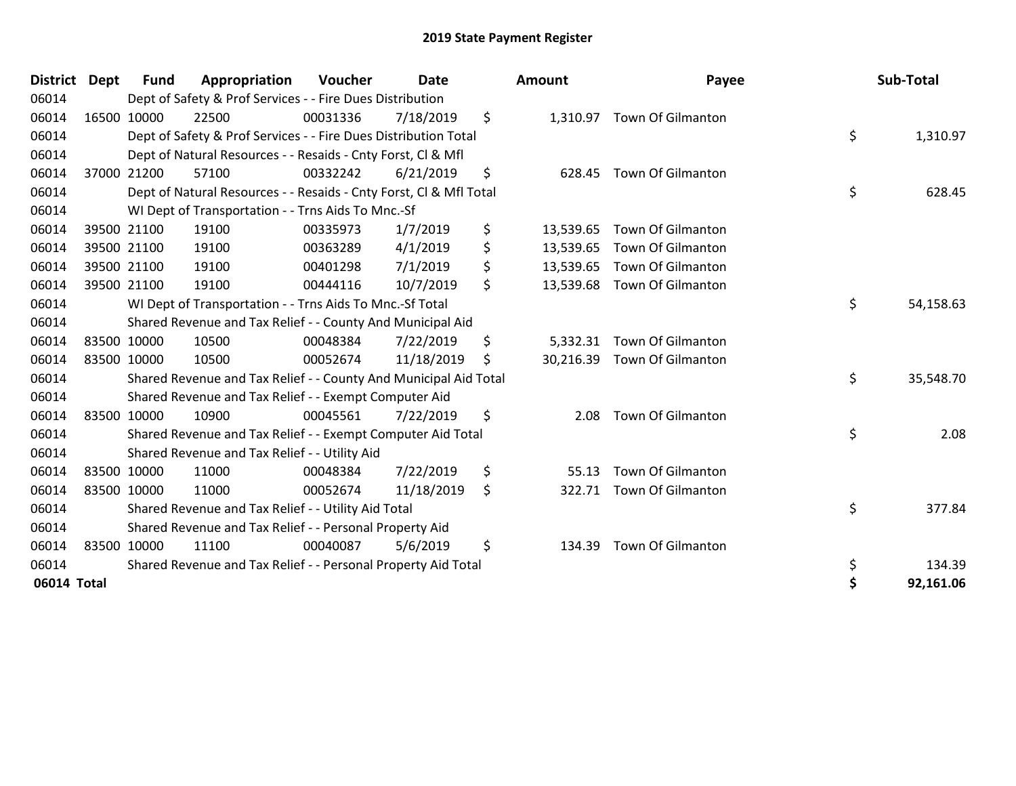| <b>District</b> | <b>Dept</b> | <b>Fund</b> | Appropriation                                                      | Voucher  | <b>Date</b> |    | <b>Amount</b> | Payee                       | Sub-Total       |
|-----------------|-------------|-------------|--------------------------------------------------------------------|----------|-------------|----|---------------|-----------------------------|-----------------|
| 06014           |             |             | Dept of Safety & Prof Services - - Fire Dues Distribution          |          |             |    |               |                             |                 |
| 06014           |             | 16500 10000 | 22500                                                              | 00031336 | 7/18/2019   | \$ | 1,310.97      | <b>Town Of Gilmanton</b>    |                 |
| 06014           |             |             | Dept of Safety & Prof Services - - Fire Dues Distribution Total    |          |             |    |               |                             | \$<br>1,310.97  |
| 06014           |             |             | Dept of Natural Resources - - Resaids - Cnty Forst, CI & Mfl       |          |             |    |               |                             |                 |
| 06014           |             | 37000 21200 | 57100                                                              | 00332242 | 6/21/2019   | \$ | 628.45        | <b>Town Of Gilmanton</b>    |                 |
| 06014           |             |             | Dept of Natural Resources - - Resaids - Cnty Forst, CI & Mfl Total |          |             |    |               |                             | \$<br>628.45    |
| 06014           |             |             | WI Dept of Transportation - - Trns Aids To Mnc.-Sf                 |          |             |    |               |                             |                 |
| 06014           |             | 39500 21100 | 19100                                                              | 00335973 | 1/7/2019    | \$ | 13,539.65     | <b>Town Of Gilmanton</b>    |                 |
| 06014           |             | 39500 21100 | 19100                                                              | 00363289 | 4/1/2019    | \$ | 13,539.65     | Town Of Gilmanton           |                 |
| 06014           |             | 39500 21100 | 19100                                                              | 00401298 | 7/1/2019    | \$ | 13,539.65     | <b>Town Of Gilmanton</b>    |                 |
| 06014           |             | 39500 21100 | 19100                                                              | 00444116 | 10/7/2019   | \$ |               | 13,539.68 Town Of Gilmanton |                 |
| 06014           |             |             | WI Dept of Transportation - - Trns Aids To Mnc.-Sf Total           |          |             |    |               |                             | \$<br>54,158.63 |
| 06014           |             |             | Shared Revenue and Tax Relief - - County And Municipal Aid         |          |             |    |               |                             |                 |
| 06014           |             | 83500 10000 | 10500                                                              | 00048384 | 7/22/2019   | \$ | 5,332.31      | Town Of Gilmanton           |                 |
| 06014           |             | 83500 10000 | 10500                                                              | 00052674 | 11/18/2019  | Ś  | 30,216.39     | <b>Town Of Gilmanton</b>    |                 |
| 06014           |             |             | Shared Revenue and Tax Relief - - County And Municipal Aid Total   |          |             |    |               |                             | \$<br>35,548.70 |
| 06014           |             |             | Shared Revenue and Tax Relief - - Exempt Computer Aid              |          |             |    |               |                             |                 |
| 06014           |             | 83500 10000 | 10900                                                              | 00045561 | 7/22/2019   | \$ | 2.08          | <b>Town Of Gilmanton</b>    |                 |
| 06014           |             |             | Shared Revenue and Tax Relief - - Exempt Computer Aid Total        |          |             |    |               |                             | \$<br>2.08      |
| 06014           |             |             | Shared Revenue and Tax Relief - - Utility Aid                      |          |             |    |               |                             |                 |
| 06014           |             | 83500 10000 | 11000                                                              | 00048384 | 7/22/2019   | \$ | 55.13         | <b>Town Of Gilmanton</b>    |                 |
| 06014           |             | 83500 10000 | 11000                                                              | 00052674 | 11/18/2019  | \$ | 322.71        | <b>Town Of Gilmanton</b>    |                 |
| 06014           |             |             | Shared Revenue and Tax Relief - - Utility Aid Total                |          |             |    |               |                             | \$<br>377.84    |
| 06014           |             |             | Shared Revenue and Tax Relief - - Personal Property Aid            |          |             |    |               |                             |                 |
| 06014           |             | 83500 10000 | 11100                                                              | 00040087 | 5/6/2019    | \$ | 134.39        | Town Of Gilmanton           |                 |
| 06014           |             |             | Shared Revenue and Tax Relief - - Personal Property Aid Total      |          |             |    |               |                             | \$<br>134.39    |
| 06014 Total     |             |             |                                                                    |          |             |    |               |                             | \$<br>92,161.06 |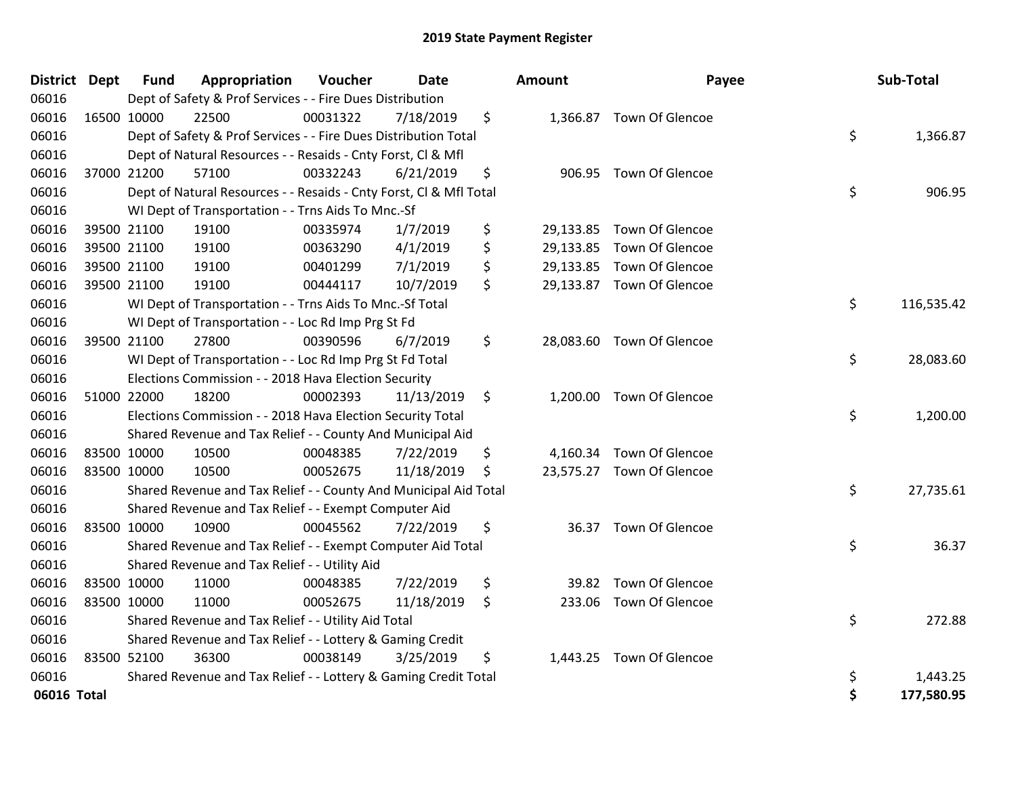| District Dept |             | <b>Fund</b> | Appropriation                                                      | Voucher  | <b>Date</b> |    | Amount | Payee                     | Sub-Total        |
|---------------|-------------|-------------|--------------------------------------------------------------------|----------|-------------|----|--------|---------------------------|------------------|
| 06016         |             |             | Dept of Safety & Prof Services - - Fire Dues Distribution          |          |             |    |        |                           |                  |
| 06016         |             | 16500 10000 | 22500                                                              | 00031322 | 7/18/2019   | \$ |        | 1,366.87 Town Of Glencoe  |                  |
| 06016         |             |             | Dept of Safety & Prof Services - - Fire Dues Distribution Total    |          |             |    |        |                           | \$<br>1,366.87   |
| 06016         |             |             | Dept of Natural Resources - - Resaids - Cnty Forst, Cl & Mfl       |          |             |    |        |                           |                  |
| 06016         |             | 37000 21200 | 57100                                                              | 00332243 | 6/21/2019   | \$ |        | 906.95 Town Of Glencoe    |                  |
| 06016         |             |             | Dept of Natural Resources - - Resaids - Cnty Forst, CI & Mfl Total |          |             |    |        |                           | \$<br>906.95     |
| 06016         |             |             | WI Dept of Transportation - - Trns Aids To Mnc.-Sf                 |          |             |    |        |                           |                  |
| 06016         |             | 39500 21100 | 19100                                                              | 00335974 | 1/7/2019    | \$ |        | 29,133.85 Town Of Glencoe |                  |
| 06016         |             | 39500 21100 | 19100                                                              | 00363290 | 4/1/2019    | \$ |        | 29,133.85 Town Of Glencoe |                  |
| 06016         |             | 39500 21100 | 19100                                                              | 00401299 | 7/1/2019    | \$ |        | 29,133.85 Town Of Glencoe |                  |
| 06016         |             | 39500 21100 | 19100                                                              | 00444117 | 10/7/2019   | \$ |        | 29,133.87 Town Of Glencoe |                  |
| 06016         |             |             | WI Dept of Transportation - - Trns Aids To Mnc.-Sf Total           |          |             |    |        |                           | \$<br>116,535.42 |
| 06016         |             |             | WI Dept of Transportation - - Loc Rd Imp Prg St Fd                 |          |             |    |        |                           |                  |
| 06016         |             | 39500 21100 | 27800                                                              | 00390596 | 6/7/2019    | \$ |        | 28,083.60 Town Of Glencoe |                  |
| 06016         |             |             | WI Dept of Transportation - - Loc Rd Imp Prg St Fd Total           |          |             |    |        |                           | \$<br>28,083.60  |
| 06016         |             |             | Elections Commission - - 2018 Hava Election Security               |          |             |    |        |                           |                  |
| 06016         |             | 51000 22000 | 18200                                                              | 00002393 | 11/13/2019  | \$ |        | 1,200.00 Town Of Glencoe  |                  |
| 06016         |             |             | Elections Commission - - 2018 Hava Election Security Total         |          |             |    |        |                           | \$<br>1,200.00   |
| 06016         |             |             | Shared Revenue and Tax Relief - - County And Municipal Aid         |          |             |    |        |                           |                  |
| 06016         |             | 83500 10000 | 10500                                                              | 00048385 | 7/22/2019   | \$ |        | 4,160.34 Town Of Glencoe  |                  |
| 06016         |             | 83500 10000 | 10500                                                              | 00052675 | 11/18/2019  | S  |        | 23,575.27 Town Of Glencoe |                  |
| 06016         |             |             | Shared Revenue and Tax Relief - - County And Municipal Aid Total   |          |             |    |        |                           | \$<br>27,735.61  |
| 06016         |             |             | Shared Revenue and Tax Relief - - Exempt Computer Aid              |          |             |    |        |                           |                  |
| 06016         |             | 83500 10000 | 10900                                                              | 00045562 | 7/22/2019   | \$ | 36.37  | Town Of Glencoe           |                  |
| 06016         |             |             | Shared Revenue and Tax Relief - - Exempt Computer Aid Total        |          |             |    |        |                           | \$<br>36.37      |
| 06016         |             |             | Shared Revenue and Tax Relief - - Utility Aid                      |          |             |    |        |                           |                  |
| 06016         | 83500 10000 |             | 11000                                                              | 00048385 | 7/22/2019   | \$ | 39.82  | Town Of Glencoe           |                  |
| 06016         | 83500 10000 |             | 11000                                                              | 00052675 | 11/18/2019  | \$ |        | 233.06 Town Of Glencoe    |                  |
| 06016         |             |             | Shared Revenue and Tax Relief - - Utility Aid Total                |          |             |    |        |                           | \$<br>272.88     |
| 06016         |             |             | Shared Revenue and Tax Relief - - Lottery & Gaming Credit          |          |             |    |        |                           |                  |
| 06016         |             | 83500 52100 | 36300                                                              | 00038149 | 3/25/2019   | \$ |        | 1,443.25 Town Of Glencoe  |                  |
| 06016         |             |             | Shared Revenue and Tax Relief - - Lottery & Gaming Credit Total    |          |             |    |        |                           | \$<br>1,443.25   |
| 06016 Total   |             |             |                                                                    |          |             |    |        |                           | \$<br>177,580.95 |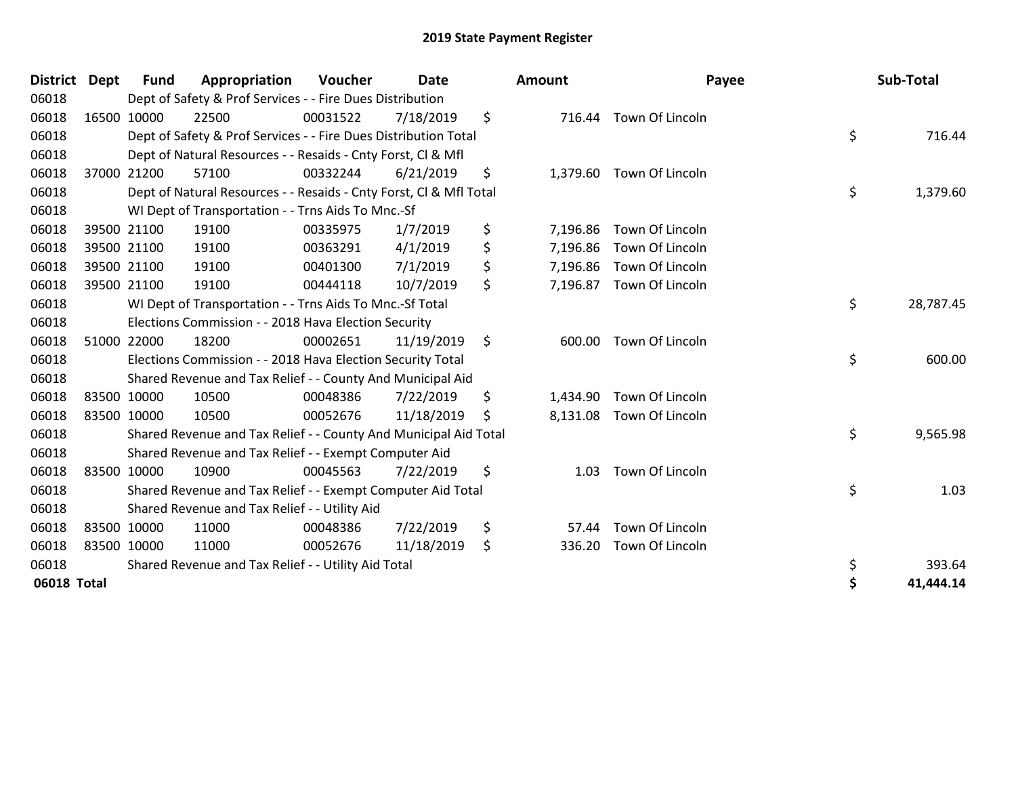| <b>District Dept</b> |             | <b>Fund</b> | Appropriation                                                      | Voucher  | <b>Date</b> | Amount         | Payee                    | Sub-Total       |
|----------------------|-------------|-------------|--------------------------------------------------------------------|----------|-------------|----------------|--------------------------|-----------------|
| 06018                |             |             | Dept of Safety & Prof Services - - Fire Dues Distribution          |          |             |                |                          |                 |
| 06018                |             | 16500 10000 | 22500                                                              | 00031522 | 7/18/2019   | \$<br>716.44   | Town Of Lincoln          |                 |
| 06018                |             |             | Dept of Safety & Prof Services - - Fire Dues Distribution Total    |          |             |                |                          | \$<br>716.44    |
| 06018                |             |             | Dept of Natural Resources - - Resaids - Cnty Forst, CI & Mfl       |          |             |                |                          |                 |
| 06018                |             | 37000 21200 | 57100                                                              | 00332244 | 6/21/2019   | \$<br>1,379.60 | Town Of Lincoln          |                 |
| 06018                |             |             | Dept of Natural Resources - - Resaids - Cnty Forst, Cl & Mfl Total |          |             |                |                          | \$<br>1,379.60  |
| 06018                |             |             | WI Dept of Transportation - - Trns Aids To Mnc.-Sf                 |          |             |                |                          |                 |
| 06018                |             | 39500 21100 | 19100                                                              | 00335975 | 1/7/2019    | \$<br>7,196.86 | Town Of Lincoln          |                 |
| 06018                |             | 39500 21100 | 19100                                                              | 00363291 | 4/1/2019    | \$<br>7,196.86 | Town Of Lincoln          |                 |
| 06018                |             | 39500 21100 | 19100                                                              | 00401300 | 7/1/2019    | \$<br>7,196.86 | Town Of Lincoln          |                 |
| 06018                |             | 39500 21100 | 19100                                                              | 00444118 | 10/7/2019   | \$<br>7,196.87 | Town Of Lincoln          |                 |
| 06018                |             |             | WI Dept of Transportation - - Trns Aids To Mnc.-Sf Total           |          |             |                |                          | \$<br>28,787.45 |
| 06018                |             |             | Elections Commission - - 2018 Hava Election Security               |          |             |                |                          |                 |
| 06018                |             | 51000 22000 | 18200                                                              | 00002651 | 11/19/2019  | \$<br>600.00   | Town Of Lincoln          |                 |
| 06018                |             |             | Elections Commission - - 2018 Hava Election Security Total         |          |             |                |                          | \$<br>600.00    |
| 06018                |             |             | Shared Revenue and Tax Relief - - County And Municipal Aid         |          |             |                |                          |                 |
| 06018                |             | 83500 10000 | 10500                                                              | 00048386 | 7/22/2019   | \$<br>1,434.90 | Town Of Lincoln          |                 |
| 06018                | 83500 10000 |             | 10500                                                              | 00052676 | 11/18/2019  | \$             | 8,131.08 Town Of Lincoln |                 |
| 06018                |             |             | Shared Revenue and Tax Relief - - County And Municipal Aid Total   |          |             |                |                          | \$<br>9,565.98  |
| 06018                |             |             | Shared Revenue and Tax Relief - - Exempt Computer Aid              |          |             |                |                          |                 |
| 06018                |             | 83500 10000 | 10900                                                              | 00045563 | 7/22/2019   | \$<br>1.03     | Town Of Lincoln          |                 |
| 06018                |             |             | Shared Revenue and Tax Relief - - Exempt Computer Aid Total        |          |             |                |                          | \$<br>1.03      |
| 06018                |             |             | Shared Revenue and Tax Relief - - Utility Aid                      |          |             |                |                          |                 |
| 06018                |             | 83500 10000 | 11000                                                              | 00048386 | 7/22/2019   | \$<br>57.44    | Town Of Lincoln          |                 |
| 06018                |             | 83500 10000 | 11000                                                              | 00052676 | 11/18/2019  | \$<br>336.20   | Town Of Lincoln          |                 |
| 06018                |             |             | Shared Revenue and Tax Relief - - Utility Aid Total                |          |             |                |                          | \$<br>393.64    |
| 06018 Total          |             |             |                                                                    |          |             |                |                          | \$<br>41,444.14 |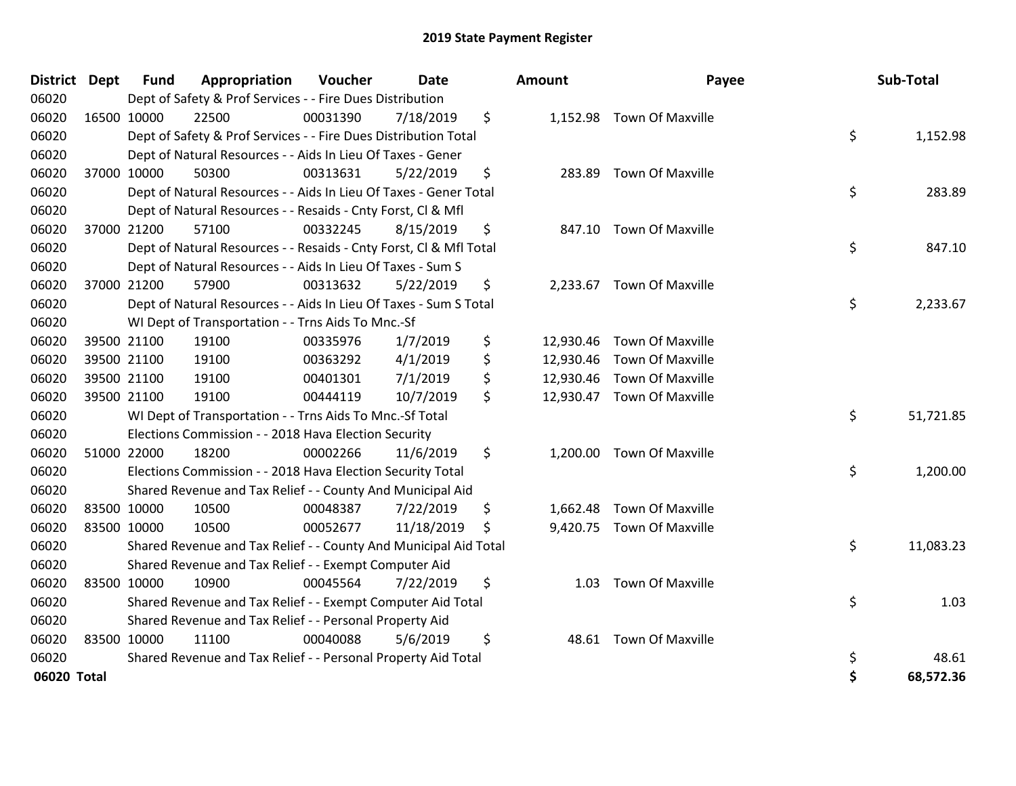| <b>District Dept</b> | <b>Fund</b> | Appropriation                                                      | Voucher  | <b>Date</b> | Amount          | Payee                     | Sub-Total       |
|----------------------|-------------|--------------------------------------------------------------------|----------|-------------|-----------------|---------------------------|-----------------|
| 06020                |             | Dept of Safety & Prof Services - - Fire Dues Distribution          |          |             |                 |                           |                 |
| 06020                | 16500 10000 | 22500                                                              | 00031390 | 7/18/2019   | \$              | 1,152.98 Town Of Maxville |                 |
| 06020                |             | Dept of Safety & Prof Services - - Fire Dues Distribution Total    |          |             |                 |                           | \$<br>1,152.98  |
| 06020                |             | Dept of Natural Resources - - Aids In Lieu Of Taxes - Gener        |          |             |                 |                           |                 |
| 06020                | 37000 10000 | 50300                                                              | 00313631 | 5/22/2019   | \$<br>283.89    | <b>Town Of Maxville</b>   |                 |
| 06020                |             | Dept of Natural Resources - - Aids In Lieu Of Taxes - Gener Total  |          |             |                 |                           | \$<br>283.89    |
| 06020                |             | Dept of Natural Resources - - Resaids - Cnty Forst, Cl & Mfl       |          |             |                 |                           |                 |
| 06020                | 37000 21200 | 57100                                                              | 00332245 | 8/15/2019   | \$              | 847.10 Town Of Maxville   |                 |
| 06020                |             | Dept of Natural Resources - - Resaids - Cnty Forst, Cl & Mfl Total |          |             |                 |                           | \$<br>847.10    |
| 06020                |             | Dept of Natural Resources - - Aids In Lieu Of Taxes - Sum S        |          |             |                 |                           |                 |
| 06020                | 37000 21200 | 57900                                                              | 00313632 | 5/22/2019   | \$<br>2,233.67  | Town Of Maxville          |                 |
| 06020                |             | Dept of Natural Resources - - Aids In Lieu Of Taxes - Sum S Total  |          |             |                 |                           | \$<br>2,233.67  |
| 06020                |             | WI Dept of Transportation - - Trns Aids To Mnc.-Sf                 |          |             |                 |                           |                 |
| 06020                | 39500 21100 | 19100                                                              | 00335976 | 1/7/2019    | \$<br>12,930.46 | <b>Town Of Maxville</b>   |                 |
| 06020                | 39500 21100 | 19100                                                              | 00363292 | 4/1/2019    | \$<br>12,930.46 | Town Of Maxville          |                 |
| 06020                | 39500 21100 | 19100                                                              | 00401301 | 7/1/2019    | \$<br>12,930.46 | <b>Town Of Maxville</b>   |                 |
| 06020                | 39500 21100 | 19100                                                              | 00444119 | 10/7/2019   | \$<br>12,930.47 | <b>Town Of Maxville</b>   |                 |
| 06020                |             | WI Dept of Transportation - - Trns Aids To Mnc.-Sf Total           |          |             |                 |                           | \$<br>51,721.85 |
| 06020                |             | Elections Commission - - 2018 Hava Election Security               |          |             |                 |                           |                 |
| 06020                | 51000 22000 | 18200                                                              | 00002266 | 11/6/2019   | \$              | 1,200.00 Town Of Maxville |                 |
| 06020                |             | Elections Commission - - 2018 Hava Election Security Total         |          |             |                 |                           | \$<br>1,200.00  |
| 06020                |             | Shared Revenue and Tax Relief - - County And Municipal Aid         |          |             |                 |                           |                 |
| 06020                | 83500 10000 | 10500                                                              | 00048387 | 7/22/2019   | \$<br>1,662.48  | <b>Town Of Maxville</b>   |                 |
| 06020                | 83500 10000 | 10500                                                              | 00052677 | 11/18/2019  | \$              | 9,420.75 Town Of Maxville |                 |
| 06020                |             | Shared Revenue and Tax Relief - - County And Municipal Aid Total   |          |             |                 |                           | \$<br>11,083.23 |
| 06020                |             | Shared Revenue and Tax Relief - - Exempt Computer Aid              |          |             |                 |                           |                 |
| 06020                | 83500 10000 | 10900                                                              | 00045564 | 7/22/2019   | \$<br>1.03      | <b>Town Of Maxville</b>   |                 |
| 06020                |             | Shared Revenue and Tax Relief - - Exempt Computer Aid Total        |          |             |                 |                           | \$<br>1.03      |
| 06020                |             | Shared Revenue and Tax Relief - - Personal Property Aid            |          |             |                 |                           |                 |
| 06020                | 83500 10000 | 11100                                                              | 00040088 | 5/6/2019    | \$<br>48.61     | <b>Town Of Maxville</b>   |                 |
| 06020                |             | Shared Revenue and Tax Relief - - Personal Property Aid Total      |          |             |                 |                           | \$<br>48.61     |
| 06020 Total          |             |                                                                    |          |             |                 |                           | \$<br>68,572.36 |

| District Dept |             | <b>Fund</b> | Appropriation                                                      | Voucher  | Date       |    | Amount | Payee                      | Sub-Total       |
|---------------|-------------|-------------|--------------------------------------------------------------------|----------|------------|----|--------|----------------------------|-----------------|
| 06020         |             |             | Dept of Safety & Prof Services - - Fire Dues Distribution          |          |            |    |        |                            |                 |
| 06020         |             | 16500 10000 | 22500                                                              | 00031390 | 7/18/2019  | \$ |        | 1,152.98 Town Of Maxville  |                 |
| 06020         |             |             | Dept of Safety & Prof Services - - Fire Dues Distribution Total    |          |            |    |        |                            | \$<br>1,152.98  |
| 06020         |             |             | Dept of Natural Resources - - Aids In Lieu Of Taxes - Gener        |          |            |    |        |                            |                 |
| 06020         | 37000 10000 |             | 50300                                                              | 00313631 | 5/22/2019  | \$ | 283.89 | <b>Town Of Maxville</b>    |                 |
| 06020         |             |             | Dept of Natural Resources - - Aids In Lieu Of Taxes - Gener Total  |          |            |    |        |                            | \$<br>283.89    |
| 06020         |             |             | Dept of Natural Resources - - Resaids - Cnty Forst, Cl & Mfl       |          |            |    |        |                            |                 |
| 06020         |             | 37000 21200 | 57100                                                              | 00332245 | 8/15/2019  | \$ |        | 847.10 Town Of Maxville    |                 |
| 06020         |             |             | Dept of Natural Resources - - Resaids - Cnty Forst, CI & Mfl Total |          |            |    |        |                            | \$<br>847.10    |
| 06020         |             |             | Dept of Natural Resources - - Aids In Lieu Of Taxes - Sum S        |          |            |    |        |                            |                 |
| 06020         | 37000 21200 |             | 57900                                                              | 00313632 | 5/22/2019  | \$ |        | 2,233.67 Town Of Maxville  |                 |
| 06020         |             |             | Dept of Natural Resources - - Aids In Lieu Of Taxes - Sum S Total  |          |            |    |        |                            | \$<br>2,233.67  |
| 06020         |             |             | WI Dept of Transportation - - Trns Aids To Mnc.-Sf                 |          |            |    |        |                            |                 |
| 06020         |             | 39500 21100 | 19100                                                              | 00335976 | 1/7/2019   | \$ |        | 12,930.46 Town Of Maxville |                 |
| 06020         |             | 39500 21100 | 19100                                                              | 00363292 | 4/1/2019   | \$ |        | 12,930.46 Town Of Maxville |                 |
| 06020         |             | 39500 21100 | 19100                                                              | 00401301 | 7/1/2019   | \$ |        | 12,930.46 Town Of Maxville |                 |
| 06020         | 39500 21100 |             | 19100                                                              | 00444119 | 10/7/2019  | \$ |        | 12,930.47 Town Of Maxville |                 |
| 06020         |             |             | WI Dept of Transportation - - Trns Aids To Mnc.-Sf Total           |          |            |    |        |                            | \$<br>51,721.85 |
| 06020         |             |             | Elections Commission - - 2018 Hava Election Security               |          |            |    |        |                            |                 |
| 06020         | 51000 22000 |             | 18200                                                              | 00002266 | 11/6/2019  | \$ |        | 1,200.00 Town Of Maxville  |                 |
| 06020         |             |             | Elections Commission - - 2018 Hava Election Security Total         |          |            |    |        |                            | \$<br>1,200.00  |
| 06020         |             |             | Shared Revenue and Tax Relief - - County And Municipal Aid         |          |            |    |        |                            |                 |
| 06020         |             | 83500 10000 | 10500                                                              | 00048387 | 7/22/2019  | \$ |        | 1,662.48 Town Of Maxville  |                 |
| 06020         |             | 83500 10000 | 10500                                                              | 00052677 | 11/18/2019 | S. |        | 9,420.75 Town Of Maxville  |                 |
| 06020         |             |             | Shared Revenue and Tax Relief - - County And Municipal Aid Total   |          |            |    |        |                            | \$<br>11,083.23 |
| 06020         |             |             | Shared Revenue and Tax Relief - - Exempt Computer Aid              |          |            |    |        |                            |                 |
| 06020         | 83500 10000 |             | 10900                                                              | 00045564 | 7/22/2019  | \$ | 1.03   | <b>Town Of Maxville</b>    |                 |
| 06020         |             |             | Shared Revenue and Tax Relief - - Exempt Computer Aid Total        |          |            |    |        |                            | \$<br>1.03      |
| 06020         |             |             | Shared Revenue and Tax Relief - - Personal Property Aid            |          |            |    |        |                            |                 |
| 06020         | 83500 10000 |             | 11100                                                              | 00040088 | 5/6/2019   | \$ |        | 48.61 Town Of Maxville     |                 |
| 06020         |             |             | Shared Revenue and Tax Relief - - Personal Property Aid Total      |          |            |    |        |                            | \$<br>48.61     |
| 06020 Total   |             |             |                                                                    |          |            |    |        |                            | \$<br>68,572.36 |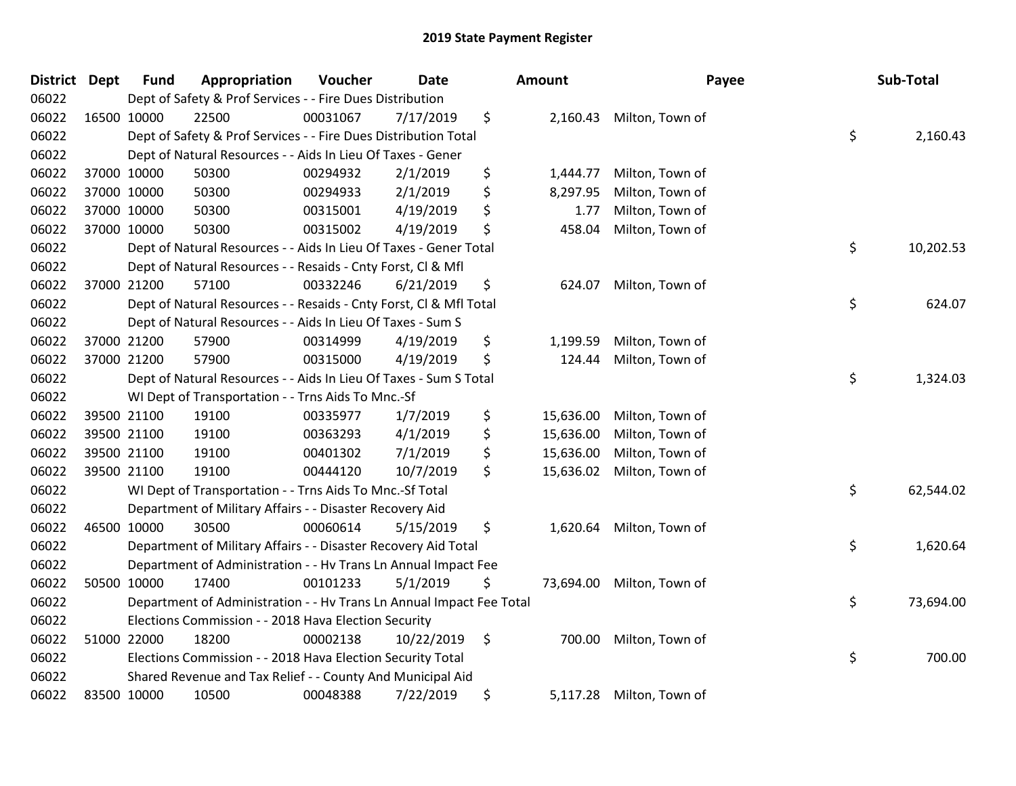| <b>District Dept</b> | <b>Fund</b> | Appropriation                                                        | Voucher  | <b>Date</b> | <b>Amount</b>   | Payee                    | Sub-Total       |
|----------------------|-------------|----------------------------------------------------------------------|----------|-------------|-----------------|--------------------------|-----------------|
| 06022                |             | Dept of Safety & Prof Services - - Fire Dues Distribution            |          |             |                 |                          |                 |
| 06022                | 16500 10000 | 22500                                                                | 00031067 | 7/17/2019   | \$              | 2,160.43 Milton, Town of |                 |
| 06022                |             | Dept of Safety & Prof Services - - Fire Dues Distribution Total      |          |             |                 |                          | \$<br>2,160.43  |
| 06022                |             | Dept of Natural Resources - - Aids In Lieu Of Taxes - Gener          |          |             |                 |                          |                 |
| 06022                | 37000 10000 | 50300                                                                | 00294932 | 2/1/2019    | \$<br>1,444.77  | Milton, Town of          |                 |
| 06022                | 37000 10000 | 50300                                                                | 00294933 | 2/1/2019    | \$<br>8,297.95  | Milton, Town of          |                 |
| 06022                | 37000 10000 | 50300                                                                | 00315001 | 4/19/2019   | \$<br>1.77      | Milton, Town of          |                 |
| 06022                | 37000 10000 | 50300                                                                | 00315002 | 4/19/2019   | \$<br>458.04    | Milton, Town of          |                 |
| 06022                |             | Dept of Natural Resources - - Aids In Lieu Of Taxes - Gener Total    |          |             |                 |                          | \$<br>10,202.53 |
| 06022                |             | Dept of Natural Resources - - Resaids - Cnty Forst, CI & Mfl         |          |             |                 |                          |                 |
| 06022                | 37000 21200 | 57100                                                                | 00332246 | 6/21/2019   | \$<br>624.07    | Milton, Town of          |                 |
| 06022                |             | Dept of Natural Resources - - Resaids - Cnty Forst, CI & Mfl Total   |          |             |                 |                          | \$<br>624.07    |
| 06022                |             | Dept of Natural Resources - - Aids In Lieu Of Taxes - Sum S          |          |             |                 |                          |                 |
| 06022                | 37000 21200 | 57900                                                                | 00314999 | 4/19/2019   | \$<br>1,199.59  | Milton, Town of          |                 |
| 06022                | 37000 21200 | 57900                                                                | 00315000 | 4/19/2019   | \$<br>124.44    | Milton, Town of          |                 |
| 06022                |             | Dept of Natural Resources - - Aids In Lieu Of Taxes - Sum S Total    |          |             |                 |                          | \$<br>1,324.03  |
| 06022                |             | WI Dept of Transportation - - Trns Aids To Mnc.-Sf                   |          |             |                 |                          |                 |
| 06022                | 39500 21100 | 19100                                                                | 00335977 | 1/7/2019    | \$<br>15,636.00 | Milton, Town of          |                 |
| 06022                | 39500 21100 | 19100                                                                | 00363293 | 4/1/2019    | \$<br>15,636.00 | Milton, Town of          |                 |
| 06022                | 39500 21100 | 19100                                                                | 00401302 | 7/1/2019    | \$<br>15,636.00 | Milton, Town of          |                 |
| 06022                | 39500 21100 | 19100                                                                | 00444120 | 10/7/2019   | \$<br>15,636.02 | Milton, Town of          |                 |
| 06022                |             | WI Dept of Transportation - - Trns Aids To Mnc.-Sf Total             |          |             |                 |                          | \$<br>62,544.02 |
| 06022                |             | Department of Military Affairs - - Disaster Recovery Aid             |          |             |                 |                          |                 |
| 06022                | 46500 10000 | 30500                                                                | 00060614 | 5/15/2019   | \$<br>1,620.64  | Milton, Town of          |                 |
| 06022                |             | Department of Military Affairs - - Disaster Recovery Aid Total       |          |             |                 |                          | \$<br>1,620.64  |
| 06022                |             | Department of Administration - - Hv Trans Ln Annual Impact Fee       |          |             |                 |                          |                 |
| 06022                | 50500 10000 | 17400                                                                | 00101233 | 5/1/2019    | \$<br>73,694.00 | Milton, Town of          |                 |
| 06022                |             | Department of Administration - - Hv Trans Ln Annual Impact Fee Total |          |             |                 |                          | \$<br>73,694.00 |
| 06022                |             | Elections Commission - - 2018 Hava Election Security                 |          |             |                 |                          |                 |
| 06022                | 51000 22000 | 18200                                                                | 00002138 | 10/22/2019  | \$<br>700.00    | Milton, Town of          |                 |
| 06022                |             | Elections Commission - - 2018 Hava Election Security Total           |          |             |                 |                          | \$<br>700.00    |
| 06022                |             | Shared Revenue and Tax Relief - - County And Municipal Aid           |          |             |                 |                          |                 |
| 06022                | 83500 10000 | 10500                                                                | 00048388 | 7/22/2019   | \$<br>5,117.28  | Milton, Town of          |                 |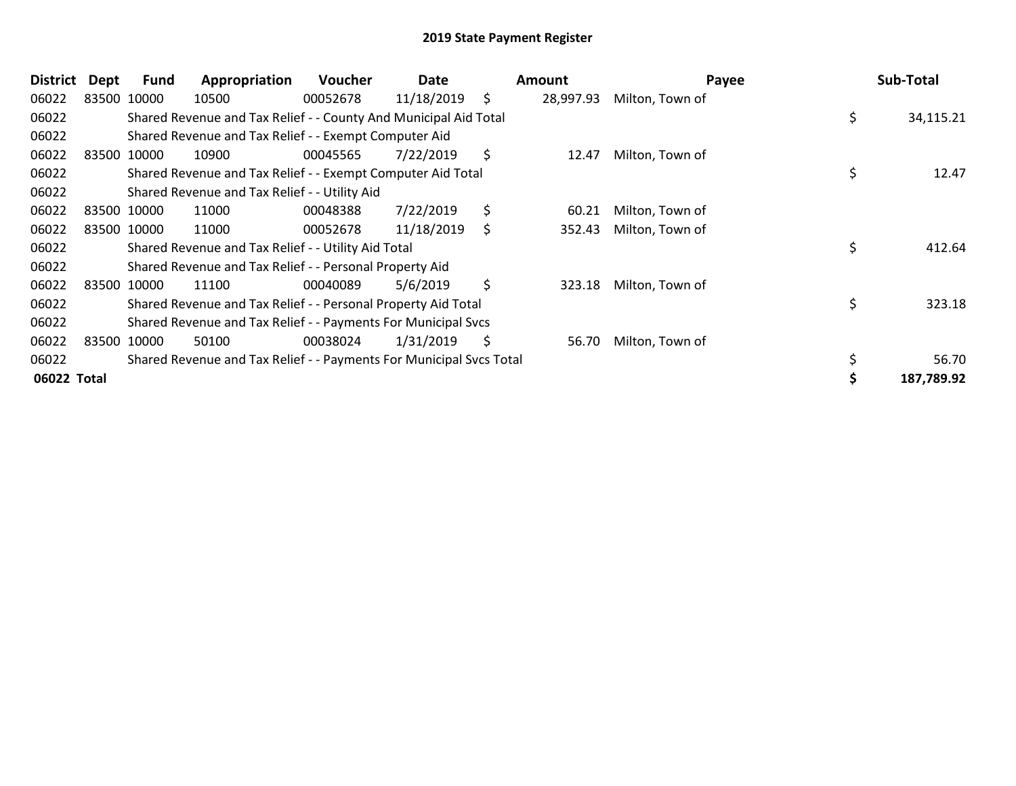| District    | Dept | Fund        | Appropriation                                                       | <b>Voucher</b> | Date       |     | Amount    | Payee           |     | Sub-Total  |
|-------------|------|-------------|---------------------------------------------------------------------|----------------|------------|-----|-----------|-----------------|-----|------------|
| 06022       |      | 83500 10000 | 10500                                                               | 00052678       | 11/18/2019 | \$  | 28,997.93 | Milton, Town of |     |            |
| 06022       |      |             | Shared Revenue and Tax Relief - - County And Municipal Aid Total    |                |            |     |           |                 | \$. | 34,115.21  |
| 06022       |      |             | Shared Revenue and Tax Relief - - Exempt Computer Aid               |                |            |     |           |                 |     |            |
| 06022       |      | 83500 10000 | 10900                                                               | 00045565       | 7/22/2019  | \$  | 12.47     | Milton, Town of |     |            |
| 06022       |      |             | Shared Revenue and Tax Relief - - Exempt Computer Aid Total         |                |            |     |           |                 | \$  | 12.47      |
| 06022       |      |             | Shared Revenue and Tax Relief - - Utility Aid                       |                |            |     |           |                 |     |            |
| 06022       |      | 83500 10000 | 11000                                                               | 00048388       | 7/22/2019  | \$  | 60.21     | Milton, Town of |     |            |
| 06022       |      | 83500 10000 | 11000                                                               | 00052678       | 11/18/2019 | \$. | 352.43    | Milton, Town of |     |            |
| 06022       |      |             | Shared Revenue and Tax Relief - - Utility Aid Total                 |                |            |     |           |                 | \$  | 412.64     |
| 06022       |      |             | Shared Revenue and Tax Relief - - Personal Property Aid             |                |            |     |           |                 |     |            |
| 06022       |      | 83500 10000 | 11100                                                               | 00040089       | 5/6/2019   | \$  | 323.18    | Milton, Town of |     |            |
| 06022       |      |             | Shared Revenue and Tax Relief - - Personal Property Aid Total       |                |            |     |           |                 | \$  | 323.18     |
| 06022       |      |             | Shared Revenue and Tax Relief - - Payments For Municipal Svcs       |                |            |     |           |                 |     |            |
| 06022       |      | 83500 10000 | 50100                                                               | 00038024       | 1/31/2019  | \$  | 56.70     | Milton, Town of |     |            |
| 06022       |      |             | Shared Revenue and Tax Relief - - Payments For Municipal Svcs Total |                |            |     |           |                 | \$  | 56.70      |
| 06022 Total |      |             |                                                                     |                |            |     |           |                 |     | 187,789.92 |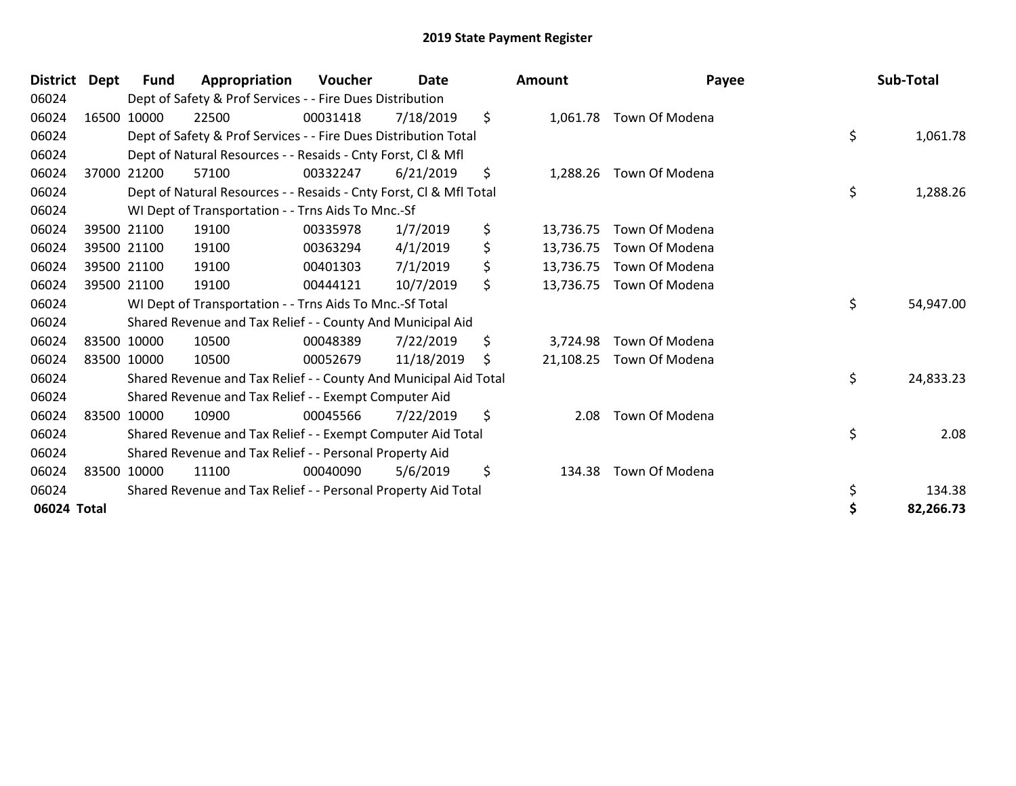|             | District Dept | Fund        | Appropriation                                                      | <b>Voucher</b> | Date       | <b>Amount</b>   | Payee          | Sub-Total       |
|-------------|---------------|-------------|--------------------------------------------------------------------|----------------|------------|-----------------|----------------|-----------------|
| 06024       |               |             | Dept of Safety & Prof Services - - Fire Dues Distribution          |                |            |                 |                |                 |
| 06024       |               | 16500 10000 | 22500                                                              | 00031418       | 7/18/2019  | \$<br>1,061.78  | Town Of Modena |                 |
| 06024       |               |             | Dept of Safety & Prof Services - - Fire Dues Distribution Total    |                |            |                 |                | \$<br>1,061.78  |
| 06024       |               |             | Dept of Natural Resources - - Resaids - Cnty Forst, Cl & Mfl       |                |            |                 |                |                 |
| 06024       |               | 37000 21200 | 57100                                                              | 00332247       | 6/21/2019  | \$<br>1,288.26  | Town Of Modena |                 |
| 06024       |               |             | Dept of Natural Resources - - Resaids - Cnty Forst, Cl & Mfl Total |                |            |                 |                | \$<br>1,288.26  |
| 06024       |               |             | WI Dept of Transportation - - Trns Aids To Mnc.-Sf                 |                |            |                 |                |                 |
| 06024       |               | 39500 21100 | 19100                                                              | 00335978       | 1/7/2019   | \$<br>13,736.75 | Town Of Modena |                 |
| 06024       |               | 39500 21100 | 19100                                                              | 00363294       | 4/1/2019   | \$<br>13,736.75 | Town Of Modena |                 |
| 06024       |               | 39500 21100 | 19100                                                              | 00401303       | 7/1/2019   | \$<br>13,736.75 | Town Of Modena |                 |
| 06024       |               | 39500 21100 | 19100                                                              | 00444121       | 10/7/2019  | \$<br>13,736.75 | Town Of Modena |                 |
| 06024       |               |             | WI Dept of Transportation - - Trns Aids To Mnc.-Sf Total           |                |            |                 |                | \$<br>54,947.00 |
| 06024       |               |             | Shared Revenue and Tax Relief - - County And Municipal Aid         |                |            |                 |                |                 |
| 06024       |               | 83500 10000 | 10500                                                              | 00048389       | 7/22/2019  | \$<br>3,724.98  | Town Of Modena |                 |
| 06024       |               | 83500 10000 | 10500                                                              | 00052679       | 11/18/2019 | \$<br>21,108.25 | Town Of Modena |                 |
| 06024       |               |             | Shared Revenue and Tax Relief - - County And Municipal Aid Total   |                |            |                 |                | \$<br>24,833.23 |
| 06024       |               |             | Shared Revenue and Tax Relief - - Exempt Computer Aid              |                |            |                 |                |                 |
| 06024       |               | 83500 10000 | 10900                                                              | 00045566       | 7/22/2019  | \$<br>2.08      | Town Of Modena |                 |
| 06024       |               |             | Shared Revenue and Tax Relief - - Exempt Computer Aid Total        |                |            |                 |                | \$<br>2.08      |
| 06024       |               |             | Shared Revenue and Tax Relief - - Personal Property Aid            |                |            |                 |                |                 |
| 06024       |               | 83500 10000 | 11100                                                              | 00040090       | 5/6/2019   | \$<br>134.38    | Town Of Modena |                 |
| 06024       |               |             | Shared Revenue and Tax Relief - - Personal Property Aid Total      |                |            |                 |                | \$<br>134.38    |
| 06024 Total |               |             |                                                                    |                |            |                 |                | \$<br>82,266.73 |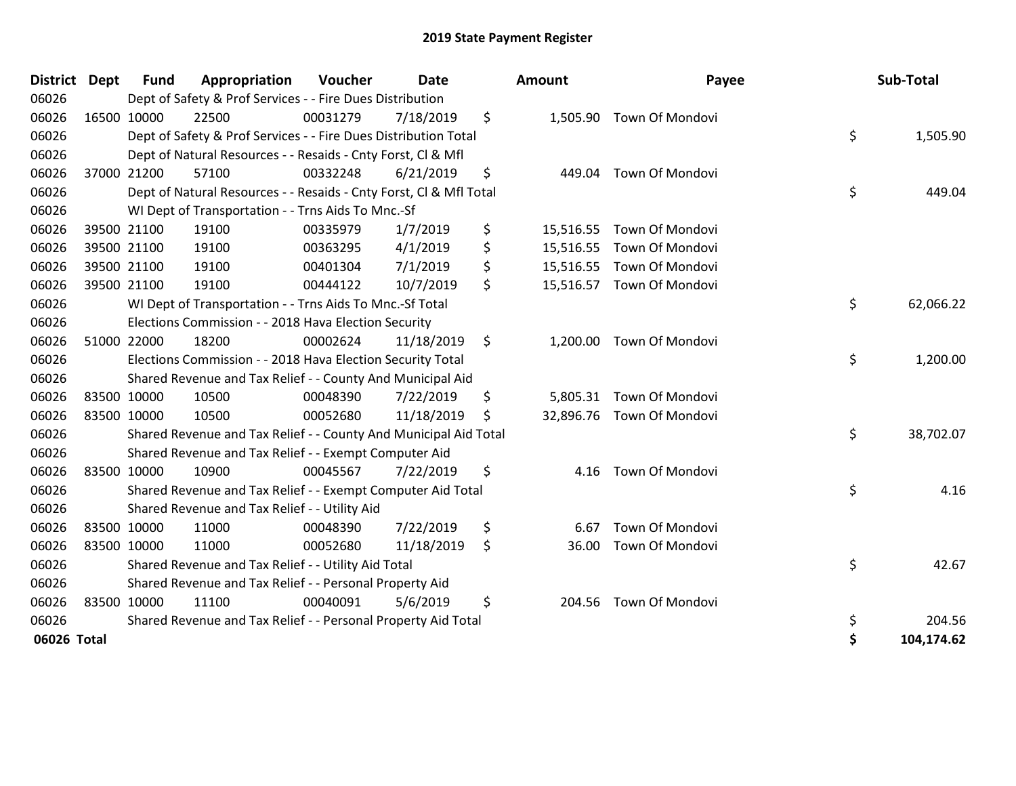| <b>District Dept</b> | <b>Fund</b> | Appropriation                                                      | Voucher  | <b>Date</b> |     | Amount    | Payee                     | Sub-Total        |
|----------------------|-------------|--------------------------------------------------------------------|----------|-------------|-----|-----------|---------------------------|------------------|
| 06026                |             | Dept of Safety & Prof Services - - Fire Dues Distribution          |          |             |     |           |                           |                  |
| 06026                | 16500 10000 | 22500                                                              | 00031279 | 7/18/2019   | \$  |           | 1,505.90 Town Of Mondovi  |                  |
| 06026                |             | Dept of Safety & Prof Services - - Fire Dues Distribution Total    |          |             |     |           |                           | \$<br>1,505.90   |
| 06026                |             | Dept of Natural Resources - - Resaids - Cnty Forst, CI & Mfl       |          |             |     |           |                           |                  |
| 06026                | 37000 21200 | 57100                                                              | 00332248 | 6/21/2019   | \$  | 449.04    | <b>Town Of Mondovi</b>    |                  |
| 06026                |             | Dept of Natural Resources - - Resaids - Cnty Forst, Cl & Mfl Total |          |             |     |           |                           | \$<br>449.04     |
| 06026                |             | WI Dept of Transportation - - Trns Aids To Mnc.-Sf                 |          |             |     |           |                           |                  |
| 06026                | 39500 21100 | 19100                                                              | 00335979 | 1/7/2019    | \$  | 15,516.55 | <b>Town Of Mondovi</b>    |                  |
| 06026                | 39500 21100 | 19100                                                              | 00363295 | 4/1/2019    | \$  |           | 15,516.55 Town Of Mondovi |                  |
| 06026                | 39500 21100 | 19100                                                              | 00401304 | 7/1/2019    | \$  |           | 15,516.55 Town Of Mondovi |                  |
| 06026                | 39500 21100 | 19100                                                              | 00444122 | 10/7/2019   | \$  |           | 15,516.57 Town Of Mondovi |                  |
| 06026                |             | WI Dept of Transportation - - Trns Aids To Mnc.-Sf Total           |          |             |     |           |                           | \$<br>62,066.22  |
| 06026                |             | Elections Commission - - 2018 Hava Election Security               |          |             |     |           |                           |                  |
| 06026                | 51000 22000 | 18200                                                              | 00002624 | 11/18/2019  | -\$ | 1,200.00  | Town Of Mondovi           |                  |
| 06026                |             | Elections Commission - - 2018 Hava Election Security Total         |          |             |     |           |                           | \$<br>1,200.00   |
| 06026                |             | Shared Revenue and Tax Relief - - County And Municipal Aid         |          |             |     |           |                           |                  |
| 06026                | 83500 10000 | 10500                                                              | 00048390 | 7/22/2019   | \$  | 5,805.31  | <b>Town Of Mondovi</b>    |                  |
| 06026                | 83500 10000 | 10500                                                              | 00052680 | 11/18/2019  | Ŝ.  |           | 32,896.76 Town Of Mondovi |                  |
| 06026                |             | Shared Revenue and Tax Relief - - County And Municipal Aid Total   |          |             |     |           |                           | \$<br>38,702.07  |
| 06026                |             | Shared Revenue and Tax Relief - - Exempt Computer Aid              |          |             |     |           |                           |                  |
| 06026                | 83500 10000 | 10900                                                              | 00045567 | 7/22/2019   | \$  | 4.16      | <b>Town Of Mondovi</b>    |                  |
| 06026                |             | Shared Revenue and Tax Relief - - Exempt Computer Aid Total        |          |             |     |           |                           | \$<br>4.16       |
| 06026                |             | Shared Revenue and Tax Relief - - Utility Aid                      |          |             |     |           |                           |                  |
| 06026                | 83500 10000 | 11000                                                              | 00048390 | 7/22/2019   | \$  | 6.67      | <b>Town Of Mondovi</b>    |                  |
| 06026                | 83500 10000 | 11000                                                              | 00052680 | 11/18/2019  | \$  | 36.00     | Town Of Mondovi           |                  |
| 06026                |             | Shared Revenue and Tax Relief - - Utility Aid Total                |          |             |     |           |                           | \$<br>42.67      |
| 06026                |             | Shared Revenue and Tax Relief - - Personal Property Aid            |          |             |     |           |                           |                  |
| 06026                | 83500 10000 | 11100                                                              | 00040091 | 5/6/2019    | \$  | 204.56    | <b>Town Of Mondovi</b>    |                  |
| 06026                |             | Shared Revenue and Tax Relief - - Personal Property Aid Total      |          |             |     |           |                           | \$<br>204.56     |
| 06026 Total          |             |                                                                    |          |             |     |           |                           | \$<br>104,174.62 |

| nount     | Payee                     | Sub-Total        |
|-----------|---------------------------|------------------|
|           | 1,505.90 Town Of Mondovi  |                  |
|           |                           | \$<br>1,505.90   |
| 449.04    | <b>Town Of Mondovi</b>    | \$<br>449.04     |
|           |                           |                  |
| 15,516.55 | Town Of Mondovi           |                  |
| 15,516.55 | Town Of Mondovi           |                  |
|           | 15,516.55 Town Of Mondovi |                  |
| 15,516.57 | Town Of Mondovi           |                  |
|           |                           | \$<br>62,066.22  |
| 1,200.00  | Town Of Mondovi           |                  |
|           |                           | \$<br>1,200.00   |
|           | 5,805.31 Town Of Mondovi  |                  |
|           | 32,896.76 Town Of Mondovi |                  |
|           |                           | \$<br>38,702.07  |
| 4.16      | Town Of Mondovi           |                  |
|           |                           | \$<br>4.16       |
| 6.67      | Town Of Mondovi           |                  |
| 36.00     | Town Of Mondovi           |                  |
|           |                           | \$<br>42.67      |
| 204.56    | Town Of Mondovi           |                  |
|           |                           | \$<br>204.56     |
|           |                           | \$<br>104,174.62 |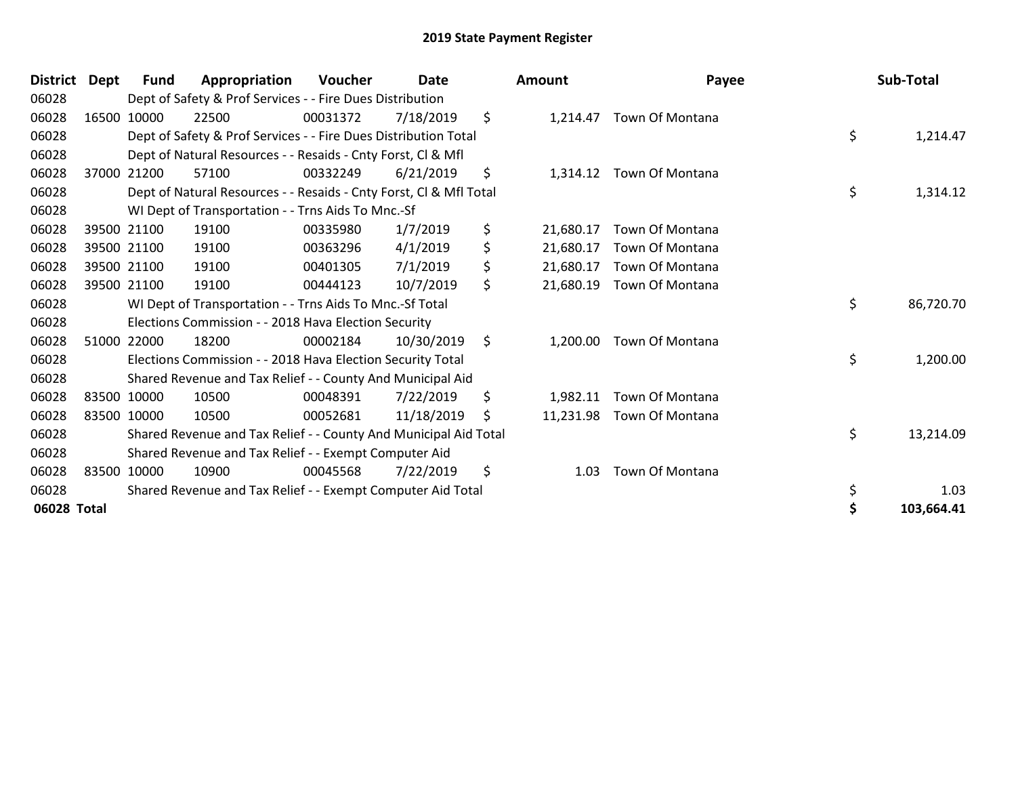| District Dept | <b>Fund</b> | Appropriation                                                      | Voucher  | Date       | <b>Amount</b>   | Payee           | Sub-Total       |
|---------------|-------------|--------------------------------------------------------------------|----------|------------|-----------------|-----------------|-----------------|
| 06028         |             | Dept of Safety & Prof Services - - Fire Dues Distribution          |          |            |                 |                 |                 |
| 06028         | 16500 10000 | 22500                                                              | 00031372 | 7/18/2019  | \$<br>1,214.47  | Town Of Montana |                 |
| 06028         |             | Dept of Safety & Prof Services - - Fire Dues Distribution Total    |          |            |                 |                 | \$<br>1,214.47  |
| 06028         |             | Dept of Natural Resources - - Resaids - Cnty Forst, CI & Mfl       |          |            |                 |                 |                 |
| 06028         | 37000 21200 | 57100                                                              | 00332249 | 6/21/2019  | \$<br>1,314.12  | Town Of Montana |                 |
| 06028         |             | Dept of Natural Resources - - Resaids - Cnty Forst, Cl & Mfl Total |          |            |                 |                 | \$<br>1,314.12  |
| 06028         |             | WI Dept of Transportation - - Trns Aids To Mnc.-Sf                 |          |            |                 |                 |                 |
| 06028         | 39500 21100 | 19100                                                              | 00335980 | 1/7/2019   | \$<br>21,680.17 | Town Of Montana |                 |
| 06028         | 39500 21100 | 19100                                                              | 00363296 | 4/1/2019   | \$<br>21,680.17 | Town Of Montana |                 |
| 06028         | 39500 21100 | 19100                                                              | 00401305 | 7/1/2019   | \$<br>21,680.17 | Town Of Montana |                 |
| 06028         | 39500 21100 | 19100                                                              | 00444123 | 10/7/2019  | \$<br>21,680.19 | Town Of Montana |                 |
| 06028         |             | WI Dept of Transportation - - Trns Aids To Mnc.-Sf Total           |          |            |                 |                 | \$<br>86,720.70 |
| 06028         |             | Elections Commission - - 2018 Hava Election Security               |          |            |                 |                 |                 |
| 06028         | 51000 22000 | 18200                                                              | 00002184 | 10/30/2019 | \$<br>1,200.00  | Town Of Montana |                 |
| 06028         |             | Elections Commission - - 2018 Hava Election Security Total         |          |            |                 |                 | \$<br>1,200.00  |
| 06028         |             | Shared Revenue and Tax Relief - - County And Municipal Aid         |          |            |                 |                 |                 |
| 06028         | 83500 10000 | 10500                                                              | 00048391 | 7/22/2019  | \$<br>1,982.11  | Town Of Montana |                 |
| 06028         | 83500 10000 | 10500                                                              | 00052681 | 11/18/2019 | \$<br>11,231.98 | Town Of Montana |                 |
| 06028         |             | Shared Revenue and Tax Relief - - County And Municipal Aid Total   |          |            |                 |                 | \$<br>13,214.09 |
| 06028         |             | Shared Revenue and Tax Relief - - Exempt Computer Aid              |          |            |                 |                 |                 |
| 06028         | 83500 10000 | 10900                                                              | 00045568 | 7/22/2019  | \$<br>1.03      | Town Of Montana |                 |
| 06028         |             | Shared Revenue and Tax Relief - - Exempt Computer Aid Total        |          |            |                 |                 | \$<br>1.03      |
| 06028 Total   |             |                                                                    |          |            |                 |                 | 103,664.41      |

| nount     | Payee                     | Sub-Total        |
|-----------|---------------------------|------------------|
|           | 1,214.47 Town Of Montana  | \$<br>1,214.47   |
|           |                           |                  |
| 1,314.12  | Town Of Montana           |                  |
|           |                           | \$<br>1,314.12   |
| 21,680.17 | Town Of Montana           |                  |
| 21,680.17 | Town Of Montana           |                  |
|           | 21,680.17 Town Of Montana |                  |
| 21,680.19 | Town Of Montana           |                  |
|           |                           | \$<br>86,720.70  |
| 1,200.00  | Town Of Montana           |                  |
|           |                           | \$<br>1,200.00   |
|           | 1,982.11 Town Of Montana  |                  |
| 11,231.98 | Town Of Montana           |                  |
|           |                           | \$<br>13,214.09  |
| 1.03      | Town Of Montana           |                  |
|           |                           | \$<br>1.03       |
|           |                           | \$<br>103,664.41 |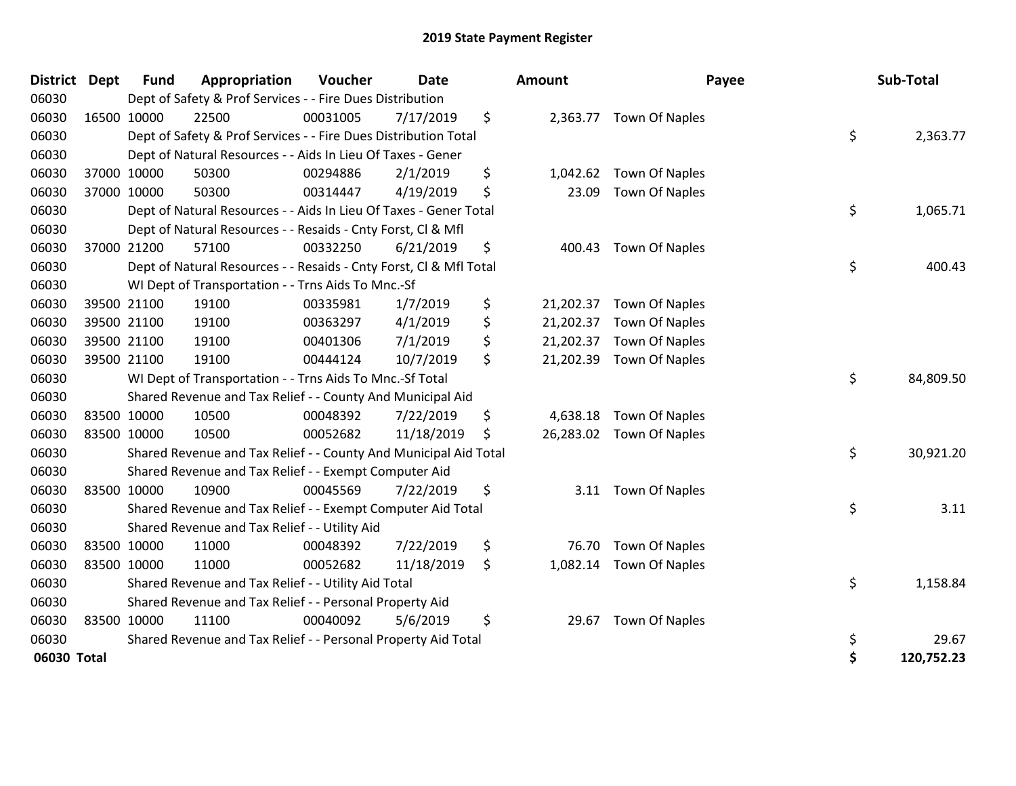| District Dept |             | <b>Fund</b> | Appropriation                                                      | Voucher  | <b>Date</b> | Amount          | Payee                    | Sub-Total        |
|---------------|-------------|-------------|--------------------------------------------------------------------|----------|-------------|-----------------|--------------------------|------------------|
| 06030         |             |             | Dept of Safety & Prof Services - - Fire Dues Distribution          |          |             |                 |                          |                  |
| 06030         |             | 16500 10000 | 22500                                                              | 00031005 | 7/17/2019   | \$              | 2,363.77 Town Of Naples  |                  |
| 06030         |             |             | Dept of Safety & Prof Services - - Fire Dues Distribution Total    |          |             |                 |                          | \$<br>2,363.77   |
| 06030         |             |             | Dept of Natural Resources - - Aids In Lieu Of Taxes - Gener        |          |             |                 |                          |                  |
| 06030         |             | 37000 10000 | 50300                                                              | 00294886 | 2/1/2019    | \$<br>1,042.62  | Town Of Naples           |                  |
| 06030         | 37000 10000 |             | 50300                                                              | 00314447 | 4/19/2019   | \$<br>23.09     | <b>Town Of Naples</b>    |                  |
| 06030         |             |             | Dept of Natural Resources - - Aids In Lieu Of Taxes - Gener Total  |          |             |                 |                          | \$<br>1,065.71   |
| 06030         |             |             | Dept of Natural Resources - - Resaids - Cnty Forst, Cl & Mfl       |          |             |                 |                          |                  |
| 06030         |             | 37000 21200 | 57100                                                              | 00332250 | 6/21/2019   | \$<br>400.43    | <b>Town Of Naples</b>    |                  |
| 06030         |             |             | Dept of Natural Resources - - Resaids - Cnty Forst, CI & Mfl Total |          |             |                 |                          | \$<br>400.43     |
| 06030         |             |             | WI Dept of Transportation - - Trns Aids To Mnc.-Sf                 |          |             |                 |                          |                  |
| 06030         |             | 39500 21100 | 19100                                                              | 00335981 | 1/7/2019    | \$              | 21,202.37 Town Of Naples |                  |
| 06030         |             | 39500 21100 | 19100                                                              | 00363297 | 4/1/2019    | \$<br>21,202.37 | <b>Town Of Naples</b>    |                  |
| 06030         |             | 39500 21100 | 19100                                                              | 00401306 | 7/1/2019    | \$<br>21,202.37 | <b>Town Of Naples</b>    |                  |
| 06030         |             | 39500 21100 | 19100                                                              | 00444124 | 10/7/2019   | \$<br>21,202.39 | <b>Town Of Naples</b>    |                  |
| 06030         |             |             | WI Dept of Transportation - - Trns Aids To Mnc.-Sf Total           |          |             |                 |                          | \$<br>84,809.50  |
| 06030         |             |             | Shared Revenue and Tax Relief - - County And Municipal Aid         |          |             |                 |                          |                  |
| 06030         |             | 83500 10000 | 10500                                                              | 00048392 | 7/22/2019   | \$<br>4,638.18  | Town Of Naples           |                  |
| 06030         |             | 83500 10000 | 10500                                                              | 00052682 | 11/18/2019  | \$              | 26,283.02 Town Of Naples |                  |
| 06030         |             |             | Shared Revenue and Tax Relief - - County And Municipal Aid Total   |          |             |                 |                          | \$<br>30,921.20  |
| 06030         |             |             | Shared Revenue and Tax Relief - - Exempt Computer Aid              |          |             |                 |                          |                  |
| 06030         |             | 83500 10000 | 10900                                                              | 00045569 | 7/22/2019   | \$<br>3.11      | <b>Town Of Naples</b>    |                  |
| 06030         |             |             | Shared Revenue and Tax Relief - - Exempt Computer Aid Total        |          |             |                 |                          | \$<br>3.11       |
| 06030         |             |             | Shared Revenue and Tax Relief - - Utility Aid                      |          |             |                 |                          |                  |
| 06030         |             | 83500 10000 | 11000                                                              | 00048392 | 7/22/2019   | \$<br>76.70     | <b>Town Of Naples</b>    |                  |
| 06030         |             | 83500 10000 | 11000                                                              | 00052682 | 11/18/2019  | \$<br>1,082.14  | <b>Town Of Naples</b>    |                  |
| 06030         |             |             | Shared Revenue and Tax Relief - - Utility Aid Total                |          |             |                 |                          | \$<br>1,158.84   |
| 06030         |             |             | Shared Revenue and Tax Relief - - Personal Property Aid            |          |             |                 |                          |                  |
| 06030         |             | 83500 10000 | 11100                                                              | 00040092 | 5/6/2019    | \$<br>29.67     | <b>Town Of Naples</b>    |                  |
| 06030         |             |             | Shared Revenue and Tax Relief - - Personal Property Aid Total      |          |             |                 |                          | \$<br>29.67      |
| 06030 Total   |             |             |                                                                    |          |             |                 |                          | \$<br>120,752.23 |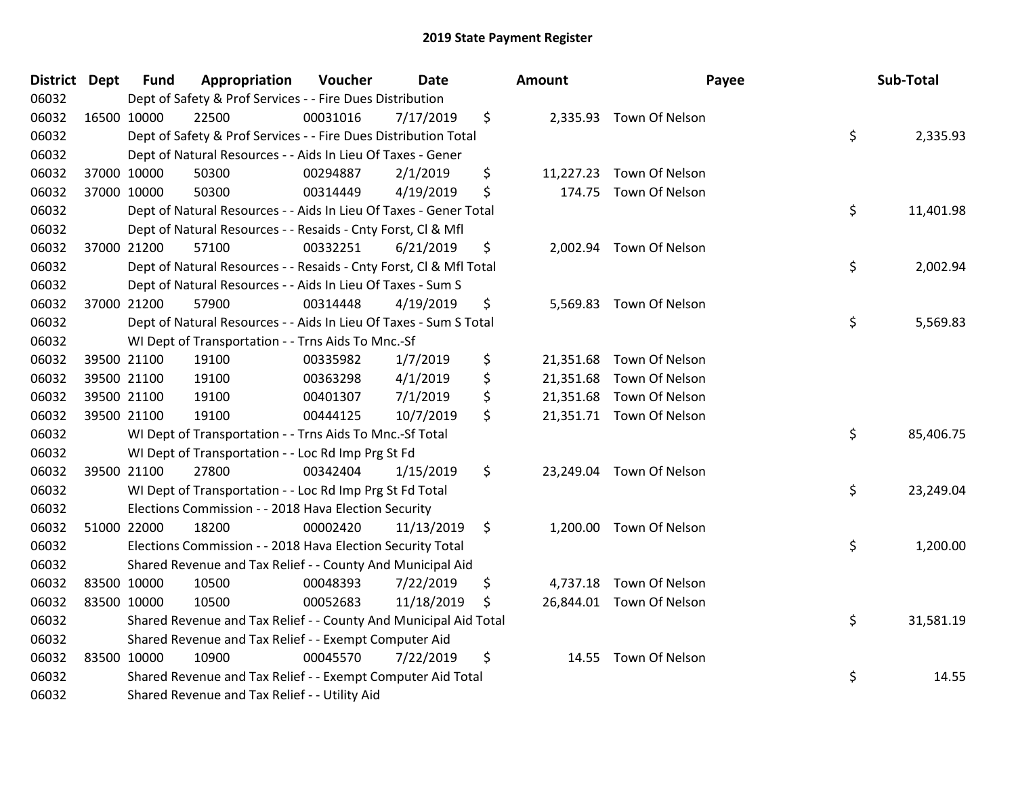| District Dept |             | <b>Fund</b> | Appropriation                                                      | Voucher  | Date       | <b>Amount</b> | Payee                    | Sub-Total       |
|---------------|-------------|-------------|--------------------------------------------------------------------|----------|------------|---------------|--------------------------|-----------------|
| 06032         |             |             | Dept of Safety & Prof Services - - Fire Dues Distribution          |          |            |               |                          |                 |
| 06032         | 16500 10000 |             | 22500                                                              | 00031016 | 7/17/2019  | \$            | 2,335.93 Town Of Nelson  |                 |
| 06032         |             |             | Dept of Safety & Prof Services - - Fire Dues Distribution Total    |          |            |               |                          | \$<br>2,335.93  |
| 06032         |             |             | Dept of Natural Resources - - Aids In Lieu Of Taxes - Gener        |          |            |               |                          |                 |
| 06032         |             | 37000 10000 | 50300                                                              | 00294887 | 2/1/2019   | \$            | 11,227.23 Town Of Nelson |                 |
| 06032         |             | 37000 10000 | 50300                                                              | 00314449 | 4/19/2019  | \$            | 174.75 Town Of Nelson    |                 |
| 06032         |             |             | Dept of Natural Resources - - Aids In Lieu Of Taxes - Gener Total  |          |            |               |                          | \$<br>11,401.98 |
| 06032         |             |             | Dept of Natural Resources - - Resaids - Cnty Forst, Cl & Mfl       |          |            |               |                          |                 |
| 06032         |             | 37000 21200 | 57100                                                              | 00332251 | 6/21/2019  | \$            | 2,002.94 Town Of Nelson  |                 |
| 06032         |             |             | Dept of Natural Resources - - Resaids - Cnty Forst, Cl & Mfl Total |          |            |               |                          | \$<br>2,002.94  |
| 06032         |             |             | Dept of Natural Resources - - Aids In Lieu Of Taxes - Sum S        |          |            |               |                          |                 |
| 06032         |             | 37000 21200 | 57900                                                              | 00314448 | 4/19/2019  | \$            | 5,569.83 Town Of Nelson  |                 |
| 06032         |             |             | Dept of Natural Resources - - Aids In Lieu Of Taxes - Sum S Total  |          |            |               |                          | \$<br>5,569.83  |
| 06032         |             |             | WI Dept of Transportation - - Trns Aids To Mnc.-Sf                 |          |            |               |                          |                 |
| 06032         |             | 39500 21100 | 19100                                                              | 00335982 | 1/7/2019   | \$            | 21,351.68 Town Of Nelson |                 |
| 06032         |             | 39500 21100 | 19100                                                              | 00363298 | 4/1/2019   | \$            | 21,351.68 Town Of Nelson |                 |
| 06032         |             | 39500 21100 | 19100                                                              | 00401307 | 7/1/2019   | \$            | 21,351.68 Town Of Nelson |                 |
| 06032         | 39500 21100 |             | 19100                                                              | 00444125 | 10/7/2019  | \$            | 21,351.71 Town Of Nelson |                 |
| 06032         |             |             | WI Dept of Transportation - - Trns Aids To Mnc.-Sf Total           |          |            |               |                          | \$<br>85,406.75 |
| 06032         |             |             | WI Dept of Transportation - - Loc Rd Imp Prg St Fd                 |          |            |               |                          |                 |
| 06032         |             | 39500 21100 | 27800                                                              | 00342404 | 1/15/2019  | \$            | 23,249.04 Town Of Nelson |                 |
| 06032         |             |             | WI Dept of Transportation - - Loc Rd Imp Prg St Fd Total           |          |            |               |                          | \$<br>23,249.04 |
| 06032         |             |             | Elections Commission - - 2018 Hava Election Security               |          |            |               |                          |                 |
| 06032         |             | 51000 22000 | 18200                                                              | 00002420 | 11/13/2019 | \$            | 1,200.00 Town Of Nelson  |                 |
| 06032         |             |             | Elections Commission - - 2018 Hava Election Security Total         |          |            |               |                          | \$<br>1,200.00  |
| 06032         |             |             | Shared Revenue and Tax Relief - - County And Municipal Aid         |          |            |               |                          |                 |
| 06032         |             | 83500 10000 | 10500                                                              | 00048393 | 7/22/2019  | \$            | 4,737.18 Town Of Nelson  |                 |
| 06032         | 83500 10000 |             | 10500                                                              | 00052683 | 11/18/2019 | \$            | 26,844.01 Town Of Nelson |                 |
| 06032         |             |             | Shared Revenue and Tax Relief - - County And Municipal Aid Total   |          |            |               |                          | \$<br>31,581.19 |
| 06032         |             |             | Shared Revenue and Tax Relief - - Exempt Computer Aid              |          |            |               |                          |                 |
| 06032         |             | 83500 10000 | 10900                                                              | 00045570 | 7/22/2019  | \$            | 14.55 Town Of Nelson     |                 |
| 06032         |             |             | Shared Revenue and Tax Relief - - Exempt Computer Aid Total        |          |            |               |                          | \$<br>14.55     |
| 06032         |             |             | Shared Revenue and Tax Relief - - Utility Aid                      |          |            |               |                          |                 |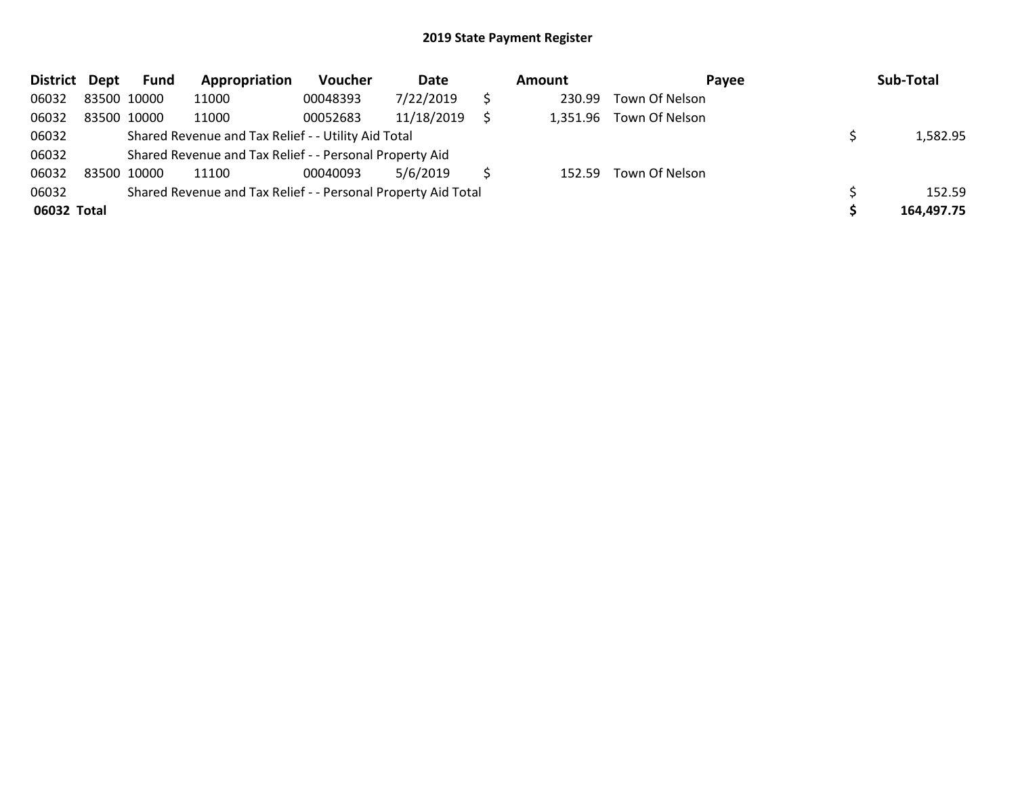| District Dept |             | Fund        | Appropriation                                                 | Voucher  | Date       | Amount   | Payee          | Sub-Total  |
|---------------|-------------|-------------|---------------------------------------------------------------|----------|------------|----------|----------------|------------|
| 06032         | 83500 10000 |             | 11000                                                         | 00048393 | 7/22/2019  | 230.99   | Town Of Nelson |            |
| 06032         | 83500 10000 |             | 11000                                                         | 00052683 | 11/18/2019 | 1,351.96 | Town Of Nelson |            |
| 06032         |             |             | Shared Revenue and Tax Relief - - Utility Aid Total           |          |            |          |                | 1,582.95   |
| 06032         |             |             | Shared Revenue and Tax Relief - - Personal Property Aid       |          |            |          |                |            |
| 06032         |             | 83500 10000 | 11100                                                         | 00040093 | 5/6/2019   | 152.59   | Town Of Nelson |            |
| 06032         |             |             | Shared Revenue and Tax Relief - - Personal Property Aid Total |          |            |          |                | 152.59     |
| 06032 Total   |             |             |                                                               |          |            |          |                | 164,497.75 |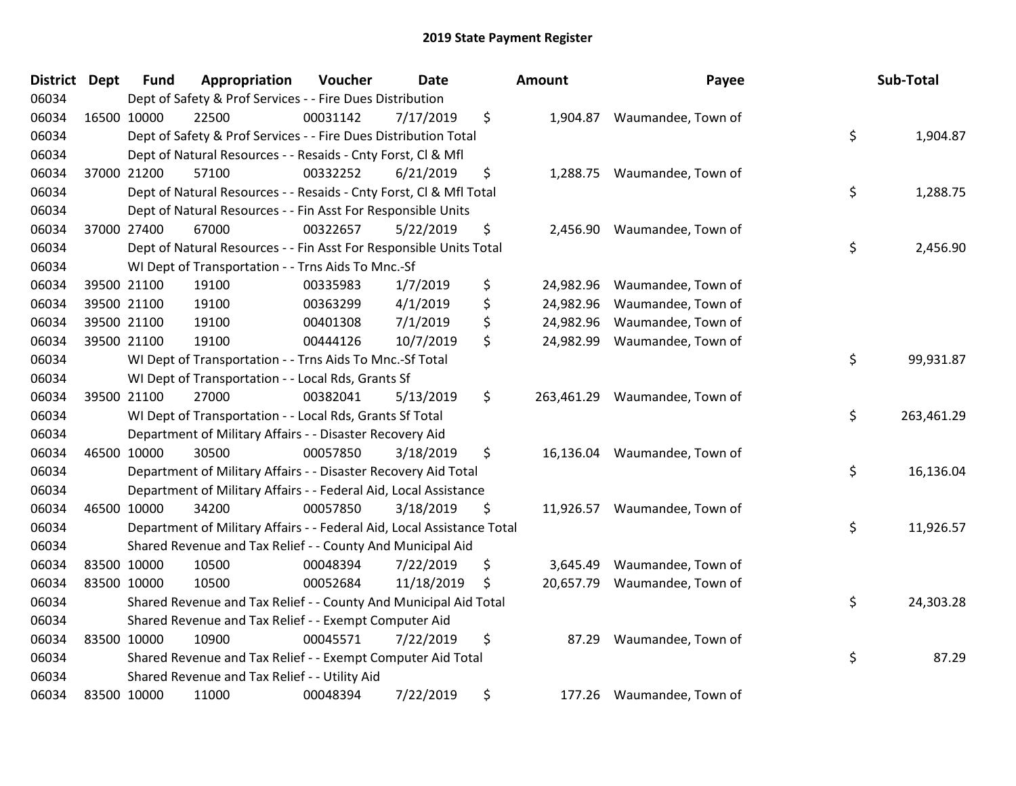| District Dept | <b>Fund</b> | Appropriation                                                          | Voucher  | <b>Date</b> | <b>Amount</b>    | Payee                        | Sub-Total        |
|---------------|-------------|------------------------------------------------------------------------|----------|-------------|------------------|------------------------------|------------------|
| 06034         |             | Dept of Safety & Prof Services - - Fire Dues Distribution              |          |             |                  |                              |                  |
| 06034         | 16500 10000 | 22500                                                                  | 00031142 | 7/17/2019   | \$<br>1,904.87   | Waumandee, Town of           |                  |
| 06034         |             | Dept of Safety & Prof Services - - Fire Dues Distribution Total        |          |             |                  |                              | \$<br>1,904.87   |
| 06034         |             | Dept of Natural Resources - - Resaids - Cnty Forst, Cl & Mfl           |          |             |                  |                              |                  |
| 06034         | 37000 21200 | 57100                                                                  | 00332252 | 6/21/2019   | \$               | 1,288.75 Waumandee, Town of  |                  |
| 06034         |             | Dept of Natural Resources - - Resaids - Cnty Forst, Cl & Mfl Total     |          |             |                  |                              | \$<br>1,288.75   |
| 06034         |             | Dept of Natural Resources - - Fin Asst For Responsible Units           |          |             |                  |                              |                  |
| 06034         | 37000 27400 | 67000                                                                  | 00322657 | 5/22/2019   | \$<br>2,456.90   | Waumandee, Town of           |                  |
| 06034         |             | Dept of Natural Resources - - Fin Asst For Responsible Units Total     |          |             |                  |                              | \$<br>2,456.90   |
| 06034         |             | WI Dept of Transportation - - Trns Aids To Mnc.-Sf                     |          |             |                  |                              |                  |
| 06034         | 39500 21100 | 19100                                                                  | 00335983 | 1/7/2019    | \$<br>24,982.96  | Waumandee, Town of           |                  |
| 06034         | 39500 21100 | 19100                                                                  | 00363299 | 4/1/2019    | \$<br>24,982.96  | Waumandee, Town of           |                  |
| 06034         | 39500 21100 | 19100                                                                  | 00401308 | 7/1/2019    | \$<br>24,982.96  | Waumandee, Town of           |                  |
| 06034         | 39500 21100 | 19100                                                                  | 00444126 | 10/7/2019   | \$<br>24,982.99  | Waumandee, Town of           |                  |
| 06034         |             | WI Dept of Transportation - - Trns Aids To Mnc.-Sf Total               |          |             |                  |                              | \$<br>99,931.87  |
| 06034         |             | WI Dept of Transportation - - Local Rds, Grants Sf                     |          |             |                  |                              |                  |
| 06034         | 39500 21100 | 27000                                                                  | 00382041 | 5/13/2019   | \$<br>263,461.29 | Waumandee, Town of           |                  |
| 06034         |             | WI Dept of Transportation - - Local Rds, Grants Sf Total               |          |             |                  |                              | \$<br>263,461.29 |
| 06034         |             | Department of Military Affairs - - Disaster Recovery Aid               |          |             |                  |                              |                  |
| 06034         | 46500 10000 | 30500                                                                  | 00057850 | 3/18/2019   | \$<br>16,136.04  | Waumandee, Town of           |                  |
| 06034         |             | Department of Military Affairs - - Disaster Recovery Aid Total         |          |             |                  |                              | \$<br>16,136.04  |
| 06034         |             | Department of Military Affairs - - Federal Aid, Local Assistance       |          |             |                  |                              |                  |
| 06034         | 46500 10000 | 34200                                                                  | 00057850 | 3/18/2019   | \$               | 11,926.57 Waumandee, Town of |                  |
| 06034         |             | Department of Military Affairs - - Federal Aid, Local Assistance Total |          |             |                  |                              | \$<br>11,926.57  |
| 06034         |             | Shared Revenue and Tax Relief - - County And Municipal Aid             |          |             |                  |                              |                  |
| 06034         | 83500 10000 | 10500                                                                  | 00048394 | 7/22/2019   | \$<br>3,645.49   | Waumandee, Town of           |                  |
| 06034         | 83500 10000 | 10500                                                                  | 00052684 | 11/18/2019  | \$<br>20,657.79  | Waumandee, Town of           |                  |
| 06034         |             | Shared Revenue and Tax Relief - - County And Municipal Aid Total       |          |             |                  |                              | \$<br>24,303.28  |
| 06034         |             | Shared Revenue and Tax Relief - - Exempt Computer Aid                  |          |             |                  |                              |                  |
| 06034         | 83500 10000 | 10900                                                                  | 00045571 | 7/22/2019   | \$<br>87.29      | Waumandee, Town of           |                  |
| 06034         |             | Shared Revenue and Tax Relief - - Exempt Computer Aid Total            |          |             |                  |                              | \$<br>87.29      |
| 06034         |             | Shared Revenue and Tax Relief - - Utility Aid                          |          |             |                  |                              |                  |
| 06034         | 83500 10000 | 11000                                                                  | 00048394 | 7/22/2019   | \$<br>177.26     | Waumandee, Town of           |                  |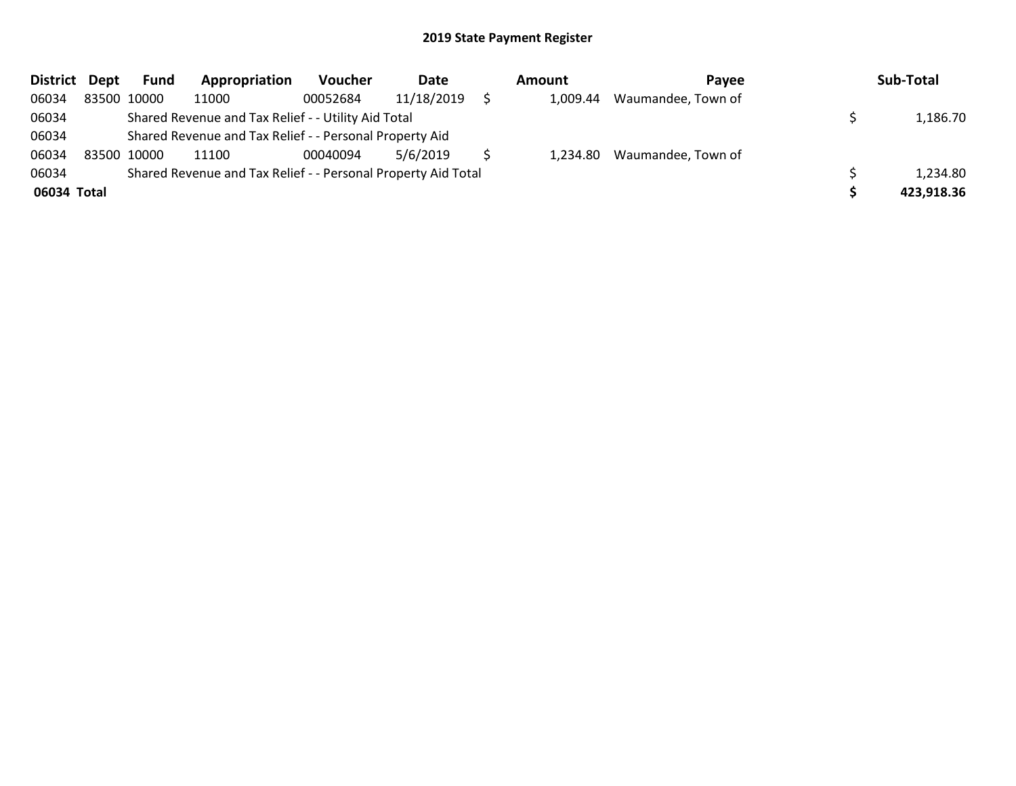| District Dept |             | Fund        | Appropriation                                                 | <b>Voucher</b> | Date       | Amount   | Pavee                       | Sub-Total  |
|---------------|-------------|-------------|---------------------------------------------------------------|----------------|------------|----------|-----------------------------|------------|
| 06034         |             | 83500 10000 | 11000                                                         | 00052684       | 11/18/2019 | 1.009.44 | Waumandee, Town of          |            |
| 06034         |             |             | Shared Revenue and Tax Relief - - Utility Aid Total           |                |            |          |                             | 1,186.70   |
| 06034         |             |             | Shared Revenue and Tax Relief - - Personal Property Aid       |                |            |          |                             |            |
| 06034         | 83500 10000 |             | 11100                                                         | 00040094       | 5/6/2019   |          | 1,234.80 Waumandee, Town of |            |
| 06034         |             |             | Shared Revenue and Tax Relief - - Personal Property Aid Total |                |            |          |                             | 1,234.80   |
| 06034 Total   |             |             |                                                               |                |            |          |                             | 423,918.36 |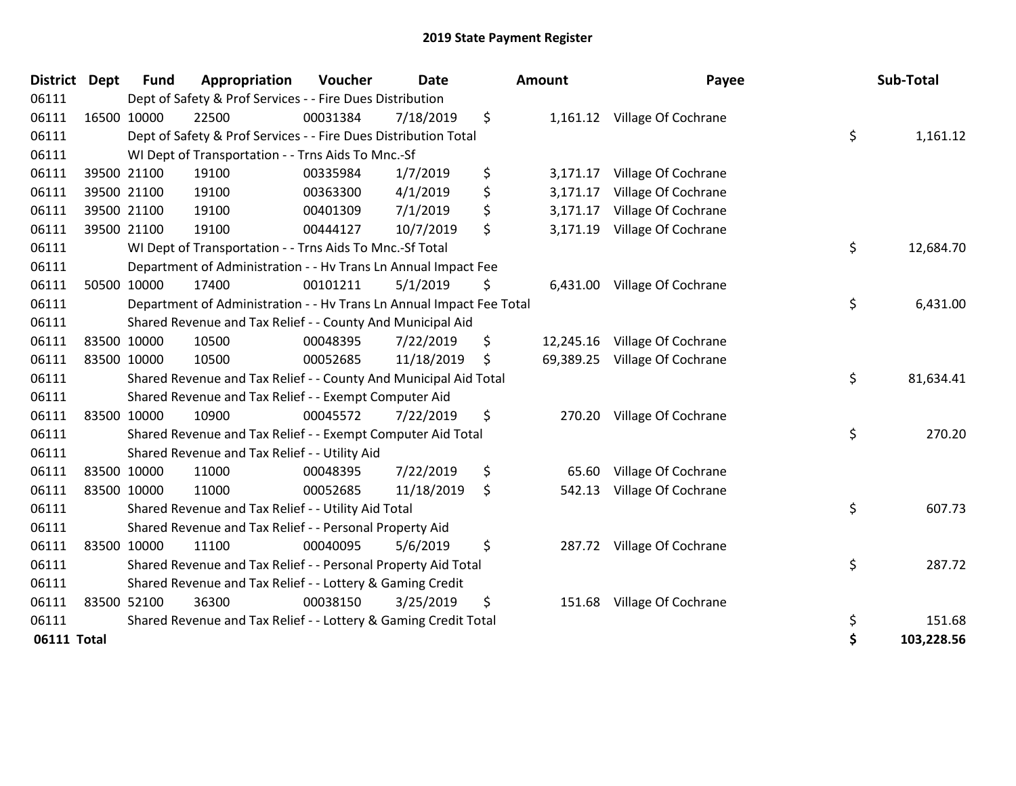| <b>District Dept</b> | <b>Fund</b> | Appropriation                                                        | Voucher  | <b>Date</b> | Amount          | Payee                         | Sub-Total        |
|----------------------|-------------|----------------------------------------------------------------------|----------|-------------|-----------------|-------------------------------|------------------|
| 06111                |             | Dept of Safety & Prof Services - - Fire Dues Distribution            |          |             |                 |                               |                  |
| 06111                | 16500 10000 | 22500                                                                | 00031384 | 7/18/2019   | \$              | 1,161.12 Village Of Cochrane  |                  |
| 06111                |             | Dept of Safety & Prof Services - - Fire Dues Distribution Total      |          |             |                 |                               | \$<br>1,161.12   |
| 06111                |             | WI Dept of Transportation - - Trns Aids To Mnc.-Sf                   |          |             |                 |                               |                  |
| 06111                | 39500 21100 | 19100                                                                | 00335984 | 1/7/2019    | \$<br>3,171.17  | Village Of Cochrane           |                  |
| 06111                | 39500 21100 | 19100                                                                | 00363300 | 4/1/2019    | \$<br>3,171.17  | Village Of Cochrane           |                  |
| 06111                | 39500 21100 | 19100                                                                | 00401309 | 7/1/2019    | \$<br>3,171.17  | Village Of Cochrane           |                  |
| 06111                | 39500 21100 | 19100                                                                | 00444127 | 10/7/2019   | \$<br>3,171.19  | Village Of Cochrane           |                  |
| 06111                |             | WI Dept of Transportation - - Trns Aids To Mnc.-Sf Total             |          |             |                 |                               | \$<br>12,684.70  |
| 06111                |             | Department of Administration - - Hv Trans Ln Annual Impact Fee       |          |             |                 |                               |                  |
| 06111                | 50500 10000 | 17400                                                                | 00101211 | 5/1/2019    | \$              | 6,431.00 Village Of Cochrane  |                  |
| 06111                |             | Department of Administration - - Hv Trans Ln Annual Impact Fee Total |          |             |                 |                               | \$<br>6,431.00   |
| 06111                |             | Shared Revenue and Tax Relief - - County And Municipal Aid           |          |             |                 |                               |                  |
| 06111                | 83500 10000 | 10500                                                                | 00048395 | 7/22/2019   | \$<br>12,245.16 | Village Of Cochrane           |                  |
| 06111                | 83500 10000 | 10500                                                                | 00052685 | 11/18/2019  | \$              | 69,389.25 Village Of Cochrane |                  |
| 06111                |             | Shared Revenue and Tax Relief - - County And Municipal Aid Total     |          |             |                 |                               | \$<br>81,634.41  |
| 06111                |             | Shared Revenue and Tax Relief - - Exempt Computer Aid                |          |             |                 |                               |                  |
| 06111                | 83500 10000 | 10900                                                                | 00045572 | 7/22/2019   | \$<br>270.20    | Village Of Cochrane           |                  |
| 06111                |             | Shared Revenue and Tax Relief - - Exempt Computer Aid Total          |          |             |                 |                               | \$<br>270.20     |
| 06111                |             | Shared Revenue and Tax Relief - - Utility Aid                        |          |             |                 |                               |                  |
| 06111                | 83500 10000 | 11000                                                                | 00048395 | 7/22/2019   | \$<br>65.60     | Village Of Cochrane           |                  |
| 06111                | 83500 10000 | 11000                                                                | 00052685 | 11/18/2019  | \$<br>542.13    | Village Of Cochrane           |                  |
| 06111                |             | Shared Revenue and Tax Relief - - Utility Aid Total                  |          |             |                 |                               | \$<br>607.73     |
| 06111                |             | Shared Revenue and Tax Relief - - Personal Property Aid              |          |             |                 |                               |                  |
| 06111                | 83500 10000 | 11100                                                                | 00040095 | 5/6/2019    | \$              | 287.72 Village Of Cochrane    |                  |
| 06111                |             | Shared Revenue and Tax Relief - - Personal Property Aid Total        |          |             |                 |                               | \$<br>287.72     |
| 06111                |             | Shared Revenue and Tax Relief - - Lottery & Gaming Credit            |          |             |                 |                               |                  |
| 06111                | 83500 52100 | 36300                                                                | 00038150 | 3/25/2019   | \$<br>151.68    | Village Of Cochrane           |                  |
| 06111                |             | Shared Revenue and Tax Relief - - Lottery & Gaming Credit Total      |          |             |                 |                               | \$<br>151.68     |
| 06111 Total          |             |                                                                      |          |             |                 |                               | \$<br>103,228.56 |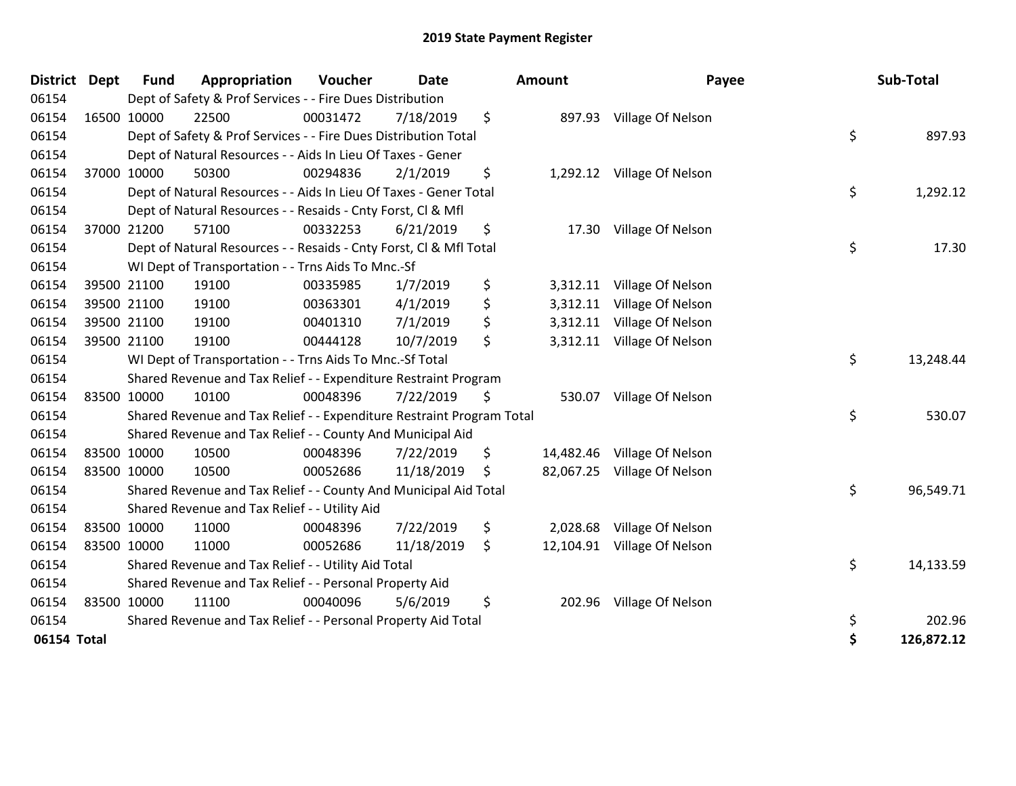| <b>District</b> | <b>Dept</b> | <b>Fund</b> | Appropriation                                                         | Voucher  | <b>Date</b> | <b>Amount</b>   | Payee                       | Sub-Total        |
|-----------------|-------------|-------------|-----------------------------------------------------------------------|----------|-------------|-----------------|-----------------------------|------------------|
| 06154           |             |             | Dept of Safety & Prof Services - - Fire Dues Distribution             |          |             |                 |                             |                  |
| 06154           |             | 16500 10000 | 22500                                                                 | 00031472 | 7/18/2019   | \$<br>897.93    | Village Of Nelson           |                  |
| 06154           |             |             | Dept of Safety & Prof Services - - Fire Dues Distribution Total       |          |             |                 |                             | \$<br>897.93     |
| 06154           |             |             | Dept of Natural Resources - - Aids In Lieu Of Taxes - Gener           |          |             |                 |                             |                  |
| 06154           |             | 37000 10000 | 50300                                                                 | 00294836 | 2/1/2019    | \$              | 1,292.12 Village Of Nelson  |                  |
| 06154           |             |             | Dept of Natural Resources - - Aids In Lieu Of Taxes - Gener Total     |          |             |                 |                             | \$<br>1,292.12   |
| 06154           |             |             | Dept of Natural Resources - - Resaids - Cnty Forst, CI & Mfl          |          |             |                 |                             |                  |
| 06154           |             | 37000 21200 | 57100                                                                 | 00332253 | 6/21/2019   | \$<br>17.30     | Village Of Nelson           |                  |
| 06154           |             |             | Dept of Natural Resources - - Resaids - Cnty Forst, Cl & Mfl Total    |          |             |                 |                             | \$<br>17.30      |
| 06154           |             |             | WI Dept of Transportation - - Trns Aids To Mnc.-Sf                    |          |             |                 |                             |                  |
| 06154           |             | 39500 21100 | 19100                                                                 | 00335985 | 1/7/2019    | \$<br>3,312.11  | Village Of Nelson           |                  |
| 06154           |             | 39500 21100 | 19100                                                                 | 00363301 | 4/1/2019    | \$<br>3,312.11  | Village Of Nelson           |                  |
| 06154           |             | 39500 21100 | 19100                                                                 | 00401310 | 7/1/2019    | \$<br>3,312.11  | Village Of Nelson           |                  |
| 06154           |             | 39500 21100 | 19100                                                                 | 00444128 | 10/7/2019   | \$              | 3,312.11 Village Of Nelson  |                  |
| 06154           |             |             | WI Dept of Transportation - - Trns Aids To Mnc.-Sf Total              |          |             |                 |                             | \$<br>13,248.44  |
| 06154           |             |             | Shared Revenue and Tax Relief - - Expenditure Restraint Program       |          |             |                 |                             |                  |
| 06154           |             | 83500 10000 | 10100                                                                 | 00048396 | 7/22/2019   | \$<br>530.07    | Village Of Nelson           |                  |
| 06154           |             |             | Shared Revenue and Tax Relief - - Expenditure Restraint Program Total |          |             |                 |                             | \$<br>530.07     |
| 06154           |             |             | Shared Revenue and Tax Relief - - County And Municipal Aid            |          |             |                 |                             |                  |
| 06154           |             | 83500 10000 | 10500                                                                 | 00048396 | 7/22/2019   | \$<br>14,482.46 | Village Of Nelson           |                  |
| 06154           | 83500 10000 |             | 10500                                                                 | 00052686 | 11/18/2019  | \$<br>82,067.25 | Village Of Nelson           |                  |
| 06154           |             |             | Shared Revenue and Tax Relief - - County And Municipal Aid Total      |          |             |                 |                             | \$<br>96,549.71  |
| 06154           |             |             | Shared Revenue and Tax Relief - - Utility Aid                         |          |             |                 |                             |                  |
| 06154           | 83500 10000 |             | 11000                                                                 | 00048396 | 7/22/2019   | \$<br>2,028.68  | Village Of Nelson           |                  |
| 06154           | 83500 10000 |             | 11000                                                                 | 00052686 | 11/18/2019  | \$              | 12,104.91 Village Of Nelson |                  |
| 06154           |             |             | Shared Revenue and Tax Relief - - Utility Aid Total                   |          |             |                 |                             | \$<br>14,133.59  |
| 06154           |             |             | Shared Revenue and Tax Relief - - Personal Property Aid               |          |             |                 |                             |                  |
| 06154           |             | 83500 10000 | 11100                                                                 | 00040096 | 5/6/2019    | \$<br>202.96    | Village Of Nelson           |                  |
| 06154           |             |             | Shared Revenue and Tax Relief - - Personal Property Aid Total         |          |             |                 |                             | \$<br>202.96     |
| 06154 Total     |             |             |                                                                       |          |             |                 |                             | \$<br>126,872.12 |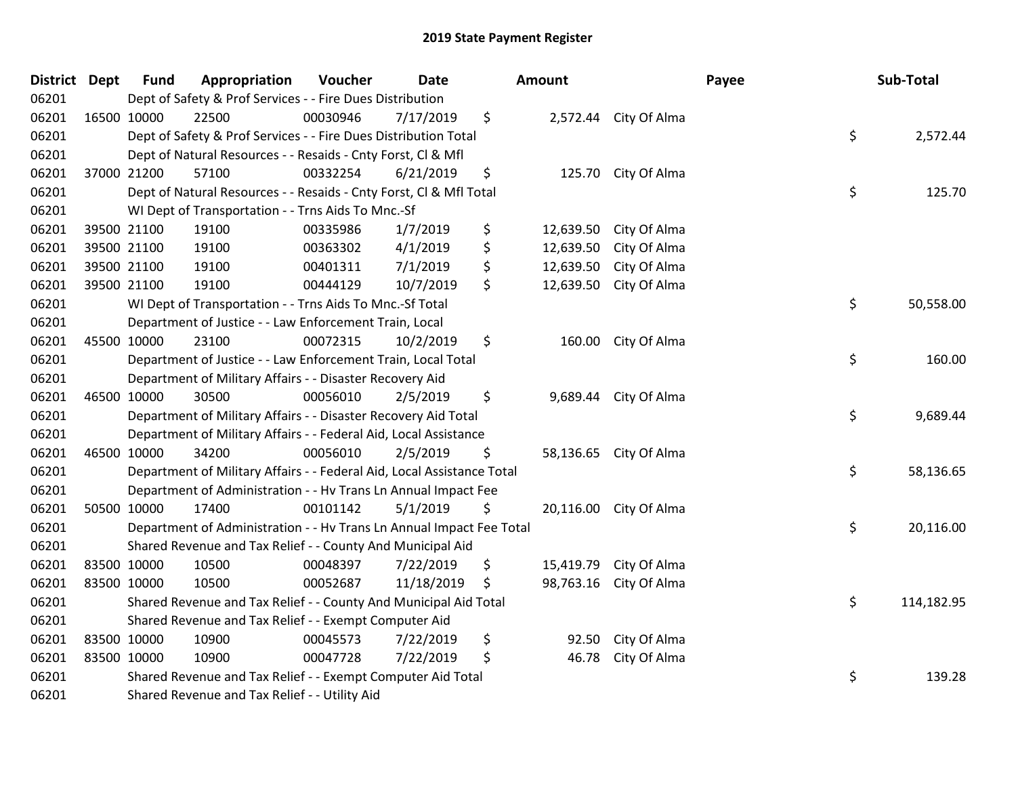| District Dept |             | <b>Fund</b> | Appropriation                                                          | Voucher  | <b>Date</b> | Amount          |                        | Payee | Sub-Total  |
|---------------|-------------|-------------|------------------------------------------------------------------------|----------|-------------|-----------------|------------------------|-------|------------|
| 06201         |             |             | Dept of Safety & Prof Services - - Fire Dues Distribution              |          |             |                 |                        |       |            |
| 06201         |             | 16500 10000 | 22500                                                                  | 00030946 | 7/17/2019   | \$              | 2,572.44 City Of Alma  |       |            |
| 06201         |             |             | Dept of Safety & Prof Services - - Fire Dues Distribution Total        |          |             |                 |                        | \$    | 2,572.44   |
| 06201         |             |             | Dept of Natural Resources - - Resaids - Cnty Forst, Cl & Mfl           |          |             |                 |                        |       |            |
| 06201         |             | 37000 21200 | 57100                                                                  | 00332254 | 6/21/2019   | \$<br>125.70    | City Of Alma           |       |            |
| 06201         |             |             | Dept of Natural Resources - - Resaids - Cnty Forst, Cl & Mfl Total     |          |             |                 |                        | \$    | 125.70     |
| 06201         |             |             | WI Dept of Transportation - - Trns Aids To Mnc.-Sf                     |          |             |                 |                        |       |            |
| 06201         |             | 39500 21100 | 19100                                                                  | 00335986 | 1/7/2019    | \$<br>12,639.50 | City Of Alma           |       |            |
| 06201         |             | 39500 21100 | 19100                                                                  | 00363302 | 4/1/2019    | \$<br>12,639.50 | City Of Alma           |       |            |
| 06201         |             | 39500 21100 | 19100                                                                  | 00401311 | 7/1/2019    | \$<br>12,639.50 | City Of Alma           |       |            |
| 06201         |             | 39500 21100 | 19100                                                                  | 00444129 | 10/7/2019   | \$<br>12,639.50 | City Of Alma           |       |            |
| 06201         |             |             | WI Dept of Transportation - - Trns Aids To Mnc.-Sf Total               |          |             |                 |                        | \$    | 50,558.00  |
| 06201         |             |             | Department of Justice - - Law Enforcement Train, Local                 |          |             |                 |                        |       |            |
| 06201         |             | 45500 10000 | 23100                                                                  | 00072315 | 10/2/2019   | \$<br>160.00    | City Of Alma           |       |            |
| 06201         |             |             | Department of Justice - - Law Enforcement Train, Local Total           |          |             |                 |                        | \$    | 160.00     |
| 06201         |             |             | Department of Military Affairs - - Disaster Recovery Aid               |          |             |                 |                        |       |            |
| 06201         |             | 46500 10000 | 30500                                                                  | 00056010 | 2/5/2019    | \$              | 9,689.44 City Of Alma  |       |            |
| 06201         |             |             | Department of Military Affairs - - Disaster Recovery Aid Total         |          |             |                 |                        | \$    | 9,689.44   |
| 06201         |             |             | Department of Military Affairs - - Federal Aid, Local Assistance       |          |             |                 |                        |       |            |
| 06201         |             | 46500 10000 | 34200                                                                  | 00056010 | 2/5/2019    | \$              | 58,136.65 City Of Alma |       |            |
| 06201         |             |             | Department of Military Affairs - - Federal Aid, Local Assistance Total |          |             |                 |                        | \$    | 58,136.65  |
| 06201         |             |             | Department of Administration - - Hv Trans Ln Annual Impact Fee         |          |             |                 |                        |       |            |
| 06201         |             | 50500 10000 | 17400                                                                  | 00101142 | 5/1/2019    | \$              | 20,116.00 City Of Alma |       |            |
| 06201         |             |             | Department of Administration - - Hv Trans Ln Annual Impact Fee Total   |          |             |                 |                        | \$    | 20,116.00  |
| 06201         |             |             | Shared Revenue and Tax Relief - - County And Municipal Aid             |          |             |                 |                        |       |            |
| 06201         |             | 83500 10000 | 10500                                                                  | 00048397 | 7/22/2019   | \$<br>15,419.79 | City Of Alma           |       |            |
| 06201         | 83500 10000 |             | 10500                                                                  | 00052687 | 11/18/2019  | \$<br>98,763.16 | City Of Alma           |       |            |
| 06201         |             |             | Shared Revenue and Tax Relief - - County And Municipal Aid Total       |          |             |                 |                        | \$    | 114,182.95 |
| 06201         |             |             | Shared Revenue and Tax Relief - - Exempt Computer Aid                  |          |             |                 |                        |       |            |
| 06201         |             | 83500 10000 | 10900                                                                  | 00045573 | 7/22/2019   | \$<br>92.50     | City Of Alma           |       |            |
| 06201         |             | 83500 10000 | 10900                                                                  | 00047728 | 7/22/2019   | \$<br>46.78     | City Of Alma           |       |            |
| 06201         |             |             | Shared Revenue and Tax Relief - - Exempt Computer Aid Total            |          |             |                 |                        | \$    | 139.28     |
| 06201         |             |             | Shared Revenue and Tax Relief - - Utility Aid                          |          |             |                 |                        |       |            |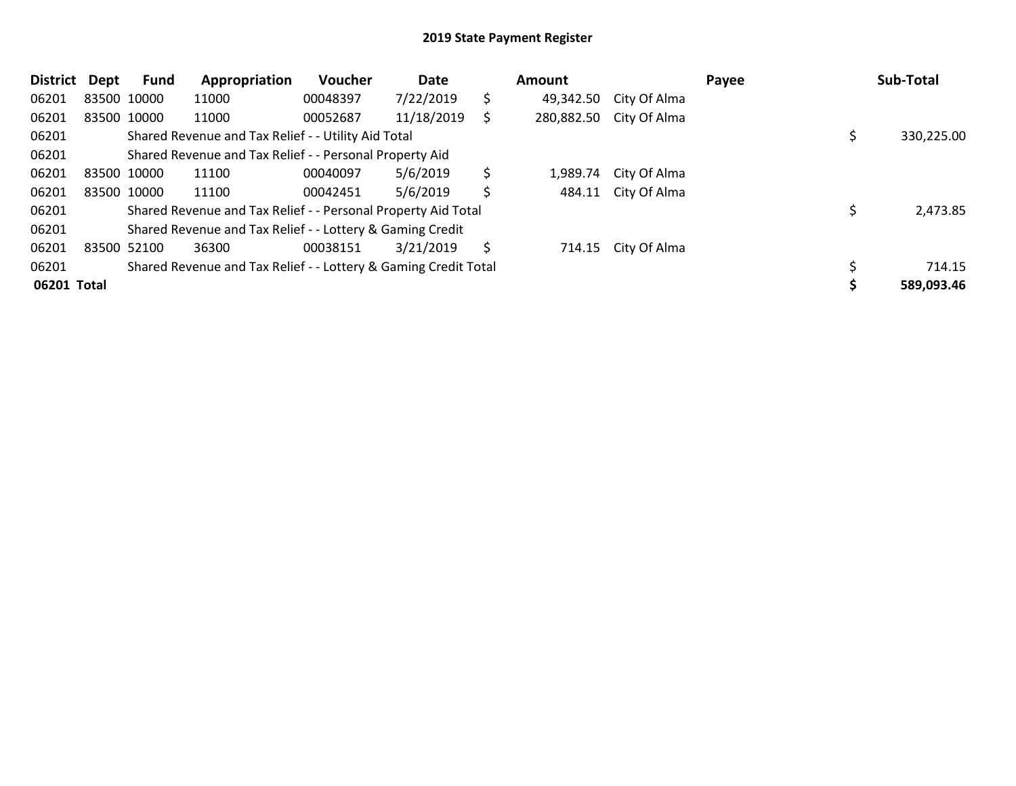| <b>District</b> | Dept | Fund        | Appropriation                                                   | Voucher  | Date       |    | <b>Amount</b> |                         | Payee | Sub-Total  |
|-----------------|------|-------------|-----------------------------------------------------------------|----------|------------|----|---------------|-------------------------|-------|------------|
| 06201           |      | 83500 10000 | 11000                                                           | 00048397 | 7/22/2019  | \$ | 49,342.50     | City Of Alma            |       |            |
| 06201           |      | 83500 10000 | 11000                                                           | 00052687 | 11/18/2019 | S  |               | 280,882.50 City Of Alma |       |            |
| 06201           |      |             | Shared Revenue and Tax Relief - - Utility Aid Total             |          |            |    |               |                         |       | 330,225.00 |
| 06201           |      |             | Shared Revenue and Tax Relief - - Personal Property Aid         |          |            |    |               |                         |       |            |
| 06201           |      | 83500 10000 | 11100                                                           | 00040097 | 5/6/2019   | \$ | 1,989.74      | City Of Alma            |       |            |
| 06201           |      | 83500 10000 | 11100                                                           | 00042451 | 5/6/2019   | \$ | 484.11        | City Of Alma            |       |            |
| 06201           |      |             | Shared Revenue and Tax Relief - - Personal Property Aid Total   |          |            |    |               |                         |       | 2,473.85   |
| 06201           |      |             | Shared Revenue and Tax Relief - - Lottery & Gaming Credit       |          |            |    |               |                         |       |            |
| 06201           |      | 83500 52100 | 36300                                                           | 00038151 | 3/21/2019  | -S |               | 714.15 City Of Alma     |       |            |
| 06201           |      |             | Shared Revenue and Tax Relief - - Lottery & Gaming Credit Total |          |            |    |               |                         |       | 714.15     |
| 06201 Total     |      |             |                                                                 |          |            |    |               |                         |       | 589,093.46 |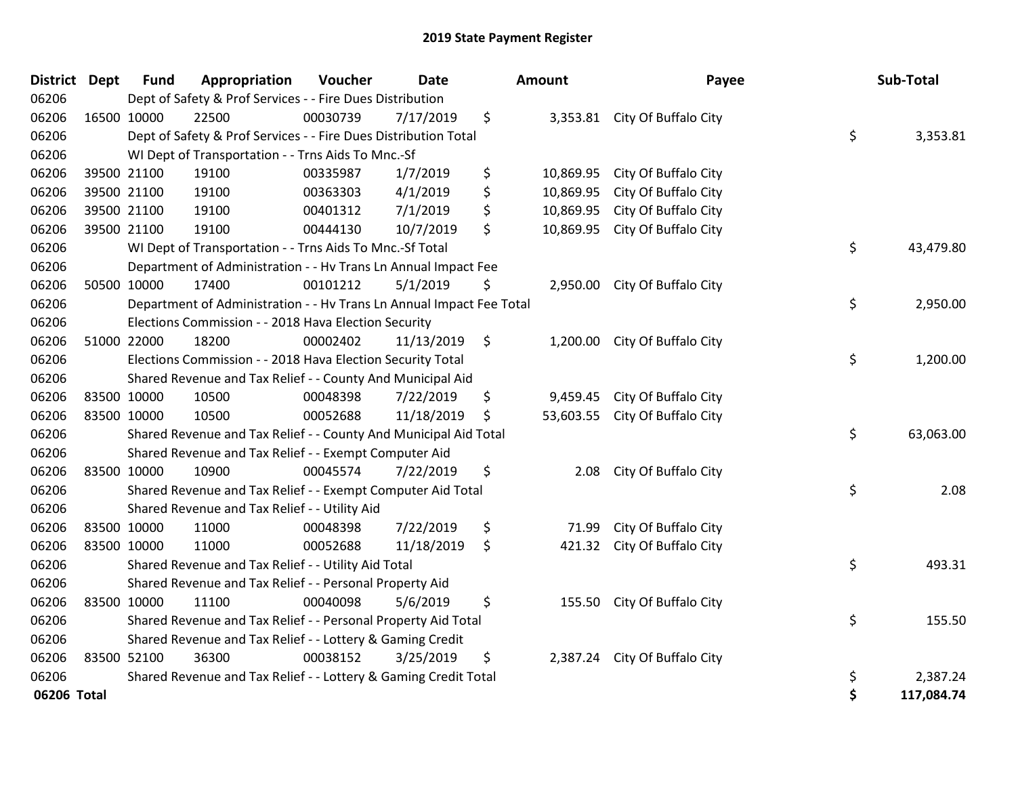| <b>District Dept</b> |             | Fund        | Appropriation                                                        | Voucher  | <b>Date</b> |               | Amount    | Payee                          | Sub-Total        |
|----------------------|-------------|-------------|----------------------------------------------------------------------|----------|-------------|---------------|-----------|--------------------------------|------------------|
| 06206                |             |             | Dept of Safety & Prof Services - - Fire Dues Distribution            |          |             |               |           |                                |                  |
| 06206                |             | 16500 10000 | 22500                                                                | 00030739 | 7/17/2019   | \$            |           | 3,353.81 City Of Buffalo City  |                  |
| 06206                |             |             | Dept of Safety & Prof Services - - Fire Dues Distribution Total      |          |             |               |           |                                | \$<br>3,353.81   |
| 06206                |             |             | WI Dept of Transportation - - Trns Aids To Mnc.-Sf                   |          |             |               |           |                                |                  |
| 06206                |             | 39500 21100 | 19100                                                                | 00335987 | 1/7/2019    | \$            | 10,869.95 | City Of Buffalo City           |                  |
| 06206                |             | 39500 21100 | 19100                                                                | 00363303 | 4/1/2019    | \$            | 10,869.95 | City Of Buffalo City           |                  |
| 06206                |             | 39500 21100 | 19100                                                                | 00401312 | 7/1/2019    | \$            | 10,869.95 | City Of Buffalo City           |                  |
| 06206                |             | 39500 21100 | 19100                                                                | 00444130 | 10/7/2019   | \$            | 10,869.95 | City Of Buffalo City           |                  |
| 06206                |             |             | WI Dept of Transportation - - Trns Aids To Mnc.-Sf Total             |          |             |               |           |                                | \$<br>43,479.80  |
| 06206                |             |             | Department of Administration - - Hv Trans Ln Annual Impact Fee       |          |             |               |           |                                |                  |
| 06206                |             | 50500 10000 | 17400                                                                | 00101212 | 5/1/2019    | \$            |           | 2,950.00 City Of Buffalo City  |                  |
| 06206                |             |             | Department of Administration - - Hv Trans Ln Annual Impact Fee Total |          |             |               |           |                                | \$<br>2,950.00   |
| 06206                |             |             | Elections Commission - - 2018 Hava Election Security                 |          |             |               |           |                                |                  |
| 06206                |             | 51000 22000 | 18200                                                                | 00002402 | 11/13/2019  | $\ddot{\phi}$ |           | 1,200.00 City Of Buffalo City  |                  |
| 06206                |             |             | Elections Commission - - 2018 Hava Election Security Total           |          |             |               |           |                                | \$<br>1,200.00   |
| 06206                |             |             | Shared Revenue and Tax Relief - - County And Municipal Aid           |          |             |               |           |                                |                  |
| 06206                |             | 83500 10000 | 10500                                                                | 00048398 | 7/22/2019   | \$            | 9,459.45  | City Of Buffalo City           |                  |
| 06206                | 83500 10000 |             | 10500                                                                | 00052688 | 11/18/2019  | \$            |           | 53,603.55 City Of Buffalo City |                  |
| 06206                |             |             | Shared Revenue and Tax Relief - - County And Municipal Aid Total     |          |             |               |           |                                | \$<br>63,063.00  |
| 06206                |             |             | Shared Revenue and Tax Relief - - Exempt Computer Aid                |          |             |               |           |                                |                  |
| 06206                |             | 83500 10000 | 10900                                                                | 00045574 | 7/22/2019   | \$            | 2.08      | City Of Buffalo City           |                  |
| 06206                |             |             | Shared Revenue and Tax Relief - - Exempt Computer Aid Total          |          |             |               |           |                                | \$<br>2.08       |
| 06206                |             |             | Shared Revenue and Tax Relief - - Utility Aid                        |          |             |               |           |                                |                  |
| 06206                |             | 83500 10000 | 11000                                                                | 00048398 | 7/22/2019   | \$            | 71.99     | City Of Buffalo City           |                  |
| 06206                |             | 83500 10000 | 11000                                                                | 00052688 | 11/18/2019  | \$            | 421.32    | City Of Buffalo City           |                  |
| 06206                |             |             | Shared Revenue and Tax Relief - - Utility Aid Total                  |          |             |               |           |                                | \$<br>493.31     |
| 06206                |             |             | Shared Revenue and Tax Relief - - Personal Property Aid              |          |             |               |           |                                |                  |
| 06206                | 83500 10000 |             | 11100                                                                | 00040098 | 5/6/2019    | \$            |           | 155.50 City Of Buffalo City    |                  |
| 06206                |             |             | Shared Revenue and Tax Relief - - Personal Property Aid Total        |          |             |               |           |                                | \$<br>155.50     |
| 06206                |             |             | Shared Revenue and Tax Relief - - Lottery & Gaming Credit            |          |             |               |           |                                |                  |
| 06206                |             | 83500 52100 | 36300                                                                | 00038152 | 3/25/2019   | \$            |           | 2,387.24 City Of Buffalo City  |                  |
| 06206                |             |             | Shared Revenue and Tax Relief - - Lottery & Gaming Credit Total      |          |             |               |           |                                | \$<br>2,387.24   |
| 06206 Total          |             |             |                                                                      |          |             |               |           |                                | \$<br>117,084.74 |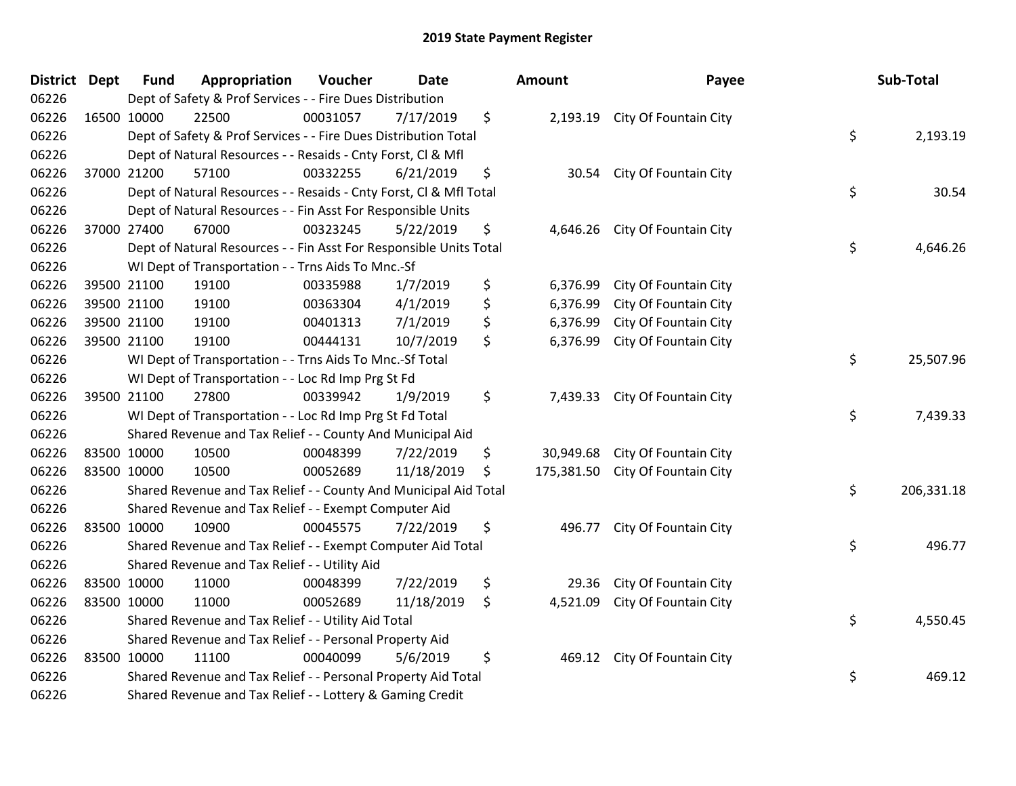| <b>District Dept</b> | <b>Fund</b> | Appropriation                                                      | Voucher  | <b>Date</b> | <b>Amount</b>   | Payee                            | Sub-Total        |
|----------------------|-------------|--------------------------------------------------------------------|----------|-------------|-----------------|----------------------------------|------------------|
| 06226                |             | Dept of Safety & Prof Services - - Fire Dues Distribution          |          |             |                 |                                  |                  |
| 06226                | 16500 10000 | 22500                                                              | 00031057 | 7/17/2019   | \$              | 2,193.19 City Of Fountain City   |                  |
| 06226                |             | Dept of Safety & Prof Services - - Fire Dues Distribution Total    |          |             |                 |                                  | \$<br>2,193.19   |
| 06226                |             | Dept of Natural Resources - - Resaids - Cnty Forst, CI & Mfl       |          |             |                 |                                  |                  |
| 06226                | 37000 21200 | 57100                                                              | 00332255 | 6/21/2019   | \$<br>30.54     | City Of Fountain City            |                  |
| 06226                |             | Dept of Natural Resources - - Resaids - Cnty Forst, Cl & Mfl Total |          |             |                 |                                  | \$<br>30.54      |
| 06226                |             | Dept of Natural Resources - - Fin Asst For Responsible Units       |          |             |                 |                                  |                  |
| 06226                | 37000 27400 | 67000                                                              | 00323245 | 5/22/2019   | \$<br>4,646.26  | City Of Fountain City            |                  |
| 06226                |             | Dept of Natural Resources - - Fin Asst For Responsible Units Total |          |             |                 |                                  | \$<br>4,646.26   |
| 06226                |             | WI Dept of Transportation - - Trns Aids To Mnc.-Sf                 |          |             |                 |                                  |                  |
| 06226                | 39500 21100 | 19100                                                              | 00335988 | 1/7/2019    | \$<br>6,376.99  | City Of Fountain City            |                  |
| 06226                | 39500 21100 | 19100                                                              | 00363304 | 4/1/2019    | \$<br>6,376.99  | City Of Fountain City            |                  |
| 06226                | 39500 21100 | 19100                                                              | 00401313 | 7/1/2019    | \$<br>6,376.99  | City Of Fountain City            |                  |
| 06226                | 39500 21100 | 19100                                                              | 00444131 | 10/7/2019   | \$<br>6,376.99  | City Of Fountain City            |                  |
| 06226                |             | WI Dept of Transportation - - Trns Aids To Mnc.-Sf Total           |          |             |                 |                                  | \$<br>25,507.96  |
| 06226                |             | WI Dept of Transportation - - Loc Rd Imp Prg St Fd                 |          |             |                 |                                  |                  |
| 06226                | 39500 21100 | 27800                                                              | 00339942 | 1/9/2019    | \$<br>7,439.33  | City Of Fountain City            |                  |
| 06226                |             | WI Dept of Transportation - - Loc Rd Imp Prg St Fd Total           |          |             |                 |                                  | \$<br>7,439.33   |
| 06226                |             | Shared Revenue and Tax Relief - - County And Municipal Aid         |          |             |                 |                                  |                  |
| 06226                | 83500 10000 | 10500                                                              | 00048399 | 7/22/2019   | \$<br>30,949.68 | City Of Fountain City            |                  |
| 06226                | 83500 10000 | 10500                                                              | 00052689 | 11/18/2019  | \$              | 175,381.50 City Of Fountain City |                  |
| 06226                |             | Shared Revenue and Tax Relief - - County And Municipal Aid Total   |          |             |                 |                                  | \$<br>206,331.18 |
| 06226                |             | Shared Revenue and Tax Relief - - Exempt Computer Aid              |          |             |                 |                                  |                  |
| 06226                | 83500 10000 | 10900                                                              | 00045575 | 7/22/2019   | \$<br>496.77    | City Of Fountain City            |                  |
| 06226                |             | Shared Revenue and Tax Relief - - Exempt Computer Aid Total        |          |             |                 |                                  | \$<br>496.77     |
| 06226                |             | Shared Revenue and Tax Relief - - Utility Aid                      |          |             |                 |                                  |                  |
| 06226                | 83500 10000 | 11000                                                              | 00048399 | 7/22/2019   | \$<br>29.36     | City Of Fountain City            |                  |
| 06226                | 83500 10000 | 11000                                                              | 00052689 | 11/18/2019  | \$<br>4,521.09  | City Of Fountain City            |                  |
| 06226                |             | Shared Revenue and Tax Relief - - Utility Aid Total                |          |             |                 |                                  | \$<br>4,550.45   |
| 06226                |             | Shared Revenue and Tax Relief - - Personal Property Aid            |          |             |                 |                                  |                  |
| 06226                | 83500 10000 | 11100                                                              | 00040099 | 5/6/2019    | \$<br>469.12    | City Of Fountain City            |                  |
| 06226                |             | Shared Revenue and Tax Relief - - Personal Property Aid Total      |          |             |                 |                                  | \$<br>469.12     |
| 06226                |             | Shared Revenue and Tax Relief - - Lottery & Gaming Credit          |          |             |                 |                                  |                  |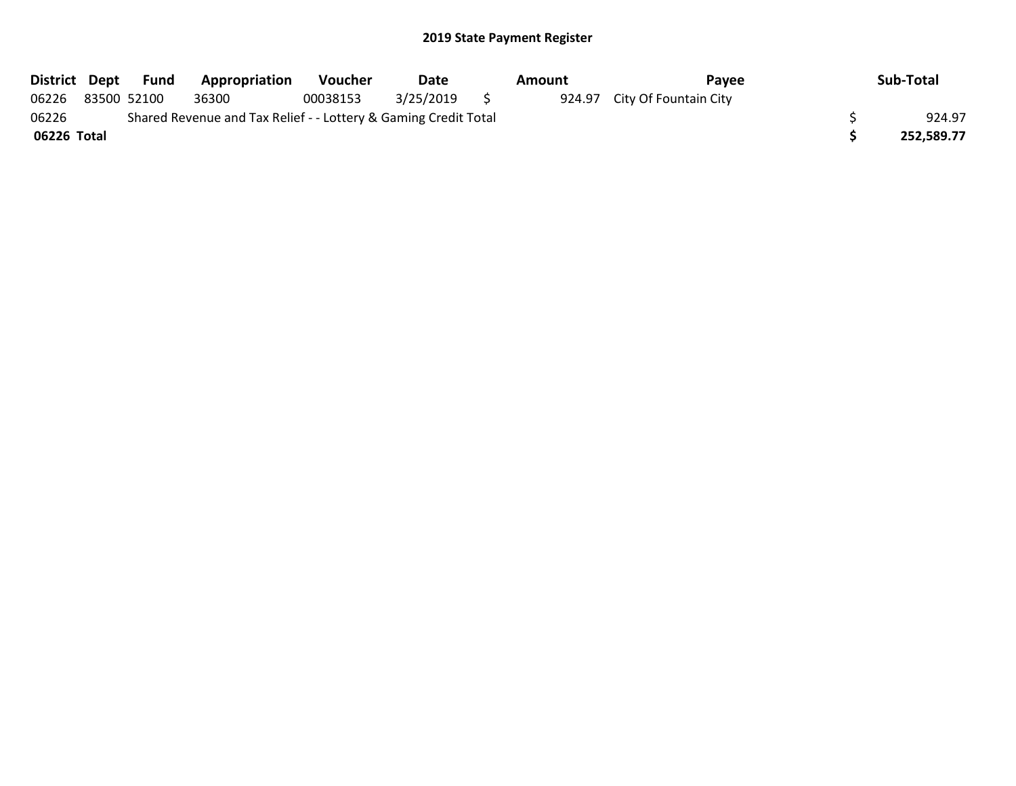|             | District Dept Fund | <b>Appropriation</b>                                            | Voucher  | Date      | Amount | Pavee                        | Sub-Total  |
|-------------|--------------------|-----------------------------------------------------------------|----------|-----------|--------|------------------------------|------------|
| 06226       | 83500 52100        | 36300                                                           | 00038153 | 3/25/2019 |        | 924.97 City Of Fountain City |            |
| 06226       |                    | Shared Revenue and Tax Relief - - Lottery & Gaming Credit Total |          |           |        |                              | 924.97     |
| 06226 Total |                    |                                                                 |          |           |        |                              | 252.589.77 |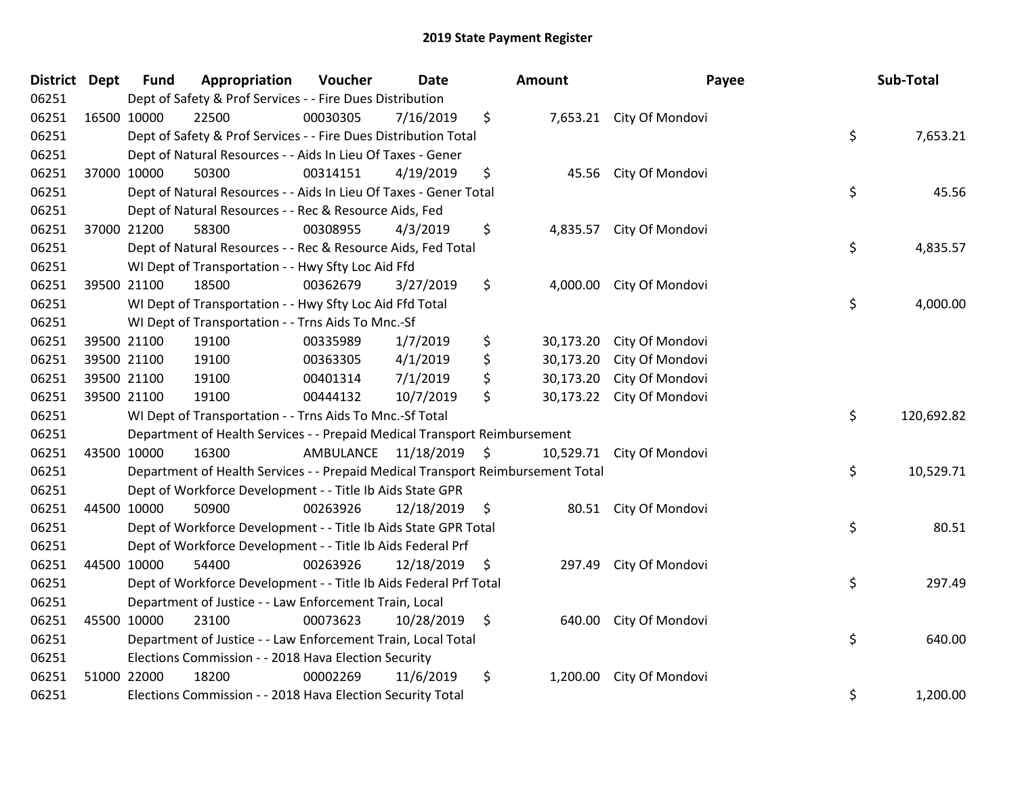| District Dept | <b>Fund</b> | Appropriation                                                                   | Voucher  | <b>Date</b>             |                | <b>Amount</b> | Payee                    | Sub-Total        |
|---------------|-------------|---------------------------------------------------------------------------------|----------|-------------------------|----------------|---------------|--------------------------|------------------|
| 06251         |             | Dept of Safety & Prof Services - - Fire Dues Distribution                       |          |                         |                |               |                          |                  |
| 06251         | 16500 10000 | 22500                                                                           | 00030305 | 7/16/2019               | \$             |               | 7,653.21 City Of Mondovi |                  |
| 06251         |             | Dept of Safety & Prof Services - - Fire Dues Distribution Total                 |          |                         |                |               |                          | \$<br>7,653.21   |
| 06251         |             | Dept of Natural Resources - - Aids In Lieu Of Taxes - Gener                     |          |                         |                |               |                          |                  |
| 06251         | 37000 10000 | 50300                                                                           | 00314151 | 4/19/2019               | \$             | 45.56         | City Of Mondovi          |                  |
| 06251         |             | Dept of Natural Resources - - Aids In Lieu Of Taxes - Gener Total               |          |                         |                |               |                          | \$<br>45.56      |
| 06251         |             | Dept of Natural Resources - - Rec & Resource Aids, Fed                          |          |                         |                |               |                          |                  |
| 06251         | 37000 21200 | 58300                                                                           | 00308955 | 4/3/2019                | \$             | 4,835.57      | City Of Mondovi          |                  |
| 06251         |             | Dept of Natural Resources - - Rec & Resource Aids, Fed Total                    |          |                         |                |               |                          | \$<br>4,835.57   |
| 06251         |             | WI Dept of Transportation - - Hwy Sfty Loc Aid Ffd                              |          |                         |                |               |                          |                  |
| 06251         | 39500 21100 | 18500                                                                           | 00362679 | 3/27/2019               | \$             | 4,000.00      | City Of Mondovi          |                  |
| 06251         |             | WI Dept of Transportation - - Hwy Sfty Loc Aid Ffd Total                        |          |                         |                |               |                          | \$<br>4,000.00   |
| 06251         |             | WI Dept of Transportation - - Trns Aids To Mnc.-Sf                              |          |                         |                |               |                          |                  |
| 06251         | 39500 21100 | 19100                                                                           | 00335989 | 1/7/2019                | \$             | 30,173.20     | City Of Mondovi          |                  |
| 06251         | 39500 21100 | 19100                                                                           | 00363305 | 4/1/2019                | \$             | 30,173.20     | City Of Mondovi          |                  |
| 06251         | 39500 21100 | 19100                                                                           | 00401314 | 7/1/2019                | \$             | 30,173.20     | City Of Mondovi          |                  |
| 06251         | 39500 21100 | 19100                                                                           | 00444132 | 10/7/2019               | \$             | 30,173.22     | City Of Mondovi          |                  |
| 06251         |             | WI Dept of Transportation - - Trns Aids To Mnc.-Sf Total                        |          |                         |                |               |                          | \$<br>120,692.82 |
| 06251         |             | Department of Health Services - - Prepaid Medical Transport Reimbursement       |          |                         |                |               |                          |                  |
| 06251         | 43500 10000 | 16300                                                                           |          | AMBULANCE 11/18/2019 \$ |                | 10,529.71     | City Of Mondovi          |                  |
| 06251         |             | Department of Health Services - - Prepaid Medical Transport Reimbursement Total |          |                         |                |               |                          | \$<br>10,529.71  |
| 06251         |             | Dept of Workforce Development - - Title Ib Aids State GPR                       |          |                         |                |               |                          |                  |
| 06251         | 44500 10000 | 50900                                                                           | 00263926 | 12/18/2019              | - \$           |               | 80.51 City Of Mondovi    |                  |
| 06251         |             | Dept of Workforce Development - - Title Ib Aids State GPR Total                 |          |                         |                |               |                          | \$<br>80.51      |
| 06251         |             | Dept of Workforce Development - - Title Ib Aids Federal Prf                     |          |                         |                |               |                          |                  |
| 06251         | 44500 10000 | 54400                                                                           | 00263926 | 12/18/2019              | \$.            | 297.49        | City Of Mondovi          |                  |
| 06251         |             | Dept of Workforce Development - - Title Ib Aids Federal Prf Total               |          |                         |                |               |                          | \$<br>297.49     |
| 06251         |             | Department of Justice - - Law Enforcement Train, Local                          |          |                         |                |               |                          |                  |
| 06251         | 45500 10000 | 23100                                                                           | 00073623 | 10/28/2019              | $\ddot{\zeta}$ | 640.00        | City Of Mondovi          |                  |
| 06251         |             | Department of Justice - - Law Enforcement Train, Local Total                    |          |                         |                |               |                          | \$<br>640.00     |
| 06251         |             | Elections Commission - - 2018 Hava Election Security                            |          |                         |                |               |                          |                  |
| 06251         | 51000 22000 | 18200                                                                           | 00002269 | 11/6/2019               | \$             | 1,200.00      | City Of Mondovi          |                  |
| 06251         |             | Elections Commission - - 2018 Hava Election Security Total                      |          |                         |                |               |                          | \$<br>1,200.00   |